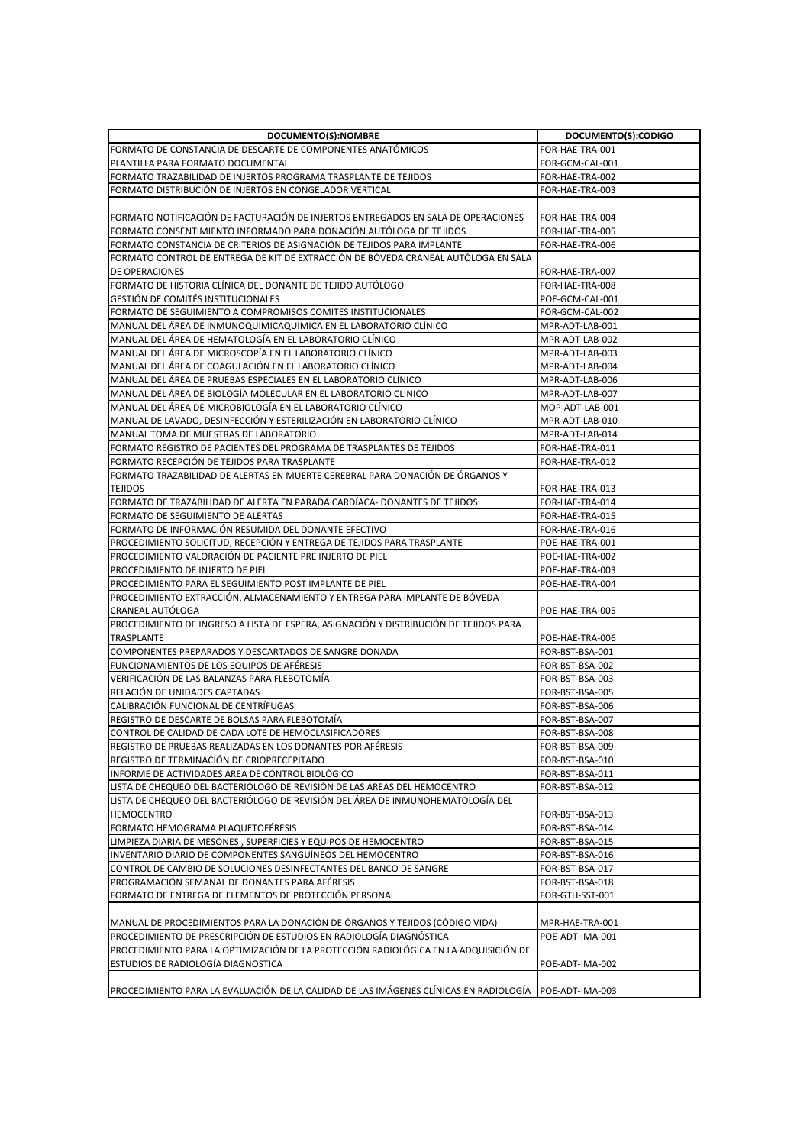| DOCUMENTO(S):NOMBRE                                                                                                  | DOCUMENTO(S):CODIGO |
|----------------------------------------------------------------------------------------------------------------------|---------------------|
| FORMATO DE CONSTANCIA DE DESCARTE DE COMPONENTES ANATÓMICOS                                                          | FOR-HAE-TRA-001     |
| PLANTILLA PARA FORMATO DOCUMENTAL                                                                                    | FOR-GCM-CAL-001     |
| FORMATO TRAZABILIDAD DE INJERTOS PROGRAMA TRASPLANTE DE TEJIDOS                                                      | FOR-HAE-TRA-002     |
| FORMATO DISTRIBUCIÓN DE INJERTOS EN CONGELADOR VERTICAL                                                              | FOR-HAE-TRA-003     |
|                                                                                                                      |                     |
| FORMATO NOTIFICACIÓN DE FACTURACIÓN DE INJERTOS ENTREGADOS EN SALA DE OPERACIONES                                    | FOR-HAE-TRA-004     |
| FORMATO CONSENTIMIENTO INFORMADO PARA DONACIÓN AUTÓLOGA DE TEJIDOS                                                   | FOR-HAE-TRA-005     |
| FORMATO CONSTANCIA DE CRITERIOS DE ASIGNACIÓN DE TEJIDOS PARA IMPLANTE                                               | FOR-HAE-TRA-006     |
| FORMATO CONTROL DE ENTREGA DE KIT DE EXTRACCIÓN DE BÓVEDA CRANEAL AUTÓLOGA EN SALA                                   |                     |
| <b>DE OPERACIONES</b>                                                                                                | FOR-HAE-TRA-007     |
| FORMATO DE HISTORIA CLÍNICA DEL DONANTE DE TEJIDO AUTÓLOGO                                                           | FOR-HAE-TRA-008     |
| GESTION DE COMITÉS INSTITUCIONALES                                                                                   | POE-GCM-CAL-001     |
| FORMATO DE SEGUIMIENTO A COMPROMISOS COMITES INSTITUCIONALES                                                         | FOR-GCM-CAL-002     |
| MANUAL DEL ÁREA DE INMUNOQUIMICAQUÍMICA EN EL LABORATORIO CLÍNICO                                                    | MPR-ADT-LAB-001     |
| MANUAL DEL ÁREA DE HEMATOLOGÍA EN EL LABORATORIO CLÍNICO                                                             | MPR-ADT-LAB-002     |
| MANUAL DEL ÁREA DE MICROSCOPÍA EN EL LABORATORIO CLÍNICO                                                             | MPR-ADT-LAB-003     |
| MANUAL DEL ÁREA DE COAGULACIÓN EN EL LABORATORIO CLÍNICO                                                             | MPR-ADT-LAB-004     |
| MANUAL DEL AREA DE PRUEBAS ESPECIALES EN EL LABORATORIO CLINICO                                                      | MPR-ADT-LAB-006     |
| MANUAL DEL ÁREA DE BIOLOGÍA MOLECULAR EN EL LABORATORIO CLÍNICO                                                      | MPR-ADT-LAB-007     |
| IMANUAL DEL ÁREA DE MICROBIOLOGÍA EN EL LABORATORIO CLÍNICO                                                          | MOP-ADT-LAB-001     |
| MANUAL DE LAVADO, DESINFECCIÓN Y ESTERILIZACIÓN EN LABORATORIO CLÍNICO                                               | MPR-ADT-LAB-010     |
| MANUAL TOMA DE MUESTRAS DE LABORATORIO                                                                               | MPR-ADT-LAB-014     |
| FORMATO REGISTRO DE PACIENTES DEL PROGRAMA DE TRASPLANTES DE TEJIDOS                                                 | FOR-HAE-TRA-011     |
| FORMATO RECEPCIÓN DE TEJIDOS PARA TRASPLANTE                                                                         | FOR-HAE-TRA-012     |
| FORMATO TRAZABILIDAD DE ALERTAS EN MUERTE CEREBRAL PARA DONACIÓN DE ORGANOS Y                                        |                     |
| <b>TEJIDOS</b>                                                                                                       | FOR-HAE-TRA-013     |
| [FORMATO DE TRAZABILIDAD DE ALERTA EN PARADA CARDIACA- DONANTES DE TEJIDOS                                           | FOR-HAE-TRA-014     |
| FORMATO DE SEGUIMIENTO DE ALERTAS                                                                                    | FOR-HAE-TRA-015     |
| FORMATO DE INFORMACIÓN RESUMIDA DEL DONANTE EFECTIVO                                                                 | FOR-HAE-TRA-016     |
| PROCEDIMIENTO SOLICITUD, RECEPCIÓN Y ENTREGA DE TEJIDOS PARA TRASPLANTE                                              | POE-HAE-TRA-001     |
| PROCEDIMIENTO VALORACIÓN DE PACIENTE PRE INJERTO DE PIEL                                                             | POE-HAE-TRA-002     |
| PROCEDIMIENTO DE INJERTO DE PIEL                                                                                     | POE-HAE-TRA-003     |
| PROCEDIMIENTO PARA EL SEGUIMIENTO POST IMPLANTE DE PIEL                                                              | POE-HAE-TRA-004     |
| PROCEDIMIENTO EXTRACCIÓN, ALMACENAMIENTO Y ENTREGA PARA IMPLANTE DE BÓVEDA                                           |                     |
| <b>CRANEAL AUTOLOGA</b>                                                                                              | POE-HAE-TRA-005     |
| PROCEDIMIENTO DE INGRESO A LISTA DE ESPERA, ASIGNACIÓN Y DISTRIBUCIÓN DE TEJIDOS PARA                                |                     |
| TRASPLANTE                                                                                                           | POE-HAE-TRA-006     |
| COMPONENTES PREPARADOS Y DESCARTADOS DE SANGRE DONADA                                                                | FOR-BST-BSA-001     |
| FUNCIONAMIENTOS DE LOS EQUIPOS DE AFÉRESIS                                                                           | FOR-BST-BSA-002     |
| VERIFICACIÓN DE LAS BALANZAS PARA FLEBOTOMÍA                                                                         | FOR-BST-BSA-003     |
| RELACIÓN DE UNIDADES CAPTADAS                                                                                        | FOR-BST-BSA-005     |
| CALIBRACIÓN FUNCIONAL DE CENTRÍFUGAS                                                                                 | FOR-BST-BSA-006     |
| REGISTRO DE DESCARTE DE BOLSAS PARA FLEBOTOMÍA                                                                       | FOR-BST-BSA-007     |
| CONTROL DE CALIDAD DE CADA LOTE DE HEMOCLASIFICADORES                                                                | FOR-BST-BSA-008     |
| REGISTRO DE PRUEBAS REALIZADAS EN LOS DONANTES POR AFÉRESIS                                                          | FOR-BST-BSA-009     |
| REGISTRO DE TERMINACIÓN DE CRIOPRECEPITADO                                                                           | FOR-BST-BSA-010     |
| INFORME DE ACTIVIDADES ÁREA DE CONTROL BIOLÓGICO                                                                     | FOR-BST-BSA-011     |
| LISTA DE CHEQUEO DEL BACTERIÓLOGO DE REVISIÓN DE LAS ÁREAS DEL HEMOCENTRO                                            | FOR-BST-BSA-012     |
| LISTA DE CHEQUEO DEL BACTERIÓLOGO DE REVISIÓN DEL ÁREA DE INMUNOHEMATOLOGÍA DEL                                      |                     |
| <b>HEMOCENTRO</b>                                                                                                    | FOR-BST-BSA-013     |
| FORMATO HEMOGRAMA PLAQUETOFÉRESIS                                                                                    | FOR-BST-BSA-014     |
| LIMPIEZA DIARIA DE MESONES, SUPERFICIES Y EQUIPOS DE HEMOCENTRO                                                      | FOR-BST-BSA-015     |
| INVENTARIO DIARIO DE COMPONENTES SANGUÍNEOS DEL HEMOCENTRO                                                           | FOR-BST-BSA-016     |
| CONTROL DE CAMBIO DE SOLUCIONES DESINFECTANTES DEL BANCO DE SANGRE<br>PROGRAMACIÓN SEMANAL DE DONANTES PARA AFÉRESIS | FOR-BST-BSA-017     |
|                                                                                                                      | FOR-BST-BSA-018     |
| FORMATO DE ENTREGA DE ELEMENTOS DE PROTECCIÓN PERSONAL                                                               | FOR-GTH-SST-001     |
| MANUAL DE PROCEDIMIENTOS PARA LA DONACIÓN DE ÓRGANOS Y TEJIDOS (CÓDIGO VIDA)                                         | MPR-HAE-TRA-001     |
| PROCEDIMIENTO DE PRESCRIPCIÓN DE ESTUDIOS EN RADIOLOGÍA DIAGNÓSTICA                                                  | POE-ADT-IMA-001     |
| PROCEDIMIENTO PARA LA OPTIMIZACIÓN DE LA PROTECCIÓN RADIOLÓGICA EN LA ADQUISICIÓN DE                                 |                     |
| ESTUDIOS DE RADIOLOGÍA DIAGNOSTICA                                                                                   | POE-ADT-IMA-002     |
|                                                                                                                      |                     |
| PROCEDIMIENTO PARA LA EVALUACIÓN DE LA CALIDAD DE LAS IMÁGENES CLÍNICAS EN RADIOLOGÍA POE-ADT-IMA-003                |                     |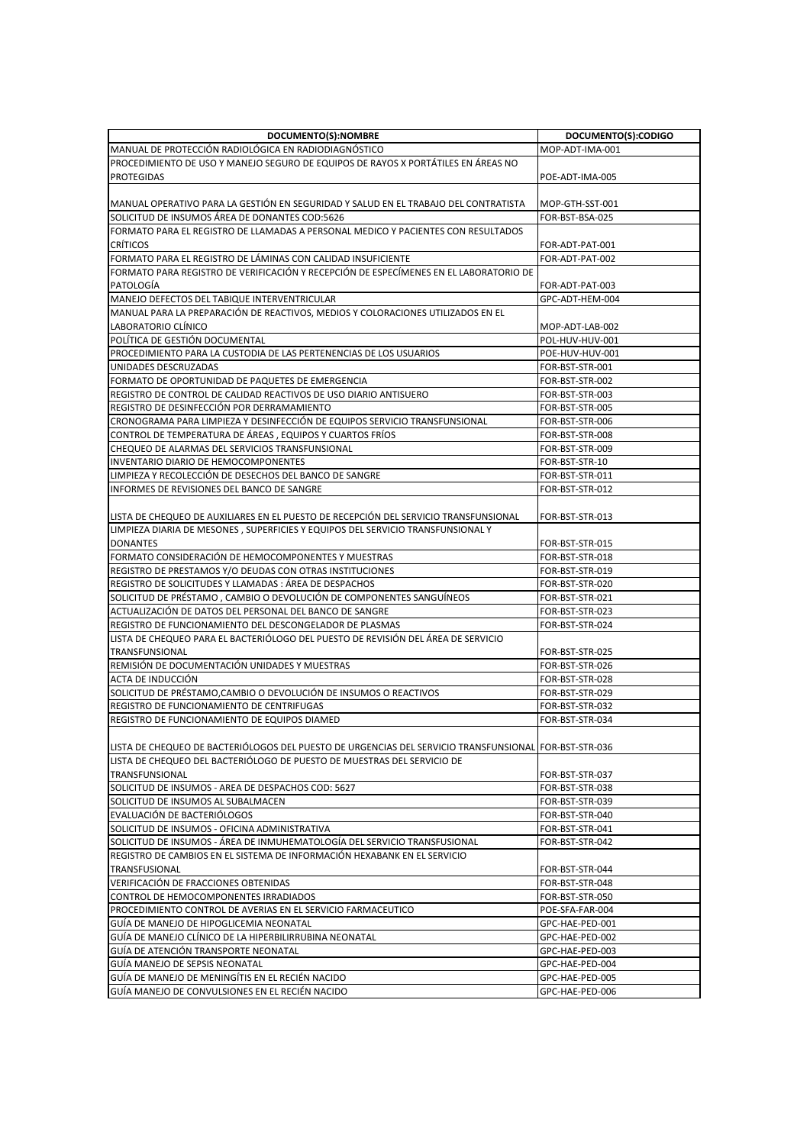| DOCUMENTO(S):NOMBRE                                                                                   | DOCUMENTO(S):CODIGO |
|-------------------------------------------------------------------------------------------------------|---------------------|
| MANUAL DE PROTECCIÓN RADIOLÓGICA EN RADIODIAGNOSTICO                                                  | MOP-ADT-IMA-001     |
| PROCEDIMIENTO DE USO Y MANEJO SEGURO DE EQUIPOS DE RAYOS X PORTÁTILES EN ÁREAS NO                     |                     |
| <b>PROTEGIDAS</b>                                                                                     | POE-ADT-IMA-005     |
|                                                                                                       |                     |
| MANUAL OPERATIVO PARA LA GESTIÓN EN SEGURIDAD Y SALUD EN EL TRABAJO DEL CONTRATISTA                   | MOP-GTH-SST-001     |
| SOLICITUD DE INSUMOS AREA DE DONANTES COD:5626                                                        | FOR-BST-BSA-025     |
| FORMATO PARA EL REGISTRO DE LLAMADAS A PERSONAL MEDICO Y PACIENTES CON RESULTADOS                     |                     |
| <b>CRÍTICOS</b>                                                                                       | FOR-ADT-PAT-001     |
| FORMATO PARA EL REGISTRO DE LÁMINAS CON CALIDAD INSUFICIENTE                                          | FOR-ADT-PAT-002     |
| FORMATO PARA REGISTRO DE VERIFICACIÓN Y RECEPCIÓN DE ESPECÍMENES EN EL LABORATORIO DE                 |                     |
| PATOLOGÍA                                                                                             | FOR-ADT-PAT-003     |
| MANEJO DEFECTOS DEL TABIQUE INTERVENTRICULAR                                                          | GPC-ADT-HEM-004     |
| MANUAL PARA LA PREPARACIÓN DE REACTIVOS, MEDIOS Y COLORACIONES UTILIZADOS EN EL                       |                     |
| LABORATORIO CLÍNICO                                                                                   | MOP-ADT-LAB-002     |
| POLÍTICA DE GESTIÓN DOCUMENTAL                                                                        | POL-HUV-HUV-001     |
| PROCEDIMIENTO PARA LA CUSTODIA DE LAS PERTENENCIAS DE LOS USUARIOS                                    | POE-HUV-HUV-001     |
| UNIDADES DESCRUZADAS                                                                                  | FOR-BST-STR-001     |
| FORMATO DE OPORTUNIDAD DE PAQUETES DE EMERGENCIA                                                      | FOR-BST-STR-002     |
| REGISTRO DE CONTROL DE CALIDAD REACTIVOS DE USO DIARIO ANTISUERO                                      | FOR-BST-STR-003     |
| REGISTRO DE DESINFECCIÓN POR DERRAMAMIENTO                                                            | FOR-BST-STR-005     |
| CRONOGRAMA PARA LIMPIEZA Y DESINFECCIÓN DE EQUIPOS SERVICIO TRANSFUNSIONAL                            | FOR-BST-STR-006     |
| CONTROL DE TEMPERATURA DE ÁREAS, EQUIPOS Y CUARTOS FRÍOS                                              | FOR-BST-STR-008     |
| CHEQUEO DE ALARMAS DEL SERVICIOS TRANSFUNSIONAL                                                       | FOR-BST-STR-009     |
| INVENTARIO DIARIO DE HEMOCOMPONENTES                                                                  | FOR-BST-STR-10      |
| LIMPIEZA Y RECOLECCIÓN DE DESECHOS DEL BANCO DE SANGRE                                                | FOR-BST-STR-011     |
| INFORMES DE REVISIONES DEL BANCO DE SANGRE                                                            | FOR-BST-STR-012     |
|                                                                                                       |                     |
| LISTA DE CHEQUEO DE AUXILIARES EN EL PUESTO DE RECEPCIÓN DEL SERVICIO TRANSFUNSIONAL                  | FOR-BST-STR-013     |
| LIMPIEZA DIARIA DE MESONES, SUPERFICIES Y EQUIPOS DEL SERVICIO TRANSFUNSIONAL Y                       |                     |
| <b>DONANTES</b>                                                                                       | FOR-BST-STR-015     |
| FORMATO CONSIDERACIÓN DE HEMOCOMPONENTES Y MUESTRAS                                                   | FOR-BST-STR-018     |
| REGISTRO DE PRESTAMOS Y/O DEUDAS CON OTRAS INSTITUCIONES                                              | FOR-BST-STR-019     |
| REGISTRO DE SOLICITUDES Y LLAMADAS : AREA DE DESPACHOS                                                | FOR-BST-STR-020     |
| SOLICITUD DE PRÉSTAMO, CAMBIO O DEVOLUCIÓN DE COMPONENTES SANGUINEOS                                  | FOR-BST-STR-021     |
| ACTUALIZACIÓN DE DATOS DEL PERSONAL DEL BANCO DE SANGRE                                               | FOR-BST-STR-023     |
| REGISTRO DE FUNCIONAMIENTO DEL DESCONGELADOR DE PLASMAS                                               | FOR-BST-STR-024     |
| LISTA DE CHEQUEO PARA EL BACTERIÓLOGO DEL PUESTO DE REVISIÓN DEL ÁREA DE SERVICIO                     |                     |
| TRANSFUNSIONAL                                                                                        | FOR-BST-STR-025     |
| REMISIÓN DE DOCUMENTACIÓN UNIDADES Y MUESTRAS                                                         | FOR-BST-STR-026     |
| ACTA DE INDUCCIÓN                                                                                     | FOR-BST-STR-028     |
| SOLICITUD DE PRÉSTAMO, CAMBIO O DEVOLUCIÓN DE INSUMOS O REACTIVOS                                     | FOR-BST-STR-029     |
| REGISTRO DE FUNCIONAMIENTO DE CENTRIFUGAS                                                             | FOR-BST-STR-032     |
| REGISTRO DE FUNCIONAMIENTO DE EQUIPOS DIAMED                                                          | FOR-BST-STR-034     |
|                                                                                                       |                     |
| LISTA DE CHEQUEO DE BACTERIÓLOGOS DEL PUESTO DE URGENCIAS DEL SERVICIO TRANSFUNSIONAL FOR-BST-STR-036 |                     |
| LISTA DE CHEQUEO DEL BACTERIÓLOGO DE PUESTO DE MUESTRAS DEL SERVICIO DE                               |                     |
| TRANSFUNSIONAL                                                                                        | FOR-BST-STR-037     |
| SOLICITUD DE INSUMOS - AREA DE DESPACHOS COD: 5627                                                    | FOR-BST-STR-038     |
| SOLICITUD DE INSUMOS AL SUBALMACEN                                                                    | FOR-BST-STR-039     |
| EVALUACIÓN DE BACTERIÓLOGOS                                                                           | FOR-BST-STR-040     |
| SOLICITUD DE INSUMOS - OFICINA ADMINISTRATIVA                                                         | FOR-BST-STR-041     |
| SOLICITUD DE INSUMOS - ÁREA DE INMUHEMATOLOGÍA DEL SERVICIO TRANSFUSIONAL                             | FOR-BST-STR-042     |
| REGISTRO DE CAMBIOS EN EL SISTEMA DE INFORMACIÓN HEXABANK EN EL SERVICIO                              |                     |
| TRANSFUSIONAL                                                                                         | FOR-BST-STR-044     |
| VERIFICACIÓN DE FRACCIONES OBTENIDAS                                                                  | FOR-BST-STR-048     |
| CONTROL DE HEMOCOMPONENTES IRRADIADOS                                                                 | FOR-BST-STR-050     |
| PROCEDIMIENTO CONTROL DE AVERIAS EN EL SERVICIO FARMACEUTICO                                          | POE-SFA-FAR-004     |
| GUÍA DE MANEJO DE HIPOGLICEMIA NEONATAL                                                               | GPC-HAE-PED-001     |
| GUÍA DE MANEJO CLÍNICO DE LA HIPERBILIRRUBINA NEONATAL                                                | GPC-HAE-PED-002     |
| GUÍA DE ATENCIÓN TRANSPORTE NEONATAL                                                                  | GPC-HAE-PED-003     |
| GUÍA MANEJO DE SEPSIS NEONATAL                                                                        | GPC-HAE-PED-004     |
| GUÍA DE MANEJO DE MENINGÍTIS EN EL RECIÉN NACIDO                                                      | GPC-HAE-PED-005     |
| GUÍA MANEJO DE CONVULSIONES EN EL RECIÉN NACIDO                                                       | GPC-HAE-PED-006     |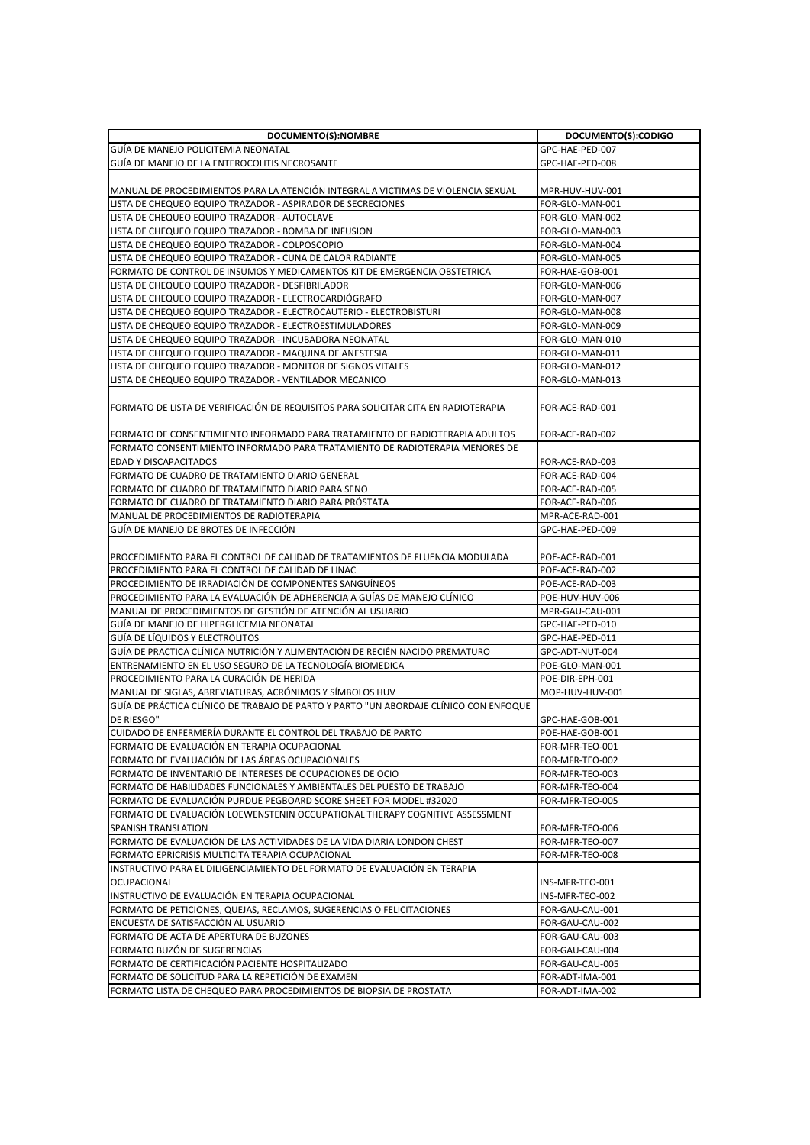| DOCUMENTO(S):NOMBRE                                                                                                          | DOCUMENTO(S):CODIGO |
|------------------------------------------------------------------------------------------------------------------------------|---------------------|
| GUIA DE MANEJO POLICITEMIA NEONATAL                                                                                          | GPC-HAE-PED-007     |
| GUÍA DE MANEJO DE LA ENTEROCOLITIS NECROSANTE                                                                                | GPC-HAE-PED-008     |
|                                                                                                                              |                     |
| MANUAL DE PROCEDIMIENTOS PARA LA ATENCIÓN INTEGRAL A VICTIMAS DE VIOLENCIA SEXUAL                                            | MPR-HUV-HUV-001     |
| LISTA DE CHEQUEO EQUIPO TRAZADOR - ASPIRADOR DE SECRECIONES                                                                  | FOR-GLO-MAN-001     |
| LISTA DE CHEQUEO EQUIPO TRAZADOR - AUTOCLAVE                                                                                 | FOR-GLO-MAN-002     |
| LISTA DE CHEQUEO EQUIPO TRAZADOR - BOMBA DE INFUSION                                                                         | FOR-GLO-MAN-003     |
| LISTA DE CHEQUEO EQUIPO TRAZADOR - COLPOSCOPIO                                                                               | FOR-GLO-MAN-004     |
| LISTA DE CHEQUEO EQUIPO TRAZADOR - CUNA DE CALOR RADIANTE                                                                    | FOR-GLO-MAN-005     |
| FORMATO DE CONTROL DE INSUMOS Y MEDICAMENTOS KIT DE EMERGENCIA OBSTETRICA                                                    | FOR-HAE-GOB-001     |
| LISTA DE CHEQUEO EQUIPO TRAZADOR - DESFIBRILADOR                                                                             | FOR-GLO-MAN-006     |
|                                                                                                                              |                     |
| LISTA DE CHEQUEO EQUIPO TRAZADOR - ELECTROCARDIOGRAFO<br>LISTA DE CHEQUEO EQUIPO TRAZADOR - ELECTROCAUTERIO - ELECTROBISTURI | FOR-GLO-MAN-007     |
|                                                                                                                              | FOR-GLO-MAN-008     |
| LISTA DE CHEQUEO EQUIPO TRAZADOR - ELECTROESTIMULADORES                                                                      | FOR-GLO-MAN-009     |
| LISTA DE CHEQUEO EQUIPO TRAZADOR - INCUBADORA NEONATAL                                                                       | FOR-GLO-MAN-010     |
| LISTA DE CHEQUEO EQUIPO TRAZADOR - MAQUINA DE ANESTESIA                                                                      | FOR-GLO-MAN-011     |
| LISTA DE CHEQUEO EQUIPO TRAZADOR - MONITOR DE SIGNOS VITALES                                                                 | FOR-GLO-MAN-012     |
| LISTA DE CHEQUEO EQUIPO TRAZADOR - VENTILADOR MECANICO                                                                       | FOR-GLO-MAN-013     |
| FORMATO DE LISTA DE VERIFICACIÓN DE REQUISITOS PARA SOLICITAR CITA EN RADIOTERAPIA                                           | FOR-ACE-RAD-001     |
|                                                                                                                              |                     |
| FORMATO DE CONSENTIMIENTO INFORMADO PARA TRATAMIENTO DE RADIOTERAPIA ADULTOS                                                 | FOR-ACE-RAD-002     |
| FORMATO CONSENTIMIENTO INFORMADO PARA TRATAMIENTO DE RADIOTERAPIA MENORES DE                                                 |                     |
| <b>EDAD Y DISCAPACITADOS</b>                                                                                                 | FOR-ACE-RAD-003     |
| FORMATO DE CUADRO DE TRATAMIENTO DIARIO GENERAL                                                                              | FOR-ACE-RAD-004     |
| FORMATO DE CUADRO DE TRATAMIENTO DIARIO PARA SENO                                                                            | FOR-ACE-RAD-005     |
| FORMATO DE CUADRO DE TRATAMIENTO DIARIO PARA PRÓSTATA                                                                        | FOR-ACE-RAD-006     |
| MANUAL DE PROCEDIMIENTOS DE RADIOTERAPIA                                                                                     | MPR-ACE-RAD-001     |
| GUÍA DE MANEJO DE BROTES DE INFECCIÓN                                                                                        | GPC-HAE-PED-009     |
|                                                                                                                              |                     |
| PROCEDIMIENTO PARA EL CONTROL DE CALIDAD DE TRATAMIENTOS DE FLUENCIA MODULADA                                                | POE-ACE-RAD-001     |
| PROCEDIMIENTO PARA EL CONTROL DE CALIDAD DE LINAC                                                                            | POE-ACE-RAD-002     |
| PROCEDIMIENTO DE IRRADIACIÓN DE COMPONENTES SANGUINEOS                                                                       | POE-ACE-RAD-003     |
| PROCEDIMIENTO PARA LA EVALUACIÓN DE ADHERENCIA A GUÍAS DE MANEJO CLÍNICO                                                     | POE-HUV-HUV-006     |
| MANUAL DE PROCEDIMIENTOS DE GESTIÓN DE ATENCIÓN AL USUARIO                                                                   | MPR-GAU-CAU-001     |
| GUIA DE MANEJO DE HIPERGLICEMIA NEONATAL                                                                                     | GPC-HAE-PED-010     |
| <b>GUIA DE LIQUIDOS Y ELECTROLITOS</b>                                                                                       | GPC-HAE-PED-011     |
| GUIA DE PRACTICA CLINICA NUTRICIÓN Y ALIMENTACIÓN DE RECIÉN NACIDO PREMATURO                                                 | GPC-ADT-NUT-004     |
| ENTRENAMIENTO EN EL USO SEGURO DE LA TECNOLOGÍA BIOMEDICA                                                                    | POE-GLO-MAN-001     |
| PROCEDIMIENTO PARA LA CURACIÓN DE HERIDA                                                                                     | POE-DIR-EPH-001     |
| MANUAL DE SIGLAS, ABREVIATURAS, ACRÓNIMOS Y SÍMBOLOS HUV                                                                     | MOP-HUV-HUV-001     |
| GUÍA DE PRÁCTICA CLÍNICO DE TRABAJO DE PARTO Y PARTO "UN ABORDAJE CLÍNICO CON ENFOQUE                                        |                     |
|                                                                                                                              |                     |
| DE RIESGO"                                                                                                                   | GPC-HAE-GOB-001     |
| CUIDADO DE ENFERMERÍA DURANTE EL CONTROL DEL TRABAJO DE PARTO                                                                | POE-HAE-GOB-001     |
| FORMATO DE EVALUACIÓN EN TERAPIA OCUPACIONAL                                                                                 | FOR-MFR-TEO-001     |
| FORMATO DE EVALUACIÓN DE LAS ÁREAS OCUPACIONALES                                                                             | FOR-MFR-TEO-002     |
| FORMATO DE INVENTARIO DE INTERESES DE OCUPACIONES DE OCIO                                                                    | FOR-MFR-TEO-003     |
| FORMATO DE HABILIDADES FUNCIONALES Y AMBIENTALES DEL PUESTO DE TRABAJO                                                       | FOR-MFR-TEO-004     |
| FORMATO DE EVALUACIÓN PURDUE PEGBOARD SCORE SHEET FOR MODEL #32020                                                           | FOR-MFR-TEO-005     |
| FORMATO DE EVALUACIÓN LOEWENSTENIN OCCUPATIONAL THERAPY COGNITIVE ASSESSMENT                                                 |                     |
| <b>SPANISH TRANSLATION</b>                                                                                                   | FOR-MFR-TEO-006     |
| FORMATO DE EVALUACIÓN DE LAS ACTIVIDADES DE LA VIDA DIARIA LONDON CHEST                                                      | FOR-MFR-TEO-007     |
| FORMATO EPRICRISIS MULTICITA TERAPIA OCUPACIONAL                                                                             | FOR-MFR-TEO-008     |
| INSTRUCTIVO PARA EL DILIGENCIAMIENTO DEL FORMATO DE EVALUACIÓN EN TERAPIA                                                    |                     |
| <b>OCUPACIONAL</b>                                                                                                           | INS-MFR-TEO-001     |
| INSTRUCTIVO DE EVALUACIÓN EN TERAPIA OCUPACIONAL                                                                             | INS-MFR-TEO-002     |
| FORMATO DE PETICIONES, QUEJAS, RECLAMOS, SUGERENCIAS O FELICITACIONES                                                        | FOR-GAU-CAU-001     |
| ENCUESTA DE SATISFACCIÓN AL USUARIO                                                                                          | FOR-GAU-CAU-002     |
| FORMATO DE ACTA DE APERTURA DE BUZONES                                                                                       | FOR-GAU-CAU-003     |
| FORMATO BUZÓN DE SUGERENCIAS                                                                                                 | FOR-GAU-CAU-004     |
| FORMATO DE CERTIFICACIÓN PACIENTE HOSPITALIZADO                                                                              | FOR-GAU-CAU-005     |
| FORMATO DE SOLICITUD PARA LA REPETICIÓN DE EXAMEN                                                                            | FOR-ADT-IMA-001     |
| FORMATO LISTA DE CHEQUEO PARA PROCEDIMIENTOS DE BIOPSIA DE PROSTATA                                                          | FOR-ADT-IMA-002     |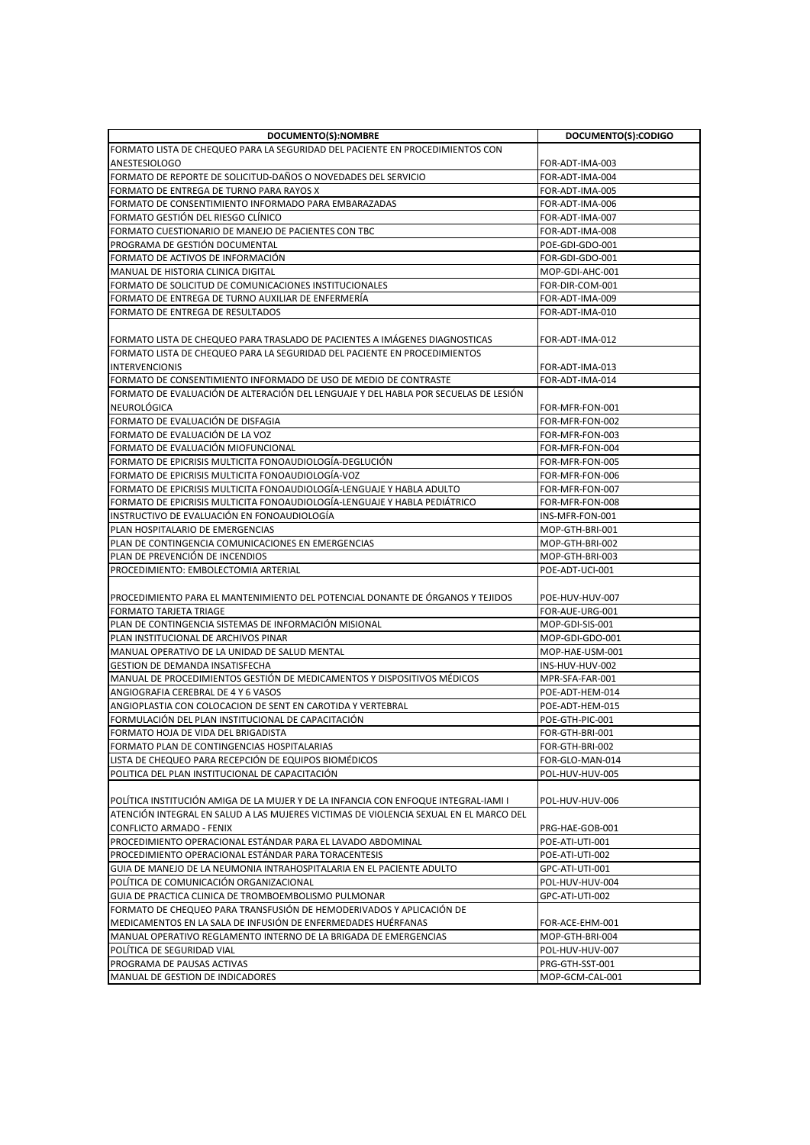| FORMATO LISTA DE CHEQUEO PARA LA SEGURIDAD DEL PACIENTE EN PROCEDIMIENTOS CON<br><b>ANESTESIOLOGO</b><br>FOR-ADT-IMA-003<br>FORMATO DE REPORTE DE SOLICITUD-DAÑOS O NOVEDADES DEL SERVICIO<br>FOR-ADT-IMA-004<br>FORMATO DE ENTREGA DE TURNO PARA RAYOS X<br>FOR-ADT-IMA-005<br>FORMATO DE CONSENTIMIENTO INFORMADO PARA EMBARAZADAS<br>FOR-ADT-IMA-006<br>FORMATO GESTION DEL RIESGO CLINICO<br>FOR-ADT-IMA-007<br>FORMATO CUESTIONARIO DE MANEJO DE PACIENTES CON TBC<br>FOR-ADT-IMA-008<br>PROGRAMA DE GESTIÓN DOCUMENTAL<br>POE-GDI-GDO-001<br>FORMATO DE ACTIVOS DE INFORMACIÓN<br>FOR-GDI-GDO-001<br>MANUAL DE HISTORIA CLINICA DIGITAL<br>MOP-GDI-AHC-001<br>FORMATO DE SOLICITUD DE COMUNICACIONES INSTITUCIONALES<br>FOR-DIR-COM-001<br>FORMATO DE ENTREGA DE TURNO AUXILIAR DE ENFERMERÍA<br>FOR-ADT-IMA-009<br><b>FORMATO DE ENTREGA DE RESULTADOS</b><br>FOR-ADT-IMA-010<br>FORMATO LISTA DE CHEQUEO PARA TRASLADO DE PACIENTES A IMAGENES DIAGNOSTICAS<br>FOR-ADT-IMA-012<br>FORMATO LISTA DE CHEQUEO PARA LA SEGURIDAD DEL PACIENTE EN PROCEDIMIENTOS<br><b>INTERVENCIONIS</b><br>FOR-ADT-IMA-013<br>FORMATO DE CONSENTIMIENTO INFORMADO DE USO DE MEDIO DE CONTRASTE<br>FOR-ADT-IMA-014<br>FORMATO DE EVALUACIÓN DE ALTERACIÓN DEL LENGUAJE Y DEL HABLA POR SECUELAS DE LESIÓN<br>NEUROLÓGICA<br>FOR-MFR-FON-001<br>FORMATO DE EVALUACIÓN DE DISFAGIA<br>FOR-MFR-FON-002<br>FORMATO DE EVALUACIÓN DE LA VOZ<br>FOR-MFR-FON-003<br>FORMATO DE EVALUACIÓN MIOFUNCIONAL<br>FOR-MFR-FON-004<br>FORMATO DE EPICRISIS MULTICITA FONOAUDIOLOGIA-DEGLUCIÓN<br>FOR-MFR-FON-005<br>FORMATO DE EPICRISIS MULTICITA FONOAUDIOLOGÍA-VOZ<br>FOR-MFR-FON-006<br>FORMATO DE EPICRISIS MULTICITA FONOAUDIOLOGÍA-LENGUAJE Y HABLA ADULTO<br>FOR-MFR-FON-007<br>FORMATO DE EPICRISIS MULTICITA FONOAUDIOLOGÍA-LENGUAJE Y HABLA PEDIÁTRICO<br>FOR-MFR-FON-008<br>INSTRUCTIVO DE EVALUACIÓN EN FONOAUDIOLOGÍA<br>INS-MFR-FON-001<br>PLAN HOSPITALARIO DE EMERGENCIAS<br>MOP-GTH-BRI-001<br>PLAN DE CONTINGENCIA COMUNICACIONES EN EMERGENCIAS<br>MOP-GTH-BRI-002<br>PLAN DE PREVENCIÓN DE INCENDIOS<br>MOP-GTH-BRI-003<br>PROCEDIMIENTO: EMBOLECTOMIA ARTERIAL<br>POE-ADT-UCI-001<br> PROCEDIMIENTO PARA EL MANTENIMIENTO DEL POTENCIAL DONANTE DE ÓRGANOS Y TEJIDOS<br>POE-HUV-HUV-007<br><b>FORMATO TARJETA TRIAGE</b><br>FOR-AUE-URG-001<br>PLAN DE CONTINGENCIA SISTEMAS DE INFORMACIÓN MISIONAL<br>MOP-GDI-SIS-001<br>PLAN INSTITUCIONAL DE ARCHIVOS PINAR<br>MOP-GDI-GDO-001<br>MANUAL OPERATIVO DE LA UNIDAD DE SALUD MENTAL<br>MOP-HAE-USM-001<br><b>GESTION DE DEMANDA INSATISFECHA</b><br>INS-HUV-HUV-002<br>MANUAL DE PROCEDIMIENTOS GESTIÓN DE MEDICAMENTOS Y DISPOSITIVOS MÉDICOS<br>MPR-SFA-FAR-001<br>ANGIOGRAFIA CEREBRAL DE 4 Y 6 VASOS<br>POE-ADT-HEM-014<br>ANGIOPLASTIA CON COLOCACION DE SENT EN CAROTIDA Y VERTEBRAL<br>POE-ADT-HEM-015<br>FORMULACIÓN DEL PLAN INSTITUCIONAL DE CAPACITACIÓN<br>POE-GTH-PIC-001<br>FORMATO HOJA DE VIDA DEL BRIGADISTA<br>FOR-GTH-BRI-001<br>FORMATO PLAN DE CONTINGENCIAS HOSPITALARIAS<br>FOR-GTH-BRI-002<br>LISTA DE CHEQUEO PARA RECEPCIÓN DE EQUIPOS BIOMÉDICOS<br>FOR-GLO-MAN-014<br>POLITICA DEL PLAN INSTITUCIONAL DE CAPACITACIÓN<br>POL-HUV-HUV-005<br>POLÍTICA INSTITUCIÓN AMIGA DE LA MUJER Y DE LA INFANCIA CON ENFOQUE INTEGRAL-IAMI I<br>POL-HUV-HUV-006<br>ATENCIÓN INTEGRAL EN SALUD A LAS MUJERES VICTIMAS DE VIOLENCIA SEXUAL EN EL MARCO DEL<br><b>CONFLICTO ARMADO - FENIX</b><br>PRG-HAE-GOB-001<br>PROCEDIMIENTO OPERACIONAL ESTÁNDAR PARA EL LAVADO ABDOMINAL<br>POE-ATI-UTI-001<br>PROCEDIMIENTO OPERACIONAL ESTÁNDAR PARA TORACENTESIS<br>POE-ATI-UTI-002<br>GUIA DE MANEJO DE LA NEUMONIA INTRAHOSPITALARIA EN EL PACIENTE ADULTO<br>GPC-ATI-UTI-001<br>POLÍTICA DE COMUNICACIÓN ORGANIZACIONAL<br>POL-HUV-HUV-004<br>GUIA DE PRACTICA CLINICA DE TROMBOEMBOLISMO PULMONAR<br>GPC-ATI-UTI-002<br>FORMATO DE CHEQUEO PARA TRANSFUSIÓN DE HEMODERIVADOS Y APLICACIÓN DE<br>MEDICAMENTOS EN LA SALA DE INFUSIÓN DE ENFERMEDADES HUÉRFANAS<br>FOR-ACE-EHM-001<br>MANUAL OPERATIVO REGLAMENTO INTERNO DE LA BRIGADA DE EMERGENCIAS<br>MOP-GTH-BRI-004<br>POLÍTICA DE SEGURIDAD VIAL<br>POL-HUV-HUV-007<br>PROGRAMA DE PAUSAS ACTIVAS<br>PRG-GTH-SST-001<br>MANUAL DE GESTION DE INDICADORES<br>MOP-GCM-CAL-001 | DOCUMENTO(S):NOMBRE | DOCUMENTO(S):CODIGO |
|---------------------------------------------------------------------------------------------------------------------------------------------------------------------------------------------------------------------------------------------------------------------------------------------------------------------------------------------------------------------------------------------------------------------------------------------------------------------------------------------------------------------------------------------------------------------------------------------------------------------------------------------------------------------------------------------------------------------------------------------------------------------------------------------------------------------------------------------------------------------------------------------------------------------------------------------------------------------------------------------------------------------------------------------------------------------------------------------------------------------------------------------------------------------------------------------------------------------------------------------------------------------------------------------------------------------------------------------------------------------------------------------------------------------------------------------------------------------------------------------------------------------------------------------------------------------------------------------------------------------------------------------------------------------------------------------------------------------------------------------------------------------------------------------------------------------------------------------------------------------------------------------------------------------------------------------------------------------------------------------------------------------------------------------------------------------------------------------------------------------------------------------------------------------------------------------------------------------------------------------------------------------------------------------------------------------------------------------------------------------------------------------------------------------------------------------------------------------------------------------------------------------------------------------------------------------------------------------------------------------------------------------------------------------------------------------------------------------------------------------------------------------------------------------------------------------------------------------------------------------------------------------------------------------------------------------------------------------------------------------------------------------------------------------------------------------------------------------------------------------------------------------------------------------------------------------------------------------------------------------------------------------------------------------------------------------------------------------------------------------------------------------------------------------------------------------------------------------------------------------------------------------------------------------------------------------------------------------------------------------------------------------------------------------------------------------------------------------------------------------------------------------------------------------------------------------------------------------------------------------------------------------------------------------------------------------------------------------------------------------------------------------------------------------------------------------------------------------------------------------------------------------------------------------------------------------------------------------------------------------------------------------------------------|---------------------|---------------------|
|                                                                                                                                                                                                                                                                                                                                                                                                                                                                                                                                                                                                                                                                                                                                                                                                                                                                                                                                                                                                                                                                                                                                                                                                                                                                                                                                                                                                                                                                                                                                                                                                                                                                                                                                                                                                                                                                                                                                                                                                                                                                                                                                                                                                                                                                                                                                                                                                                                                                                                                                                                                                                                                                                                                                                                                                                                                                                                                                                                                                                                                                                                                                                                                                                                                                                                                                                                                                                                                                                                                                                                                                                                                                                                                                                                                                                                                                                                                                                                                                                                                                                                                                                                                                                                                                                       |                     |                     |
|                                                                                                                                                                                                                                                                                                                                                                                                                                                                                                                                                                                                                                                                                                                                                                                                                                                                                                                                                                                                                                                                                                                                                                                                                                                                                                                                                                                                                                                                                                                                                                                                                                                                                                                                                                                                                                                                                                                                                                                                                                                                                                                                                                                                                                                                                                                                                                                                                                                                                                                                                                                                                                                                                                                                                                                                                                                                                                                                                                                                                                                                                                                                                                                                                                                                                                                                                                                                                                                                                                                                                                                                                                                                                                                                                                                                                                                                                                                                                                                                                                                                                                                                                                                                                                                                                       |                     |                     |
|                                                                                                                                                                                                                                                                                                                                                                                                                                                                                                                                                                                                                                                                                                                                                                                                                                                                                                                                                                                                                                                                                                                                                                                                                                                                                                                                                                                                                                                                                                                                                                                                                                                                                                                                                                                                                                                                                                                                                                                                                                                                                                                                                                                                                                                                                                                                                                                                                                                                                                                                                                                                                                                                                                                                                                                                                                                                                                                                                                                                                                                                                                                                                                                                                                                                                                                                                                                                                                                                                                                                                                                                                                                                                                                                                                                                                                                                                                                                                                                                                                                                                                                                                                                                                                                                                       |                     |                     |
|                                                                                                                                                                                                                                                                                                                                                                                                                                                                                                                                                                                                                                                                                                                                                                                                                                                                                                                                                                                                                                                                                                                                                                                                                                                                                                                                                                                                                                                                                                                                                                                                                                                                                                                                                                                                                                                                                                                                                                                                                                                                                                                                                                                                                                                                                                                                                                                                                                                                                                                                                                                                                                                                                                                                                                                                                                                                                                                                                                                                                                                                                                                                                                                                                                                                                                                                                                                                                                                                                                                                                                                                                                                                                                                                                                                                                                                                                                                                                                                                                                                                                                                                                                                                                                                                                       |                     |                     |
|                                                                                                                                                                                                                                                                                                                                                                                                                                                                                                                                                                                                                                                                                                                                                                                                                                                                                                                                                                                                                                                                                                                                                                                                                                                                                                                                                                                                                                                                                                                                                                                                                                                                                                                                                                                                                                                                                                                                                                                                                                                                                                                                                                                                                                                                                                                                                                                                                                                                                                                                                                                                                                                                                                                                                                                                                                                                                                                                                                                                                                                                                                                                                                                                                                                                                                                                                                                                                                                                                                                                                                                                                                                                                                                                                                                                                                                                                                                                                                                                                                                                                                                                                                                                                                                                                       |                     |                     |
|                                                                                                                                                                                                                                                                                                                                                                                                                                                                                                                                                                                                                                                                                                                                                                                                                                                                                                                                                                                                                                                                                                                                                                                                                                                                                                                                                                                                                                                                                                                                                                                                                                                                                                                                                                                                                                                                                                                                                                                                                                                                                                                                                                                                                                                                                                                                                                                                                                                                                                                                                                                                                                                                                                                                                                                                                                                                                                                                                                                                                                                                                                                                                                                                                                                                                                                                                                                                                                                                                                                                                                                                                                                                                                                                                                                                                                                                                                                                                                                                                                                                                                                                                                                                                                                                                       |                     |                     |
|                                                                                                                                                                                                                                                                                                                                                                                                                                                                                                                                                                                                                                                                                                                                                                                                                                                                                                                                                                                                                                                                                                                                                                                                                                                                                                                                                                                                                                                                                                                                                                                                                                                                                                                                                                                                                                                                                                                                                                                                                                                                                                                                                                                                                                                                                                                                                                                                                                                                                                                                                                                                                                                                                                                                                                                                                                                                                                                                                                                                                                                                                                                                                                                                                                                                                                                                                                                                                                                                                                                                                                                                                                                                                                                                                                                                                                                                                                                                                                                                                                                                                                                                                                                                                                                                                       |                     |                     |
|                                                                                                                                                                                                                                                                                                                                                                                                                                                                                                                                                                                                                                                                                                                                                                                                                                                                                                                                                                                                                                                                                                                                                                                                                                                                                                                                                                                                                                                                                                                                                                                                                                                                                                                                                                                                                                                                                                                                                                                                                                                                                                                                                                                                                                                                                                                                                                                                                                                                                                                                                                                                                                                                                                                                                                                                                                                                                                                                                                                                                                                                                                                                                                                                                                                                                                                                                                                                                                                                                                                                                                                                                                                                                                                                                                                                                                                                                                                                                                                                                                                                                                                                                                                                                                                                                       |                     |                     |
|                                                                                                                                                                                                                                                                                                                                                                                                                                                                                                                                                                                                                                                                                                                                                                                                                                                                                                                                                                                                                                                                                                                                                                                                                                                                                                                                                                                                                                                                                                                                                                                                                                                                                                                                                                                                                                                                                                                                                                                                                                                                                                                                                                                                                                                                                                                                                                                                                                                                                                                                                                                                                                                                                                                                                                                                                                                                                                                                                                                                                                                                                                                                                                                                                                                                                                                                                                                                                                                                                                                                                                                                                                                                                                                                                                                                                                                                                                                                                                                                                                                                                                                                                                                                                                                                                       |                     |                     |
|                                                                                                                                                                                                                                                                                                                                                                                                                                                                                                                                                                                                                                                                                                                                                                                                                                                                                                                                                                                                                                                                                                                                                                                                                                                                                                                                                                                                                                                                                                                                                                                                                                                                                                                                                                                                                                                                                                                                                                                                                                                                                                                                                                                                                                                                                                                                                                                                                                                                                                                                                                                                                                                                                                                                                                                                                                                                                                                                                                                                                                                                                                                                                                                                                                                                                                                                                                                                                                                                                                                                                                                                                                                                                                                                                                                                                                                                                                                                                                                                                                                                                                                                                                                                                                                                                       |                     |                     |
|                                                                                                                                                                                                                                                                                                                                                                                                                                                                                                                                                                                                                                                                                                                                                                                                                                                                                                                                                                                                                                                                                                                                                                                                                                                                                                                                                                                                                                                                                                                                                                                                                                                                                                                                                                                                                                                                                                                                                                                                                                                                                                                                                                                                                                                                                                                                                                                                                                                                                                                                                                                                                                                                                                                                                                                                                                                                                                                                                                                                                                                                                                                                                                                                                                                                                                                                                                                                                                                                                                                                                                                                                                                                                                                                                                                                                                                                                                                                                                                                                                                                                                                                                                                                                                                                                       |                     |                     |
|                                                                                                                                                                                                                                                                                                                                                                                                                                                                                                                                                                                                                                                                                                                                                                                                                                                                                                                                                                                                                                                                                                                                                                                                                                                                                                                                                                                                                                                                                                                                                                                                                                                                                                                                                                                                                                                                                                                                                                                                                                                                                                                                                                                                                                                                                                                                                                                                                                                                                                                                                                                                                                                                                                                                                                                                                                                                                                                                                                                                                                                                                                                                                                                                                                                                                                                                                                                                                                                                                                                                                                                                                                                                                                                                                                                                                                                                                                                                                                                                                                                                                                                                                                                                                                                                                       |                     |                     |
|                                                                                                                                                                                                                                                                                                                                                                                                                                                                                                                                                                                                                                                                                                                                                                                                                                                                                                                                                                                                                                                                                                                                                                                                                                                                                                                                                                                                                                                                                                                                                                                                                                                                                                                                                                                                                                                                                                                                                                                                                                                                                                                                                                                                                                                                                                                                                                                                                                                                                                                                                                                                                                                                                                                                                                                                                                                                                                                                                                                                                                                                                                                                                                                                                                                                                                                                                                                                                                                                                                                                                                                                                                                                                                                                                                                                                                                                                                                                                                                                                                                                                                                                                                                                                                                                                       |                     |                     |
|                                                                                                                                                                                                                                                                                                                                                                                                                                                                                                                                                                                                                                                                                                                                                                                                                                                                                                                                                                                                                                                                                                                                                                                                                                                                                                                                                                                                                                                                                                                                                                                                                                                                                                                                                                                                                                                                                                                                                                                                                                                                                                                                                                                                                                                                                                                                                                                                                                                                                                                                                                                                                                                                                                                                                                                                                                                                                                                                                                                                                                                                                                                                                                                                                                                                                                                                                                                                                                                                                                                                                                                                                                                                                                                                                                                                                                                                                                                                                                                                                                                                                                                                                                                                                                                                                       |                     |                     |
|                                                                                                                                                                                                                                                                                                                                                                                                                                                                                                                                                                                                                                                                                                                                                                                                                                                                                                                                                                                                                                                                                                                                                                                                                                                                                                                                                                                                                                                                                                                                                                                                                                                                                                                                                                                                                                                                                                                                                                                                                                                                                                                                                                                                                                                                                                                                                                                                                                                                                                                                                                                                                                                                                                                                                                                                                                                                                                                                                                                                                                                                                                                                                                                                                                                                                                                                                                                                                                                                                                                                                                                                                                                                                                                                                                                                                                                                                                                                                                                                                                                                                                                                                                                                                                                                                       |                     |                     |
|                                                                                                                                                                                                                                                                                                                                                                                                                                                                                                                                                                                                                                                                                                                                                                                                                                                                                                                                                                                                                                                                                                                                                                                                                                                                                                                                                                                                                                                                                                                                                                                                                                                                                                                                                                                                                                                                                                                                                                                                                                                                                                                                                                                                                                                                                                                                                                                                                                                                                                                                                                                                                                                                                                                                                                                                                                                                                                                                                                                                                                                                                                                                                                                                                                                                                                                                                                                                                                                                                                                                                                                                                                                                                                                                                                                                                                                                                                                                                                                                                                                                                                                                                                                                                                                                                       |                     |                     |
|                                                                                                                                                                                                                                                                                                                                                                                                                                                                                                                                                                                                                                                                                                                                                                                                                                                                                                                                                                                                                                                                                                                                                                                                                                                                                                                                                                                                                                                                                                                                                                                                                                                                                                                                                                                                                                                                                                                                                                                                                                                                                                                                                                                                                                                                                                                                                                                                                                                                                                                                                                                                                                                                                                                                                                                                                                                                                                                                                                                                                                                                                                                                                                                                                                                                                                                                                                                                                                                                                                                                                                                                                                                                                                                                                                                                                                                                                                                                                                                                                                                                                                                                                                                                                                                                                       |                     |                     |
|                                                                                                                                                                                                                                                                                                                                                                                                                                                                                                                                                                                                                                                                                                                                                                                                                                                                                                                                                                                                                                                                                                                                                                                                                                                                                                                                                                                                                                                                                                                                                                                                                                                                                                                                                                                                                                                                                                                                                                                                                                                                                                                                                                                                                                                                                                                                                                                                                                                                                                                                                                                                                                                                                                                                                                                                                                                                                                                                                                                                                                                                                                                                                                                                                                                                                                                                                                                                                                                                                                                                                                                                                                                                                                                                                                                                                                                                                                                                                                                                                                                                                                                                                                                                                                                                                       |                     |                     |
|                                                                                                                                                                                                                                                                                                                                                                                                                                                                                                                                                                                                                                                                                                                                                                                                                                                                                                                                                                                                                                                                                                                                                                                                                                                                                                                                                                                                                                                                                                                                                                                                                                                                                                                                                                                                                                                                                                                                                                                                                                                                                                                                                                                                                                                                                                                                                                                                                                                                                                                                                                                                                                                                                                                                                                                                                                                                                                                                                                                                                                                                                                                                                                                                                                                                                                                                                                                                                                                                                                                                                                                                                                                                                                                                                                                                                                                                                                                                                                                                                                                                                                                                                                                                                                                                                       |                     |                     |
|                                                                                                                                                                                                                                                                                                                                                                                                                                                                                                                                                                                                                                                                                                                                                                                                                                                                                                                                                                                                                                                                                                                                                                                                                                                                                                                                                                                                                                                                                                                                                                                                                                                                                                                                                                                                                                                                                                                                                                                                                                                                                                                                                                                                                                                                                                                                                                                                                                                                                                                                                                                                                                                                                                                                                                                                                                                                                                                                                                                                                                                                                                                                                                                                                                                                                                                                                                                                                                                                                                                                                                                                                                                                                                                                                                                                                                                                                                                                                                                                                                                                                                                                                                                                                                                                                       |                     |                     |
|                                                                                                                                                                                                                                                                                                                                                                                                                                                                                                                                                                                                                                                                                                                                                                                                                                                                                                                                                                                                                                                                                                                                                                                                                                                                                                                                                                                                                                                                                                                                                                                                                                                                                                                                                                                                                                                                                                                                                                                                                                                                                                                                                                                                                                                                                                                                                                                                                                                                                                                                                                                                                                                                                                                                                                                                                                                                                                                                                                                                                                                                                                                                                                                                                                                                                                                                                                                                                                                                                                                                                                                                                                                                                                                                                                                                                                                                                                                                                                                                                                                                                                                                                                                                                                                                                       |                     |                     |
|                                                                                                                                                                                                                                                                                                                                                                                                                                                                                                                                                                                                                                                                                                                                                                                                                                                                                                                                                                                                                                                                                                                                                                                                                                                                                                                                                                                                                                                                                                                                                                                                                                                                                                                                                                                                                                                                                                                                                                                                                                                                                                                                                                                                                                                                                                                                                                                                                                                                                                                                                                                                                                                                                                                                                                                                                                                                                                                                                                                                                                                                                                                                                                                                                                                                                                                                                                                                                                                                                                                                                                                                                                                                                                                                                                                                                                                                                                                                                                                                                                                                                                                                                                                                                                                                                       |                     |                     |
|                                                                                                                                                                                                                                                                                                                                                                                                                                                                                                                                                                                                                                                                                                                                                                                                                                                                                                                                                                                                                                                                                                                                                                                                                                                                                                                                                                                                                                                                                                                                                                                                                                                                                                                                                                                                                                                                                                                                                                                                                                                                                                                                                                                                                                                                                                                                                                                                                                                                                                                                                                                                                                                                                                                                                                                                                                                                                                                                                                                                                                                                                                                                                                                                                                                                                                                                                                                                                                                                                                                                                                                                                                                                                                                                                                                                                                                                                                                                                                                                                                                                                                                                                                                                                                                                                       |                     |                     |
|                                                                                                                                                                                                                                                                                                                                                                                                                                                                                                                                                                                                                                                                                                                                                                                                                                                                                                                                                                                                                                                                                                                                                                                                                                                                                                                                                                                                                                                                                                                                                                                                                                                                                                                                                                                                                                                                                                                                                                                                                                                                                                                                                                                                                                                                                                                                                                                                                                                                                                                                                                                                                                                                                                                                                                                                                                                                                                                                                                                                                                                                                                                                                                                                                                                                                                                                                                                                                                                                                                                                                                                                                                                                                                                                                                                                                                                                                                                                                                                                                                                                                                                                                                                                                                                                                       |                     |                     |
|                                                                                                                                                                                                                                                                                                                                                                                                                                                                                                                                                                                                                                                                                                                                                                                                                                                                                                                                                                                                                                                                                                                                                                                                                                                                                                                                                                                                                                                                                                                                                                                                                                                                                                                                                                                                                                                                                                                                                                                                                                                                                                                                                                                                                                                                                                                                                                                                                                                                                                                                                                                                                                                                                                                                                                                                                                                                                                                                                                                                                                                                                                                                                                                                                                                                                                                                                                                                                                                                                                                                                                                                                                                                                                                                                                                                                                                                                                                                                                                                                                                                                                                                                                                                                                                                                       |                     |                     |
|                                                                                                                                                                                                                                                                                                                                                                                                                                                                                                                                                                                                                                                                                                                                                                                                                                                                                                                                                                                                                                                                                                                                                                                                                                                                                                                                                                                                                                                                                                                                                                                                                                                                                                                                                                                                                                                                                                                                                                                                                                                                                                                                                                                                                                                                                                                                                                                                                                                                                                                                                                                                                                                                                                                                                                                                                                                                                                                                                                                                                                                                                                                                                                                                                                                                                                                                                                                                                                                                                                                                                                                                                                                                                                                                                                                                                                                                                                                                                                                                                                                                                                                                                                                                                                                                                       |                     |                     |
|                                                                                                                                                                                                                                                                                                                                                                                                                                                                                                                                                                                                                                                                                                                                                                                                                                                                                                                                                                                                                                                                                                                                                                                                                                                                                                                                                                                                                                                                                                                                                                                                                                                                                                                                                                                                                                                                                                                                                                                                                                                                                                                                                                                                                                                                                                                                                                                                                                                                                                                                                                                                                                                                                                                                                                                                                                                                                                                                                                                                                                                                                                                                                                                                                                                                                                                                                                                                                                                                                                                                                                                                                                                                                                                                                                                                                                                                                                                                                                                                                                                                                                                                                                                                                                                                                       |                     |                     |
|                                                                                                                                                                                                                                                                                                                                                                                                                                                                                                                                                                                                                                                                                                                                                                                                                                                                                                                                                                                                                                                                                                                                                                                                                                                                                                                                                                                                                                                                                                                                                                                                                                                                                                                                                                                                                                                                                                                                                                                                                                                                                                                                                                                                                                                                                                                                                                                                                                                                                                                                                                                                                                                                                                                                                                                                                                                                                                                                                                                                                                                                                                                                                                                                                                                                                                                                                                                                                                                                                                                                                                                                                                                                                                                                                                                                                                                                                                                                                                                                                                                                                                                                                                                                                                                                                       |                     |                     |
|                                                                                                                                                                                                                                                                                                                                                                                                                                                                                                                                                                                                                                                                                                                                                                                                                                                                                                                                                                                                                                                                                                                                                                                                                                                                                                                                                                                                                                                                                                                                                                                                                                                                                                                                                                                                                                                                                                                                                                                                                                                                                                                                                                                                                                                                                                                                                                                                                                                                                                                                                                                                                                                                                                                                                                                                                                                                                                                                                                                                                                                                                                                                                                                                                                                                                                                                                                                                                                                                                                                                                                                                                                                                                                                                                                                                                                                                                                                                                                                                                                                                                                                                                                                                                                                                                       |                     |                     |
|                                                                                                                                                                                                                                                                                                                                                                                                                                                                                                                                                                                                                                                                                                                                                                                                                                                                                                                                                                                                                                                                                                                                                                                                                                                                                                                                                                                                                                                                                                                                                                                                                                                                                                                                                                                                                                                                                                                                                                                                                                                                                                                                                                                                                                                                                                                                                                                                                                                                                                                                                                                                                                                                                                                                                                                                                                                                                                                                                                                                                                                                                                                                                                                                                                                                                                                                                                                                                                                                                                                                                                                                                                                                                                                                                                                                                                                                                                                                                                                                                                                                                                                                                                                                                                                                                       |                     |                     |
|                                                                                                                                                                                                                                                                                                                                                                                                                                                                                                                                                                                                                                                                                                                                                                                                                                                                                                                                                                                                                                                                                                                                                                                                                                                                                                                                                                                                                                                                                                                                                                                                                                                                                                                                                                                                                                                                                                                                                                                                                                                                                                                                                                                                                                                                                                                                                                                                                                                                                                                                                                                                                                                                                                                                                                                                                                                                                                                                                                                                                                                                                                                                                                                                                                                                                                                                                                                                                                                                                                                                                                                                                                                                                                                                                                                                                                                                                                                                                                                                                                                                                                                                                                                                                                                                                       |                     |                     |
|                                                                                                                                                                                                                                                                                                                                                                                                                                                                                                                                                                                                                                                                                                                                                                                                                                                                                                                                                                                                                                                                                                                                                                                                                                                                                                                                                                                                                                                                                                                                                                                                                                                                                                                                                                                                                                                                                                                                                                                                                                                                                                                                                                                                                                                                                                                                                                                                                                                                                                                                                                                                                                                                                                                                                                                                                                                                                                                                                                                                                                                                                                                                                                                                                                                                                                                                                                                                                                                                                                                                                                                                                                                                                                                                                                                                                                                                                                                                                                                                                                                                                                                                                                                                                                                                                       |                     |                     |
|                                                                                                                                                                                                                                                                                                                                                                                                                                                                                                                                                                                                                                                                                                                                                                                                                                                                                                                                                                                                                                                                                                                                                                                                                                                                                                                                                                                                                                                                                                                                                                                                                                                                                                                                                                                                                                                                                                                                                                                                                                                                                                                                                                                                                                                                                                                                                                                                                                                                                                                                                                                                                                                                                                                                                                                                                                                                                                                                                                                                                                                                                                                                                                                                                                                                                                                                                                                                                                                                                                                                                                                                                                                                                                                                                                                                                                                                                                                                                                                                                                                                                                                                                                                                                                                                                       |                     |                     |
|                                                                                                                                                                                                                                                                                                                                                                                                                                                                                                                                                                                                                                                                                                                                                                                                                                                                                                                                                                                                                                                                                                                                                                                                                                                                                                                                                                                                                                                                                                                                                                                                                                                                                                                                                                                                                                                                                                                                                                                                                                                                                                                                                                                                                                                                                                                                                                                                                                                                                                                                                                                                                                                                                                                                                                                                                                                                                                                                                                                                                                                                                                                                                                                                                                                                                                                                                                                                                                                                                                                                                                                                                                                                                                                                                                                                                                                                                                                                                                                                                                                                                                                                                                                                                                                                                       |                     |                     |
|                                                                                                                                                                                                                                                                                                                                                                                                                                                                                                                                                                                                                                                                                                                                                                                                                                                                                                                                                                                                                                                                                                                                                                                                                                                                                                                                                                                                                                                                                                                                                                                                                                                                                                                                                                                                                                                                                                                                                                                                                                                                                                                                                                                                                                                                                                                                                                                                                                                                                                                                                                                                                                                                                                                                                                                                                                                                                                                                                                                                                                                                                                                                                                                                                                                                                                                                                                                                                                                                                                                                                                                                                                                                                                                                                                                                                                                                                                                                                                                                                                                                                                                                                                                                                                                                                       |                     |                     |
|                                                                                                                                                                                                                                                                                                                                                                                                                                                                                                                                                                                                                                                                                                                                                                                                                                                                                                                                                                                                                                                                                                                                                                                                                                                                                                                                                                                                                                                                                                                                                                                                                                                                                                                                                                                                                                                                                                                                                                                                                                                                                                                                                                                                                                                                                                                                                                                                                                                                                                                                                                                                                                                                                                                                                                                                                                                                                                                                                                                                                                                                                                                                                                                                                                                                                                                                                                                                                                                                                                                                                                                                                                                                                                                                                                                                                                                                                                                                                                                                                                                                                                                                                                                                                                                                                       |                     |                     |
|                                                                                                                                                                                                                                                                                                                                                                                                                                                                                                                                                                                                                                                                                                                                                                                                                                                                                                                                                                                                                                                                                                                                                                                                                                                                                                                                                                                                                                                                                                                                                                                                                                                                                                                                                                                                                                                                                                                                                                                                                                                                                                                                                                                                                                                                                                                                                                                                                                                                                                                                                                                                                                                                                                                                                                                                                                                                                                                                                                                                                                                                                                                                                                                                                                                                                                                                                                                                                                                                                                                                                                                                                                                                                                                                                                                                                                                                                                                                                                                                                                                                                                                                                                                                                                                                                       |                     |                     |
|                                                                                                                                                                                                                                                                                                                                                                                                                                                                                                                                                                                                                                                                                                                                                                                                                                                                                                                                                                                                                                                                                                                                                                                                                                                                                                                                                                                                                                                                                                                                                                                                                                                                                                                                                                                                                                                                                                                                                                                                                                                                                                                                                                                                                                                                                                                                                                                                                                                                                                                                                                                                                                                                                                                                                                                                                                                                                                                                                                                                                                                                                                                                                                                                                                                                                                                                                                                                                                                                                                                                                                                                                                                                                                                                                                                                                                                                                                                                                                                                                                                                                                                                                                                                                                                                                       |                     |                     |
|                                                                                                                                                                                                                                                                                                                                                                                                                                                                                                                                                                                                                                                                                                                                                                                                                                                                                                                                                                                                                                                                                                                                                                                                                                                                                                                                                                                                                                                                                                                                                                                                                                                                                                                                                                                                                                                                                                                                                                                                                                                                                                                                                                                                                                                                                                                                                                                                                                                                                                                                                                                                                                                                                                                                                                                                                                                                                                                                                                                                                                                                                                                                                                                                                                                                                                                                                                                                                                                                                                                                                                                                                                                                                                                                                                                                                                                                                                                                                                                                                                                                                                                                                                                                                                                                                       |                     |                     |
|                                                                                                                                                                                                                                                                                                                                                                                                                                                                                                                                                                                                                                                                                                                                                                                                                                                                                                                                                                                                                                                                                                                                                                                                                                                                                                                                                                                                                                                                                                                                                                                                                                                                                                                                                                                                                                                                                                                                                                                                                                                                                                                                                                                                                                                                                                                                                                                                                                                                                                                                                                                                                                                                                                                                                                                                                                                                                                                                                                                                                                                                                                                                                                                                                                                                                                                                                                                                                                                                                                                                                                                                                                                                                                                                                                                                                                                                                                                                                                                                                                                                                                                                                                                                                                                                                       |                     |                     |
|                                                                                                                                                                                                                                                                                                                                                                                                                                                                                                                                                                                                                                                                                                                                                                                                                                                                                                                                                                                                                                                                                                                                                                                                                                                                                                                                                                                                                                                                                                                                                                                                                                                                                                                                                                                                                                                                                                                                                                                                                                                                                                                                                                                                                                                                                                                                                                                                                                                                                                                                                                                                                                                                                                                                                                                                                                                                                                                                                                                                                                                                                                                                                                                                                                                                                                                                                                                                                                                                                                                                                                                                                                                                                                                                                                                                                                                                                                                                                                                                                                                                                                                                                                                                                                                                                       |                     |                     |
|                                                                                                                                                                                                                                                                                                                                                                                                                                                                                                                                                                                                                                                                                                                                                                                                                                                                                                                                                                                                                                                                                                                                                                                                                                                                                                                                                                                                                                                                                                                                                                                                                                                                                                                                                                                                                                                                                                                                                                                                                                                                                                                                                                                                                                                                                                                                                                                                                                                                                                                                                                                                                                                                                                                                                                                                                                                                                                                                                                                                                                                                                                                                                                                                                                                                                                                                                                                                                                                                                                                                                                                                                                                                                                                                                                                                                                                                                                                                                                                                                                                                                                                                                                                                                                                                                       |                     |                     |
|                                                                                                                                                                                                                                                                                                                                                                                                                                                                                                                                                                                                                                                                                                                                                                                                                                                                                                                                                                                                                                                                                                                                                                                                                                                                                                                                                                                                                                                                                                                                                                                                                                                                                                                                                                                                                                                                                                                                                                                                                                                                                                                                                                                                                                                                                                                                                                                                                                                                                                                                                                                                                                                                                                                                                                                                                                                                                                                                                                                                                                                                                                                                                                                                                                                                                                                                                                                                                                                                                                                                                                                                                                                                                                                                                                                                                                                                                                                                                                                                                                                                                                                                                                                                                                                                                       |                     |                     |
|                                                                                                                                                                                                                                                                                                                                                                                                                                                                                                                                                                                                                                                                                                                                                                                                                                                                                                                                                                                                                                                                                                                                                                                                                                                                                                                                                                                                                                                                                                                                                                                                                                                                                                                                                                                                                                                                                                                                                                                                                                                                                                                                                                                                                                                                                                                                                                                                                                                                                                                                                                                                                                                                                                                                                                                                                                                                                                                                                                                                                                                                                                                                                                                                                                                                                                                                                                                                                                                                                                                                                                                                                                                                                                                                                                                                                                                                                                                                                                                                                                                                                                                                                                                                                                                                                       |                     |                     |
|                                                                                                                                                                                                                                                                                                                                                                                                                                                                                                                                                                                                                                                                                                                                                                                                                                                                                                                                                                                                                                                                                                                                                                                                                                                                                                                                                                                                                                                                                                                                                                                                                                                                                                                                                                                                                                                                                                                                                                                                                                                                                                                                                                                                                                                                                                                                                                                                                                                                                                                                                                                                                                                                                                                                                                                                                                                                                                                                                                                                                                                                                                                                                                                                                                                                                                                                                                                                                                                                                                                                                                                                                                                                                                                                                                                                                                                                                                                                                                                                                                                                                                                                                                                                                                                                                       |                     |                     |
|                                                                                                                                                                                                                                                                                                                                                                                                                                                                                                                                                                                                                                                                                                                                                                                                                                                                                                                                                                                                                                                                                                                                                                                                                                                                                                                                                                                                                                                                                                                                                                                                                                                                                                                                                                                                                                                                                                                                                                                                                                                                                                                                                                                                                                                                                                                                                                                                                                                                                                                                                                                                                                                                                                                                                                                                                                                                                                                                                                                                                                                                                                                                                                                                                                                                                                                                                                                                                                                                                                                                                                                                                                                                                                                                                                                                                                                                                                                                                                                                                                                                                                                                                                                                                                                                                       |                     |                     |
|                                                                                                                                                                                                                                                                                                                                                                                                                                                                                                                                                                                                                                                                                                                                                                                                                                                                                                                                                                                                                                                                                                                                                                                                                                                                                                                                                                                                                                                                                                                                                                                                                                                                                                                                                                                                                                                                                                                                                                                                                                                                                                                                                                                                                                                                                                                                                                                                                                                                                                                                                                                                                                                                                                                                                                                                                                                                                                                                                                                                                                                                                                                                                                                                                                                                                                                                                                                                                                                                                                                                                                                                                                                                                                                                                                                                                                                                                                                                                                                                                                                                                                                                                                                                                                                                                       |                     |                     |
|                                                                                                                                                                                                                                                                                                                                                                                                                                                                                                                                                                                                                                                                                                                                                                                                                                                                                                                                                                                                                                                                                                                                                                                                                                                                                                                                                                                                                                                                                                                                                                                                                                                                                                                                                                                                                                                                                                                                                                                                                                                                                                                                                                                                                                                                                                                                                                                                                                                                                                                                                                                                                                                                                                                                                                                                                                                                                                                                                                                                                                                                                                                                                                                                                                                                                                                                                                                                                                                                                                                                                                                                                                                                                                                                                                                                                                                                                                                                                                                                                                                                                                                                                                                                                                                                                       |                     |                     |
|                                                                                                                                                                                                                                                                                                                                                                                                                                                                                                                                                                                                                                                                                                                                                                                                                                                                                                                                                                                                                                                                                                                                                                                                                                                                                                                                                                                                                                                                                                                                                                                                                                                                                                                                                                                                                                                                                                                                                                                                                                                                                                                                                                                                                                                                                                                                                                                                                                                                                                                                                                                                                                                                                                                                                                                                                                                                                                                                                                                                                                                                                                                                                                                                                                                                                                                                                                                                                                                                                                                                                                                                                                                                                                                                                                                                                                                                                                                                                                                                                                                                                                                                                                                                                                                                                       |                     |                     |
|                                                                                                                                                                                                                                                                                                                                                                                                                                                                                                                                                                                                                                                                                                                                                                                                                                                                                                                                                                                                                                                                                                                                                                                                                                                                                                                                                                                                                                                                                                                                                                                                                                                                                                                                                                                                                                                                                                                                                                                                                                                                                                                                                                                                                                                                                                                                                                                                                                                                                                                                                                                                                                                                                                                                                                                                                                                                                                                                                                                                                                                                                                                                                                                                                                                                                                                                                                                                                                                                                                                                                                                                                                                                                                                                                                                                                                                                                                                                                                                                                                                                                                                                                                                                                                                                                       |                     |                     |
|                                                                                                                                                                                                                                                                                                                                                                                                                                                                                                                                                                                                                                                                                                                                                                                                                                                                                                                                                                                                                                                                                                                                                                                                                                                                                                                                                                                                                                                                                                                                                                                                                                                                                                                                                                                                                                                                                                                                                                                                                                                                                                                                                                                                                                                                                                                                                                                                                                                                                                                                                                                                                                                                                                                                                                                                                                                                                                                                                                                                                                                                                                                                                                                                                                                                                                                                                                                                                                                                                                                                                                                                                                                                                                                                                                                                                                                                                                                                                                                                                                                                                                                                                                                                                                                                                       |                     |                     |
|                                                                                                                                                                                                                                                                                                                                                                                                                                                                                                                                                                                                                                                                                                                                                                                                                                                                                                                                                                                                                                                                                                                                                                                                                                                                                                                                                                                                                                                                                                                                                                                                                                                                                                                                                                                                                                                                                                                                                                                                                                                                                                                                                                                                                                                                                                                                                                                                                                                                                                                                                                                                                                                                                                                                                                                                                                                                                                                                                                                                                                                                                                                                                                                                                                                                                                                                                                                                                                                                                                                                                                                                                                                                                                                                                                                                                                                                                                                                                                                                                                                                                                                                                                                                                                                                                       |                     |                     |
|                                                                                                                                                                                                                                                                                                                                                                                                                                                                                                                                                                                                                                                                                                                                                                                                                                                                                                                                                                                                                                                                                                                                                                                                                                                                                                                                                                                                                                                                                                                                                                                                                                                                                                                                                                                                                                                                                                                                                                                                                                                                                                                                                                                                                                                                                                                                                                                                                                                                                                                                                                                                                                                                                                                                                                                                                                                                                                                                                                                                                                                                                                                                                                                                                                                                                                                                                                                                                                                                                                                                                                                                                                                                                                                                                                                                                                                                                                                                                                                                                                                                                                                                                                                                                                                                                       |                     |                     |
|                                                                                                                                                                                                                                                                                                                                                                                                                                                                                                                                                                                                                                                                                                                                                                                                                                                                                                                                                                                                                                                                                                                                                                                                                                                                                                                                                                                                                                                                                                                                                                                                                                                                                                                                                                                                                                                                                                                                                                                                                                                                                                                                                                                                                                                                                                                                                                                                                                                                                                                                                                                                                                                                                                                                                                                                                                                                                                                                                                                                                                                                                                                                                                                                                                                                                                                                                                                                                                                                                                                                                                                                                                                                                                                                                                                                                                                                                                                                                                                                                                                                                                                                                                                                                                                                                       |                     |                     |
|                                                                                                                                                                                                                                                                                                                                                                                                                                                                                                                                                                                                                                                                                                                                                                                                                                                                                                                                                                                                                                                                                                                                                                                                                                                                                                                                                                                                                                                                                                                                                                                                                                                                                                                                                                                                                                                                                                                                                                                                                                                                                                                                                                                                                                                                                                                                                                                                                                                                                                                                                                                                                                                                                                                                                                                                                                                                                                                                                                                                                                                                                                                                                                                                                                                                                                                                                                                                                                                                                                                                                                                                                                                                                                                                                                                                                                                                                                                                                                                                                                                                                                                                                                                                                                                                                       |                     |                     |
|                                                                                                                                                                                                                                                                                                                                                                                                                                                                                                                                                                                                                                                                                                                                                                                                                                                                                                                                                                                                                                                                                                                                                                                                                                                                                                                                                                                                                                                                                                                                                                                                                                                                                                                                                                                                                                                                                                                                                                                                                                                                                                                                                                                                                                                                                                                                                                                                                                                                                                                                                                                                                                                                                                                                                                                                                                                                                                                                                                                                                                                                                                                                                                                                                                                                                                                                                                                                                                                                                                                                                                                                                                                                                                                                                                                                                                                                                                                                                                                                                                                                                                                                                                                                                                                                                       |                     |                     |
|                                                                                                                                                                                                                                                                                                                                                                                                                                                                                                                                                                                                                                                                                                                                                                                                                                                                                                                                                                                                                                                                                                                                                                                                                                                                                                                                                                                                                                                                                                                                                                                                                                                                                                                                                                                                                                                                                                                                                                                                                                                                                                                                                                                                                                                                                                                                                                                                                                                                                                                                                                                                                                                                                                                                                                                                                                                                                                                                                                                                                                                                                                                                                                                                                                                                                                                                                                                                                                                                                                                                                                                                                                                                                                                                                                                                                                                                                                                                                                                                                                                                                                                                                                                                                                                                                       |                     |                     |
|                                                                                                                                                                                                                                                                                                                                                                                                                                                                                                                                                                                                                                                                                                                                                                                                                                                                                                                                                                                                                                                                                                                                                                                                                                                                                                                                                                                                                                                                                                                                                                                                                                                                                                                                                                                                                                                                                                                                                                                                                                                                                                                                                                                                                                                                                                                                                                                                                                                                                                                                                                                                                                                                                                                                                                                                                                                                                                                                                                                                                                                                                                                                                                                                                                                                                                                                                                                                                                                                                                                                                                                                                                                                                                                                                                                                                                                                                                                                                                                                                                                                                                                                                                                                                                                                                       |                     |                     |
|                                                                                                                                                                                                                                                                                                                                                                                                                                                                                                                                                                                                                                                                                                                                                                                                                                                                                                                                                                                                                                                                                                                                                                                                                                                                                                                                                                                                                                                                                                                                                                                                                                                                                                                                                                                                                                                                                                                                                                                                                                                                                                                                                                                                                                                                                                                                                                                                                                                                                                                                                                                                                                                                                                                                                                                                                                                                                                                                                                                                                                                                                                                                                                                                                                                                                                                                                                                                                                                                                                                                                                                                                                                                                                                                                                                                                                                                                                                                                                                                                                                                                                                                                                                                                                                                                       |                     |                     |
|                                                                                                                                                                                                                                                                                                                                                                                                                                                                                                                                                                                                                                                                                                                                                                                                                                                                                                                                                                                                                                                                                                                                                                                                                                                                                                                                                                                                                                                                                                                                                                                                                                                                                                                                                                                                                                                                                                                                                                                                                                                                                                                                                                                                                                                                                                                                                                                                                                                                                                                                                                                                                                                                                                                                                                                                                                                                                                                                                                                                                                                                                                                                                                                                                                                                                                                                                                                                                                                                                                                                                                                                                                                                                                                                                                                                                                                                                                                                                                                                                                                                                                                                                                                                                                                                                       |                     |                     |
|                                                                                                                                                                                                                                                                                                                                                                                                                                                                                                                                                                                                                                                                                                                                                                                                                                                                                                                                                                                                                                                                                                                                                                                                                                                                                                                                                                                                                                                                                                                                                                                                                                                                                                                                                                                                                                                                                                                                                                                                                                                                                                                                                                                                                                                                                                                                                                                                                                                                                                                                                                                                                                                                                                                                                                                                                                                                                                                                                                                                                                                                                                                                                                                                                                                                                                                                                                                                                                                                                                                                                                                                                                                                                                                                                                                                                                                                                                                                                                                                                                                                                                                                                                                                                                                                                       |                     |                     |
|                                                                                                                                                                                                                                                                                                                                                                                                                                                                                                                                                                                                                                                                                                                                                                                                                                                                                                                                                                                                                                                                                                                                                                                                                                                                                                                                                                                                                                                                                                                                                                                                                                                                                                                                                                                                                                                                                                                                                                                                                                                                                                                                                                                                                                                                                                                                                                                                                                                                                                                                                                                                                                                                                                                                                                                                                                                                                                                                                                                                                                                                                                                                                                                                                                                                                                                                                                                                                                                                                                                                                                                                                                                                                                                                                                                                                                                                                                                                                                                                                                                                                                                                                                                                                                                                                       |                     |                     |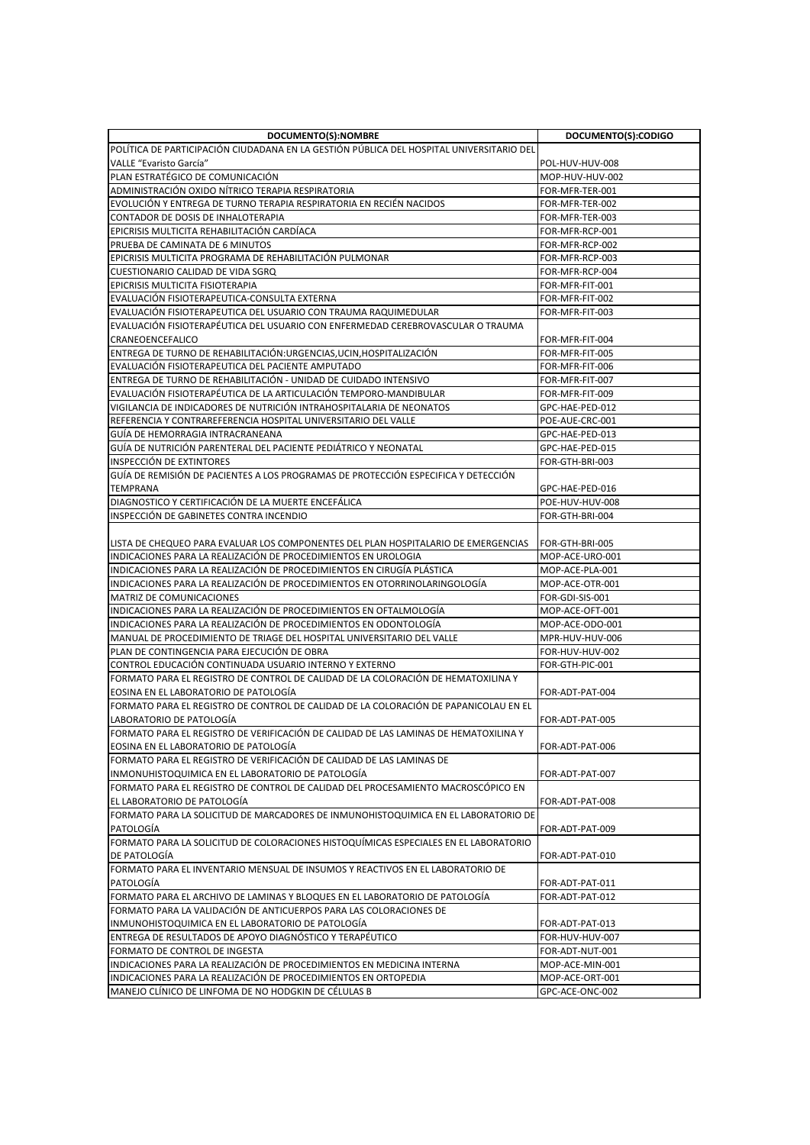| DOCUMENTO(S):NOMBRE                                                                                                               | DOCUMENTO(S):CODIGO |
|-----------------------------------------------------------------------------------------------------------------------------------|---------------------|
| POLÍTICA DE PARTICIPACIÓN CIUDADANA EN LA GESTIÓN PÚBLICA DEL HOSPITAL UNIVERSITARIO DEL                                          |                     |
| VALLE "Evaristo García"<br>POL-HUV-HUV-008                                                                                        |                     |
| PLAN ESTRATÉGICO DE COMUNICACION<br>MOP-HUV-HUV-002                                                                               |                     |
| ADMINISTRACIÓN OXIDO NITRICO TERAPIA RESPIRATORIA<br>FOR-MFR-TER-001                                                              |                     |
| EVOLUCIÓN Y ENTREGA DE TURNO TERAPIA RESPIRATORIA EN RECIÉN NACIDOS<br>FOR-MFR-TER-002                                            |                     |
| CONTADOR DE DOSIS DE INHALOTERAPIA<br>FOR-MFR-TER-003                                                                             |                     |
| EPICRISIS MULTICITA REHABILITACIÓN CARDÍACA<br>FOR-MFR-RCP-001                                                                    |                     |
| PRUEBA DE CAMINATA DE 6 MINUTOS<br>FOR-MFR-RCP-002                                                                                |                     |
| EPICRISIS MULTICITA PROGRAMA DE REHABILITACIÓN PULMONAR<br>FOR-MFR-RCP-003                                                        |                     |
| CUESTIONARIO CALIDAD DE VIDA SGRQ<br>FOR-MFR-RCP-004                                                                              |                     |
| EPICRISIS MULTICITA FISIOTERAPIA<br>FOR-MFR-FIT-001                                                                               |                     |
| EVALUACIÓN FISIOTERAPEUTICA-CONSULTA EXTERNA<br>FOR-MFR-FIT-002                                                                   |                     |
| EVALUACIÓN FISIOTERAPEUTICA DEL USUARIO CON TRAUMA RAQUIMEDULAR<br>FOR-MFR-FIT-003                                                |                     |
| EVALUACIÓN FISIOTERAPÉUTICA DEL USUARIO CON ENFERMEDAD CEREBROVASCULAR O TRAUMA                                                   |                     |
| CRANEOENCEFALICO<br>FOR-MFR-FIT-004                                                                                               |                     |
| ENTREGA DE TURNO DE REHABILITACIÓN: URGENCIAS, UCIN, HOSPITALIZACIÓN<br>FOR-MFR-FIT-005                                           |                     |
| EVALUACIÓN FISIOTERAPEUTICA DEL PACIENTE AMPUTADO<br>FOR-MFR-FIT-006                                                              |                     |
| <b>ENTREGA DE TURNO DE REHABILITACIÓN - UNIDAD DE CUIDADO INTENSIVO</b><br>FOR-MFR-FIT-007                                        |                     |
| EVALUACIÓN FISIOTERAPÉUTICA DE LA ARTICULACIÓN TEMPORO-MANDIBULAR<br>FOR-MFR-FIT-009                                              |                     |
| VIGILANCIA DE INDICADORES DE NUTRICIÓN INTRAHOSPITALARIA DE NEONATOS<br>GPC-HAE-PED-012                                           |                     |
| REFERENCIA Y CONTRAREFERENCIA HOSPITAL UNIVERSITARIO DEL VALLE<br>POE-AUE-CRC-001                                                 |                     |
| GUIA DE HEMORRAGIA INTRACRANEANA<br>GPC-HAE-PED-013                                                                               |                     |
| GUÍA DE NUTRICIÓN PARENTERAL DEL PACIENTE PEDIÁTRICO Y NEONATAL<br>GPC-HAE-PED-015                                                |                     |
| <b>INSPECCIÓN DE EXTINTORES</b><br>FOR-GTH-BRI-003                                                                                |                     |
| GUÍA DE REMISIÓN DE PACIENTES A LOS PROGRAMAS DE PROTECCIÓN ESPECIFICA Y DETECCIÓN                                                |                     |
| <b>TEMPRANA</b><br>GPC-HAE-PED-016                                                                                                |                     |
| DIAGNOSTICO Y CERTIFICACIÓN DE LA MUERTE ENCEFÁLICA<br>POE-HUV-HUV-008                                                            |                     |
| INSPECCIÓN DE GABINETES CONTRA INCENDIO<br>FOR-GTH-BRI-004                                                                        |                     |
|                                                                                                                                   |                     |
| LISTA DE CHEQUEO PARA EVALUAR LOS COMPONENTES DEL PLAN HOSPITALARIO DE EMERGENCIAS<br>FOR-GTH-BRI-005                             |                     |
| INDICACIONES PARA LA REALIZACIÓN DE PROCEDIMIENTOS EN UROLOGIA<br>MOP-ACE-URO-001                                                 |                     |
| INDICACIONES PARA LA REALIZACIÓN DE PROCEDIMIENTOS EN CIRUGÍA PLÁSTICA<br>MOP-ACE-PLA-001                                         |                     |
| INDICACIONES PARA LA REALIZACIÓN DE PROCEDIMIENTOS EN OTORRINOLARINGOLOGÍA<br>MOP-ACE-OTR-001                                     |                     |
| MATRIZ DE COMUNICACIONES<br>FOR-GDI-SIS-001                                                                                       |                     |
| INDICACIONES PARA LA REALIZACIÓN DE PROCEDIMIENTOS EN OFTALMOLOGÍA<br>MOP-ACE-OFT-001                                             |                     |
| INDICACIONES PARA LA REALIZACIÓN DE PROCEDIMIENTOS EN ODONTOLOGÍA<br>MOP-ACE-ODO-001                                              |                     |
| MANUAL DE PROCEDIMIENTO DE TRIAGE DEL HOSPITAL UNIVERSITARIO DEL VALLE<br>MPR-HUV-HUV-006                                         |                     |
| PLAN DE CONTINGENCIA PARA EJECUCIÓN DE OBRA<br>FOR-HUV-HUV-002                                                                    |                     |
| CONTROL EDUCACIÓN CONTINUADA USUARIO INTERNO Y EXTERNO<br>FOR-GTH-PIC-001                                                         |                     |
| FORMATO PARA EL REGISTRO DE CONTROL DE CALIDAD DE LA COLORACIÓN DE HEMATOXILINA Y                                                 |                     |
| EOSINA EN EL LABORATORIO DE PATOLOGÍA<br>FOR-ADT-PAT-004                                                                          |                     |
| FORMATO PARA EL REGISTRO DE CONTROL DE CALIDAD DE LA COLORACIÓN DE PAPANICOLAU EN EL                                              |                     |
| LABORATORIO DE PATOLOGÍA<br>FOR-ADT-PAT-005                                                                                       |                     |
| FORMATO PARA EL REGISTRO DE VERIFICACIÓN DE CALIDAD DE LAS LAMINAS DE HEMATOXILINA Y                                              |                     |
| EOSINA EN EL LABORATORIO DE PATOLOGÍA<br>FOR-ADT-PAT-006<br>FORMATO PARA EL REGISTRO DE VERIFICACIÓN DE CALIDAD DE LAS LAMINAS DE |                     |
| INMONUHISTOQUIMICA EN EL LABORATORIO DE PATOLOGÍA                                                                                 |                     |
| FOR-ADT-PAT-007<br>FORMATO PARA EL REGISTRO DE CONTROL DE CALIDAD DEL PROCESAMIENTO MACROSCÓPICO EN                               |                     |
|                                                                                                                                   |                     |
| EL LABORATORIO DE PATOLOGÍA<br>FOR-ADT-PAT-008                                                                                    |                     |
| FORMATO PARA LA SOLICITUD DE MARCADORES DE INMUNOHISTOQUIMICA EN EL LABORATORIO DE<br>PATOLOGÍA<br>FOR-ADT-PAT-009                |                     |
| FORMATO PARA LA SOLICITUD DE COLORACIONES HISTOQUÍMICAS ESPECIALES EN EL LABORATORIO                                              |                     |
| DE PATOLOGÍA<br>FOR-ADT-PAT-010                                                                                                   |                     |
| FORMATO PARA EL INVENTARIO MENSUAL DE INSUMOS Y REACTIVOS EN EL LABORATORIO DE                                                    |                     |
| PATOLOGÍA<br>FOR-ADT-PAT-011                                                                                                      |                     |
| FORMATO PARA EL ARCHIVO DE LAMINAS Y BLOQUES EN EL LABORATORIO DE PATOLOGIA<br>FOR-ADT-PAT-012                                    |                     |
| FORMATO PARA LA VALIDACIÓN DE ANTICUERPOS PARA LAS COLORACIONES DE                                                                |                     |
| INMUNOHISTOQUIMICA EN EL LABORATORIO DE PATOLOGÍA<br>FOR-ADT-PAT-013                                                              |                     |
| ENTREGA DE RESULTADOS DE APOYO DIAGNÓSTICO Y TERAPÉUTICO<br>FOR-HUV-HUV-007                                                       |                     |
| FORMATO DE CONTROL DE INGESTA<br>FOR-ADT-NUT-001                                                                                  |                     |
|                                                                                                                                   |                     |
| INDICACIONES PARA LA REALIZACIÓN DE PROCEDIMIENTOS EN MEDICINA INTERNA<br>MOP-ACE-MIN-001                                         |                     |
| INDICACIONES PARA LA REALIZACIÓN DE PROCEDIMIENTOS EN ORTOPEDIA<br>MOP-ACE-ORT-001                                                |                     |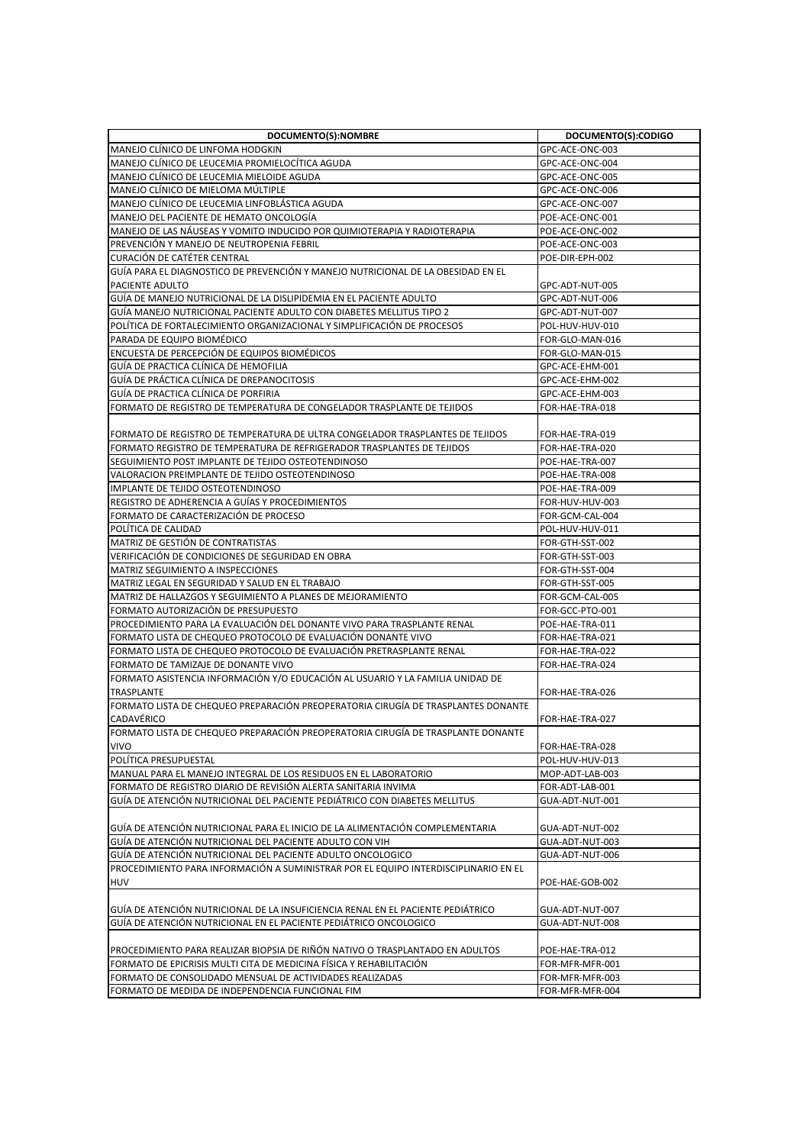| DOCUMENTO(S):NOMBRE                                                                                                                      | DOCUMENTO(S):CODIGO                |
|------------------------------------------------------------------------------------------------------------------------------------------|------------------------------------|
| MANEJO CLÍNICO DE LINFOMA HODGKIN                                                                                                        | GPC-ACE-ONC-003                    |
| MANEJO CLÍNICO DE LEUCEMIA PROMIELOCÍTICA AGUDA                                                                                          | GPC-ACE-ONC-004                    |
| MANEJO CLINICO DE LEUCEMIA MIELOIDE AGUDA                                                                                                | GPC-ACE-ONC-005                    |
| MANEJO CLÍNICO DE MIELOMA MÚLTIPLE                                                                                                       | GPC-ACE-ONC-006                    |
| MANEJO CLÍNICO DE LEUCEMIA LINFOBLÁSTICA AGUDA                                                                                           | GPC-ACE-ONC-007                    |
| MANEJO DEL PACIENTE DE HEMATO ONCOLOGIA                                                                                                  | POE-ACE-ONC-001                    |
| MANEJO DE LAS NAUSEAS Y VOMITO INDUCIDO POR QUIMIOTERAPIA Y RADIOTERAPIA                                                                 | POE-ACE-ONC-002                    |
| PREVENCIÓN Y MANEJO DE NEUTROPENIA FEBRIL                                                                                                | POE-ACE-ONC-003                    |
| <b>CURACIÓN DE CATÉTER CENTRAL</b>                                                                                                       | POE-DIR-EPH-002                    |
| GUÍA PARA EL DIAGNOSTICO DE PREVENCIÓN Y MANEJO NUTRICIONAL DE LA OBESIDAD EN EL                                                         |                                    |
| <b>PACIENTE ADULTO</b>                                                                                                                   | GPC-ADT-NUT-005                    |
| GUIA DE MANEJO NUTRICIONAL DE LA DISLIPIDEMIA EN EL PACIENTE ADULTO                                                                      | GPC-ADT-NUT-006                    |
| GUIA MANEJO NUTRICIONAL PACIENTE ADULTO CON DIABETES MELLITUS TIPO 2                                                                     | GPC-ADT-NUT-007                    |
| IPOLÍTICA DE FORTALECIMIENTO ORGANIZACIONAL Y SIMPLIFICACIÓN DE PROCESOS                                                                 | POL-HUV-HUV-010                    |
| PARADA DE EQUIPO BIOMÉDICO                                                                                                               | FOR-GLO-MAN-016                    |
| ENCUESTA DE PERCEPCIÓN DE EQUIPOS BIOMEDICOS                                                                                             | FOR-GLO-MAN-015                    |
| GUÍA DE PRACTICA CLÍNICA DE HEMOFILIA                                                                                                    | GPC-ACE-EHM-001                    |
| GUÍA DE PRÁCTICA CLÍNICA DE DREPANOCITOSIS                                                                                               | GPC-ACE-EHM-002                    |
| GUIA DE PRACTICA CLINICA DE PORFIRIA                                                                                                     | GPC-ACE-EHM-003                    |
| lformato de registro de temperatura de congelador trasplante de tejidos                                                                  | FOR-HAE-TRA-018                    |
|                                                                                                                                          |                                    |
| FORMATO DE REGISTRO DE TEMPERATURA DE ULTRA CONGELADOR TRASPLANTES DE TEJIDOS                                                            | FOR-HAE-TRA-019                    |
| FORMATO REGISTRO DE TEMPERATURA DE REFRIGERADOR TRASPLANTES DE TEJIDOS                                                                   | FOR-HAE-TRA-020                    |
| SEGUIMIENTO POST IMPLANTE DE TEJIDO OSTEOTENDINOSO                                                                                       | POE-HAE-TRA-007                    |
| VALORACION PREIMPLANTE DE TEJIDO OSTEOTENDINOSO                                                                                          | POE-HAE-TRA-008                    |
| IMPLANTE DE TEJIDO OSTEOTENDINOSO                                                                                                        | POE-HAE-TRA-009                    |
| REGISTRO DE ADHERENCIA A GUÍAS Y PROCEDIMIENTOS                                                                                          | FOR-HUV-HUV-003                    |
| FORMATO DE CARACTERIZACIÓN DE PROCESO                                                                                                    | FOR-GCM-CAL-004                    |
| POLÍTICA DE CALIDAD                                                                                                                      | POL-HUV-HUV-011                    |
| MATRIZ DE GESTIÓN DE CONTRATISTAS                                                                                                        | FOR-GTH-SST-002                    |
| VERIFICACIÓN DE CONDICIONES DE SEGURIDAD EN OBRA                                                                                         | FOR-GTH-SST-003                    |
| <b>MATRIZ SEGUIMIENTO A INSPECCIONES</b>                                                                                                 | FOR-GTH-SST-004                    |
| MATRIZ LEGAL EN SEGURIDAD Y SALUD EN EL TRABAJO                                                                                          | FOR-GTH-SST-005                    |
| MATRIZ DE HALLAZGOS Y SEGUIMIENTO A PLANES DE MEJORAMIENTO                                                                               | FOR-GCM-CAL-005                    |
| FORMATO AUTORIZACIÓN DE PRESUPUESTO                                                                                                      | FOR-GCC-PTO-001                    |
| PROCEDIMIENTO PARA LA EVALUACIÓN DEL DONANTE VIVO PARA TRASPLANTE RENAL<br>FORMATO LISTA DE CHEQUEO PROTOCOLO DE EVALUACIÓN DONANTE VIVO | POE-HAE-TRA-011<br>FOR-HAE-TRA-021 |
| FORMATO LISTA DE CHEQUEO PROTOCOLO DE EVALUACIÓN PRETRASPLANTE RENAL                                                                     | FOR-HAE-TRA-022                    |
| FORMATO DE TAMIZAJE DE DONANTE VIVO                                                                                                      | FOR-HAE-TRA-024                    |
| FORMATO ASISTENCIA INFORMACIÓN Y/O EDUCACIÓN AL USUARIO Y LA FAMILIA UNIDAD DE                                                           |                                    |
| TRASPLANTE                                                                                                                               | FOR-HAE-TRA-026                    |
| FORMATO LISTA DE CHEQUEO PREPARACIÓN PREOPERATORIA CIRUGÍA DE TRASPLANTES DONANTE                                                        |                                    |
| <b>CADAVÉRICO</b>                                                                                                                        | FOR-HAE-TRA-027                    |
| FORMATO LISTA DE CHEQUEO PREPARACIÓN PREOPERATORIA CIRUGÍA DE TRASPLANTE DONANTE                                                         |                                    |
| VIVO                                                                                                                                     | FOR-HAE-TRA-028                    |
| POLÍTICA PRESUPUESTAL                                                                                                                    | POL-HUV-HUV-013                    |
| MANUAL PARA EL MANEJO INTEGRAL DE LOS RESIDUOS EN EL LABORATORIO                                                                         | MOP-ADT-LAB-003                    |
| FORMATO DE REGISTRO DIARIO DE REVISIÓN ALERTA SANITARIA INVIMA                                                                           | FOR-ADT-LAB-001                    |
| GUÍA DE ATENCIÓN NUTRICIONAL DEL PACIENTE PEDIÁTRICO CON DIABETES MELLITUS                                                               | GUA-ADT-NUT-001                    |
|                                                                                                                                          |                                    |
| GUÍA DE ATENCIÓN NUTRICIONAL PARA EL INICIO DE LA ALIMENTACIÓN COMPLEMENTARIA                                                            | GUA-ADT-NUT-002                    |
| GUÍA DE ATENCIÓN NUTRICIONAL DEL PACIENTE ADULTO CON VIH                                                                                 | GUA-ADT-NUT-003                    |
| GUÍA DE ATENCIÓN NUTRICIONAL DEL PACIENTE ADULTO ONCOLOGICO                                                                              | GUA-ADT-NUT-006                    |
| PROCEDIMIENTO PARA INFORMACIÓN A SUMINISTRAR POR EL EQUIPO INTERDISCIPLINARIO EN EL                                                      |                                    |
| <b>HUV</b>                                                                                                                               | POE-HAE-GOB-002                    |
|                                                                                                                                          |                                    |
| GUÍA DE ATENCIÓN NUTRICIONAL DE LA INSUFICIENCIA RENAL EN EL PACIENTE PEDIÁTRICO                                                         | GUA-ADT-NUT-007                    |
| GUÍA DE ATENCIÓN NUTRICIONAL EN EL PACIENTE PEDIÁTRICO ONCOLOGICO                                                                        | GUA-ADT-NUT-008                    |
|                                                                                                                                          |                                    |
| PROCEDIMIENTO PARA REALIZAR BIOPSIA DE RIÑÓN NATIVO O TRASPLANTADO EN ADULTOS                                                            | POE-HAE-TRA-012                    |
| FORMATO DE EPICRISIS MULTI CITA DE MEDICINA FÍSICA Y REHABILITACIÓN                                                                      | FOR-MFR-MFR-001                    |
| FORMATO DE CONSOLIDADO MENSUAL DE ACTIVIDADES REALIZADAS                                                                                 | FOR-MFR-MFR-003                    |
| FORMATO DE MEDIDA DE INDEPENDENCIA FUNCIONAL FIM                                                                                         | FOR-MFR-MFR-004                    |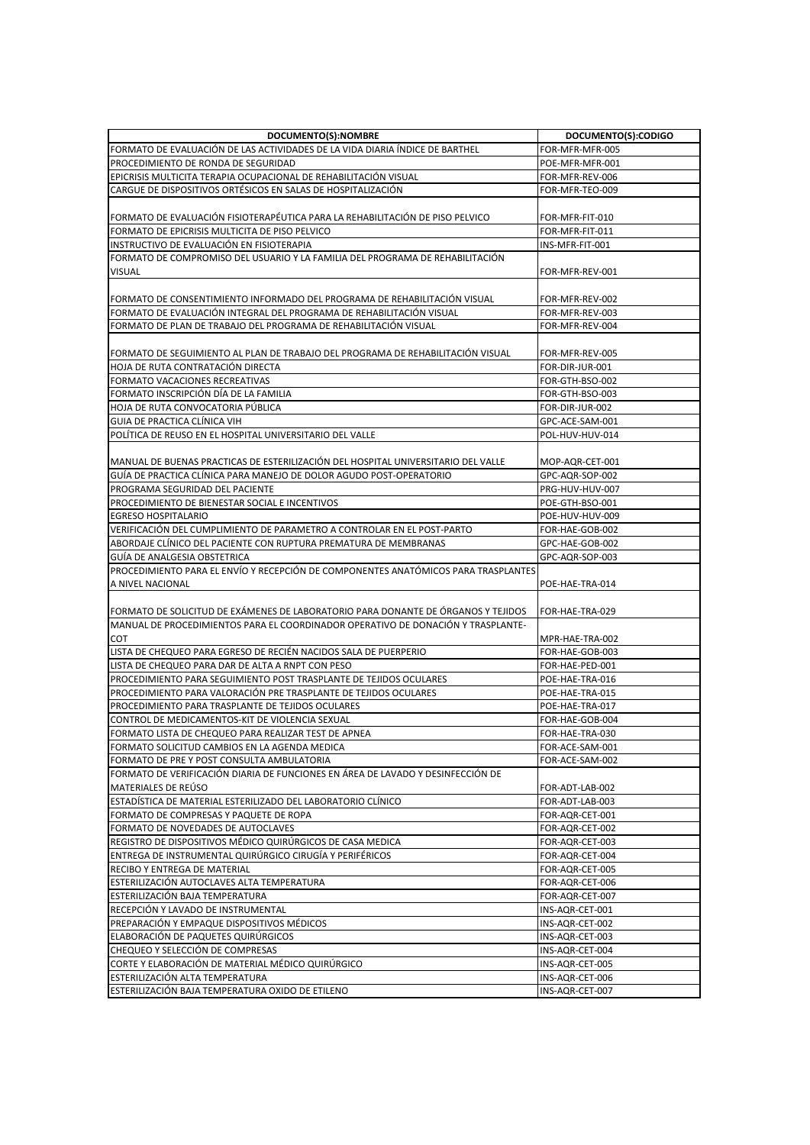| DOCUMENTO(S):NOMBRE                                                                | DOCUMENTO(S):CODIGO |
|------------------------------------------------------------------------------------|---------------------|
| FORMATO DE EVALUACIÓN DE LAS ACTIVIDADES DE LA VIDA DIARIA ÍNDICE DE BARTHEL       | FOR-MFR-MFR-005     |
| PROCEDIMIENTO DE RONDA DE SEGURIDAD                                                | POE-MFR-MFR-001     |
| EPICRISIS MULTICITA TERAPIA OCUPACIONAL DE REHABILITACIÓN VISUAL                   | FOR-MFR-REV-006     |
| CARGUE DE DISPOSITIVOS ORTÉSICOS EN SALAS DE HOSPITALIZACIÓN                       | FOR-MFR-TEO-009     |
|                                                                                    |                     |
| FORMATO DE EVALUACIÓN FISIOTERAPÉUTICA PARA LA REHABILITACIÓN DE PISO PELVICO      | FOR-MFR-FIT-010     |
| FORMATO DE EPICRISIS MULTICITA DE PISO PELVICO                                     | FOR-MFR-FIT-011     |
| INSTRUCTIVO DE EVALUACIÓN EN FISIOTERAPIA                                          | INS-MFR-FIT-001     |
| FORMATO DE COMPROMISO DEL USUARIO Y LA FAMILIA DEL PROGRAMA DE REHABILITACIÓN      |                     |
| <b>VISUAL</b>                                                                      | FOR-MFR-REV-001     |
|                                                                                    |                     |
| FORMATO DE CONSENTIMIENTO INFORMADO DEL PROGRAMA DE REHABILITACIÓN VISUAL          | FOR-MFR-REV-002     |
| FORMATO DE EVALUACIÓN INTEGRAL DEL PROGRAMA DE REHABILITACIÓN VISUAL               | FOR-MFR-REV-003     |
| FORMATO DE PLAN DE TRABAJO DEL PROGRAMA DE REHABILITACIÓN VISUAL                   | FOR-MFR-REV-004     |
|                                                                                    |                     |
| FORMATO DE SEGUIMIENTO AL PLAN DE TRABAJO DEL PROGRAMA DE REHABILITACIÓN VISUAL    | FOR-MFR-REV-005     |
| HOJA DE RUTA CONTRATACIÓN DIRECTA                                                  | FOR-DIR-JUR-001     |
| FORMATO VACACIONES RECREATIVAS                                                     | FOR-GTH-BSO-002     |
| FORMATO INSCRIPCIÓN DÍA DE LA FAMILIA                                              | FOR-GTH-BSO-003     |
| HOJA DE RUTA CONVOCATORIA PÚBLICA                                                  | FOR-DIR-JUR-002     |
| GUIA DE PRACTICA CLÍNICA VIH                                                       | GPC-ACE-SAM-001     |
| POLÍTICA DE REUSO EN EL HOSPITAL UNIVERSITARIO DEL VALLE                           | POL-HUV-HUV-014     |
|                                                                                    |                     |
| MANUAL DE BUENAS PRACTICAS DE ESTERILIZACIÓN DEL HOSPITAL UNIVERSITARIO DEL VALLE  | MOP-AQR-CET-001     |
| GUÍA DE PRACTICA CLÍNICA PARA MANEJO DE DOLOR AGUDO POST-OPERATORIO                | GPC-AQR-SOP-002     |
| PROGRAMA SEGURIDAD DEL PACIENTE                                                    | PRG-HUV-HUV-007     |
| PROCEDIMIENTO DE BIENESTAR SOCIAL E INCENTIVOS                                     | POE-GTH-BSO-001     |
| <b>EGRESO HOSPITALARIO</b>                                                         | POE-HUV-HUV-009     |
| VERIFICACIÓN DEL CUMPLIMIENTO DE PARAMETRO A CONTROLAR EN EL POST-PARTO            | FOR-HAE-GOB-002     |
| ABORDAJE CLINICO DEL PACIENTE CON RUPTURA PREMATURA DE MEMBRANAS                   | GPC-HAE-GOB-002     |
| GUIA DE ANALGESIA OBSTETRICA                                                       | GPC-AQR-SOP-003     |
| PROCEDIMIENTO PARA EL ENVÍO Y RECEPCIÓN DE COMPONENTES ANATÓMICOS PARA TRASPLANTES |                     |
| A NIVEL NACIONAL                                                                   | POE-HAE-TRA-014     |
|                                                                                    |                     |
| FORMATO DE SOLICITUD DE EXÁMENES DE LABORATORIO PARA DONANTE DE ÓRGANOS Y TEJIDOS  | FOR-HAE-TRA-029     |
| MANUAL DE PROCEDIMIENTOS PARA EL COORDINADOR OPERATIVO DE DONACIÓN Y TRASPLANTE-   |                     |
| <b>COT</b>                                                                         | MPR-HAE-TRA-002     |
| LISTA DE CHEQUEO PARA EGRESO DE RECIÉN NACIDOS SALA DE PUERPERIO                   | FOR-HAE-GOB-003     |
| LISTA DE CHEQUEO PARA DAR DE ALTA A RNPT CON PESO                                  | FOR-HAE-PED-001     |
| PROCEDIMIENTO PARA SEGUIMIENTO POST TRASPLANTE DE TEJIDOS OCULARES                 | POE-HAE-TRA-016     |
| PROCEDIMIENTO PARA VALORACIÓN PRE TRASPLANTE DE TEJIDOS OCULARES                   | POE-HAE-TRA-015     |
| PROCEDIMIENTO PARA TRASPLANTE DE TEJIDOS OCULARES                                  | POE-HAE-TRA-017     |
| CONTROL DE MEDICAMENTOS-KIT DE VIOLENCIA SEXUAL                                    | FOR-HAE-GOB-004     |
| FORMATO LISTA DE CHEQUEO PARA REALIZAR TEST DE APNEA                               | FOR-HAE-TRA-030     |
| FORMATO SOLICITUD CAMBIOS EN LA AGENDA MEDICA                                      | FOR-ACE-SAM-001     |
| FORMATO DE PRE Y POST CONSULTA AMBULATORIA                                         | FOR-ACE-SAM-002     |
| FORMATO DE VERIFICACIÓN DIARIA DE FUNCIONES EN ÁREA DE LAVADO Y DESINFECCIÓN DE    |                     |
| MATERIALES DE REÚSO                                                                | FOR-ADT-LAB-002     |
| ESTADÍSTICA DE MATERIAL ESTERILIZADO DEL LABORATORIO CLÍNICO                       | FOR-ADT-LAB-003     |
| FORMATO DE COMPRESAS Y PAQUETE DE ROPA                                             | FOR-AQR-CET-001     |
| FORMATO DE NOVEDADES DE AUTOCLAVES                                                 | FOR-AQR-CET-002     |
| REGISTRO DE DISPOSITIVOS MÉDICO QUIRÚRGICOS DE CASA MEDICA                         | FOR-AQR-CET-003     |
| ENTREGA DE INSTRUMENTAL QUIRÚRGICO CIRUGÍA Y PERIFÉRICOS                           | FOR-AQR-CET-004     |
| RECIBO Y ENTREGA DE MATERIAL                                                       | FOR-AQR-CET-005     |
| ESTERILIZACIÓN AUTOCLAVES ALTA TEMPERATURA                                         | FOR-AQR-CET-006     |
| ESTERILIZACIÓN BAJA TEMPERATURA                                                    | FOR-AQR-CET-007     |
| RECEPCIÓN Y LAVADO DE INSTRUMENTAL                                                 | INS-AQR-CET-001     |
| PREPARACIÓN Y EMPAQUE DISPOSITIVOS MÉDICOS                                         | INS-AQR-CET-002     |
| ELABORACIÓN DE PAQUETES QUIRÚRGICOS                                                | INS-AQR-CET-003     |
| CHEQUEO Y SELECCIÓN DE COMPRESAS                                                   | INS-AQR-CET-004     |
| CORTE Y ELABORACIÓN DE MATERIAL MÉDICO QUIRÚRGICO                                  | INS-AQR-CET-005     |
| ESTERILIZACIÓN ALTA TEMPERATURA                                                    | INS-AQR-CET-006     |
| ESTERILIZACIÓN BAJA TEMPERATURA OXIDO DE ETILENO                                   | INS-AQR-CET-007     |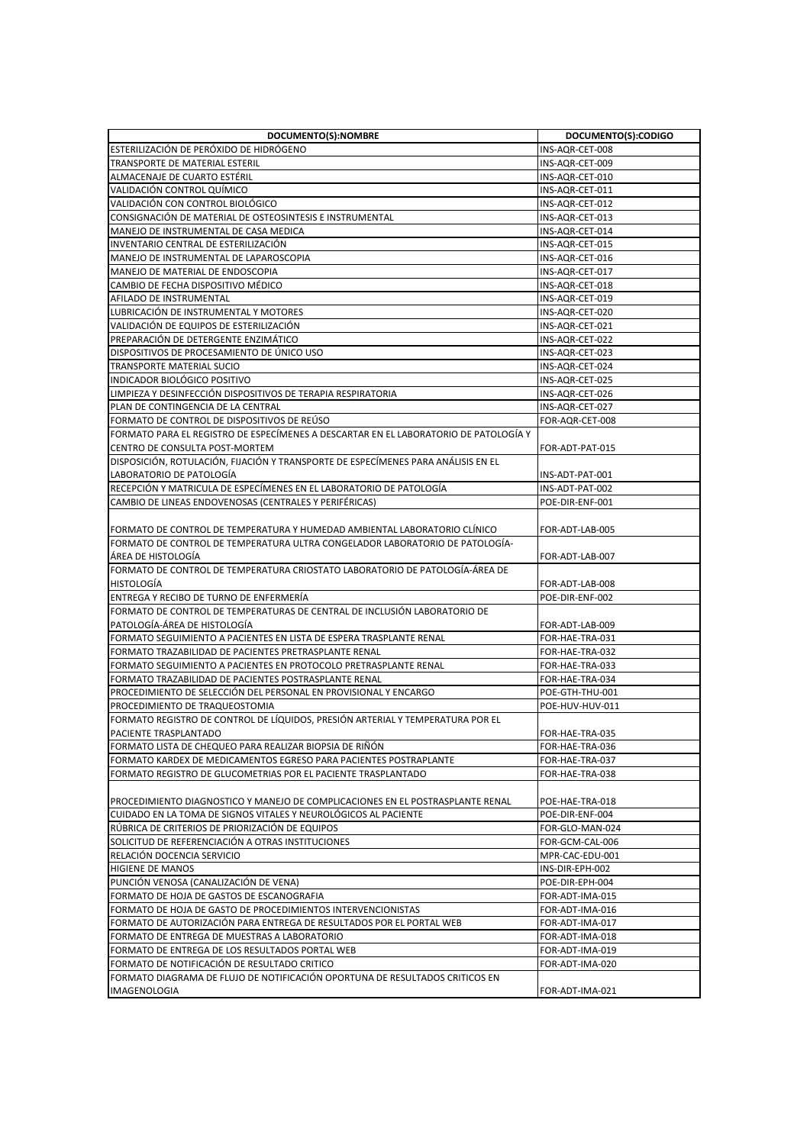| DOCUMENTO(S):NOMBRE                                                                  | DOCUMENTO(S):CODIGO |
|--------------------------------------------------------------------------------------|---------------------|
| ESTERILIZACIÓN DE PERÓXIDO DE HIDRÓGENO                                              | INS-AQR-CET-008     |
| TRANSPORTE DE MATERIAL ESTERIL                                                       | INS-AQR-CET-009     |
| ALMACENAJE DE CUARTO ESTÉRIL                                                         | INS-AQR-CET-010     |
| VALIDACIÓN CONTROL QUÍMICO                                                           | INS-AQR-CET-011     |
| VALIDACIÓN CON CONTROL BIOLÓGICO                                                     | INS-AQR-CET-012     |
| CONSIGNACIÓN DE MATERIAL DE OSTEOSINTESIS E INSTRUMENTAL                             | INS-AQR-CET-013     |
| MANEJO DE INSTRUMENTAL DE CASA MEDICA                                                | INS-AQR-CET-014     |
| INVENTARIO CENTRAL DE ESTERILIZACIÓN                                                 | INS-AQR-CET-015     |
| MANEJO DE INSTRUMENTAL DE LAPAROSCOPIA                                               | INS-AQR-CET-016     |
| MANEJO DE MATERIAL DE ENDOSCOPIA                                                     | INS-AQR-CET-017     |
| CAMBIO DE FECHA DISPOSITIVO MÉDICO                                                   | INS-AQR-CET-018     |
| AFILADO DE INSTRUMENTAL                                                              | INS-AQR-CET-019     |
| LUBRICACIÓN DE INSTRUMENTAL Y MOTORES                                                | INS-AQR-CET-020     |
| VALIDACIÓN DE EQUIPOS DE ESTERILIZACIÓN                                              | INS-AQR-CET-021     |
| PREPARACIÓN DE DETERGENTE ENZIMÁTICO                                                 | INS-AQR-CET-022     |
| DISPOSITIVOS DE PROCESAMIENTO DE ÚNICO USO                                           | INS-AQR-CET-023     |
| <b>TRANSPORTE MATERIAL SUCIO</b>                                                     | INS-AQR-CET-024     |
| INDICADOR BIOLÓGICO POSITIVO                                                         | INS-AQR-CET-025     |
| LIMPIEZA Y DESINFECCIÓN DISPOSITIVOS DE TERAPIA RESPIRATORIA                         | INS-AQR-CET-026     |
| PLAN DE CONTINGENCIA DE LA CENTRAL                                                   | INS-AQR-CET-027     |
| FORMATO DE CONTROL DE DISPOSITIVOS DE REUSO                                          | FOR-AQR-CET-008     |
| FORMATO PARA EL REGISTRO DE ESPECÍMENES A DESCARTAR EN EL LABORATORIO DE PATOLOGÍA Y |                     |
| CENTRO DE CONSULTA POST-MORTEM                                                       | FOR-ADT-PAT-015     |
| DISPOSICIÓN, ROTULACIÓN, FIJACIÓN Y TRANSPORTE DE ESPECÍMENES PARA ANÁLISIS EN EL    |                     |
| LABORATORIO DE PATOLOGÍA                                                             | INS-ADT-PAT-001     |
| RECEPCIÓN Y MATRICULA DE ESPECÍMENES EN EL LABORATORIO DE PATOLOGÍA                  | INS-ADT-PAT-002     |
| CAMBIO DE LINEAS ENDOVENOSAS (CENTRALES Y PERIFÉRICAS)                               | POE-DIR-ENF-001     |
|                                                                                      |                     |
| FORMATO DE CONTROL DE TEMPERATURA Y HUMEDAD AMBIENTAL LABORATORIO CLINICO            | FOR-ADT-LAB-005     |
| FORMATO DE CONTROL DE TEMPERATURA ULTRA CONGELADOR LABORATORIO DE PATOLOGÍA-         |                     |
| ÁREA DE HISTOLOGÍA                                                                   | FOR-ADT-LAB-007     |
| FORMATO DE CONTROL DE TEMPERATURA CRIOSTATO LABORATORIO DE PATOLOGÍA-ÁREA DE         |                     |
| <b>HISTOLOGÍA</b>                                                                    | FOR-ADT-LAB-008     |
| ENTREGA Y RECIBO DE TURNO DE ENFERMERÍA                                              | POE-DIR-ENF-002     |
| FORMATO DE CONTROL DE TEMPERATURAS DE CENTRAL DE INCLUSIÓN LABORATORIO DE            |                     |
| PATOLOGÍA-ÁREA DE HISTOLOGÍA                                                         | FOR-ADT-LAB-009     |
| FORMATO SEGUIMIENTO A PACIENTES EN LISTA DE ESPERA TRASPLANTE RENAL                  | FOR-HAE-TRA-031     |
| FORMATO TRAZABILIDAD DE PACIENTES PRETRASPLANTE RENAL                                | FOR-HAE-TRA-032     |
| FORMATO SEGUIMIENTO A PACIENTES EN PROTOCOLO PRETRASPLANTE RENAL                     | FOR-HAE-TRA-033     |
| FORMATO TRAZABILIDAD DE PACIENTES POSTRASPLANTE RENAL                                | FOR-HAE-TRA-034     |
| PROCEDIMIENTO DE SELECCIÓN DEL PERSONAL EN PROVISIONAL Y ENCARGO                     | POE-GTH-THU-001     |
| PROCEDIMIENTO DE TRAQUEOSTOMIA                                                       | POE-HUV-HUV-011     |
| FORMATO REGISTRO DE CONTROL DE LÍQUIDOS, PRESIÓN ARTERIAL Y TEMPERATURA POR EL       |                     |
| PACIENTE TRASPLANTADO                                                                | FOR-HAE-TRA-035     |
| FORMATO LISTA DE CHEQUEO PARA REALIZAR BIOPSIA DE RIÑÓN                              | FOR-HAE-TRA-036     |
| FORMATO KARDEX DE MEDICAMENTOS EGRESO PARA PACIENTES POSTRAPLANTE                    | FOR-HAE-TRA-037     |
| FORMATO REGISTRO DE GLUCOMETRIAS POR EL PACIENTE TRASPLANTADO                        | FOR-HAE-TRA-038     |
|                                                                                      |                     |
| PROCEDIMIENTO DIAGNOSTICO Y MANEJO DE COMPLICACIONES EN EL POSTRASPLANTE RENAL       | POE-HAE-TRA-018     |
| CUIDADO EN LA TOMA DE SIGNOS VITALES Y NEUROLÓGICOS AL PACIENTE                      | POE-DIR-ENF-004     |
| RÚBRICA DE CRITERIOS DE PRIORIZACIÓN DE EQUIPOS                                      | FOR-GLO-MAN-024     |
| SOLICITUD DE REFERENCIACIÓN A OTRAS INSTITUCIONES                                    | FOR-GCM-CAL-006     |
| RELACIÓN DOCENCIA SERVICIO                                                           | MPR-CAC-EDU-001     |
| <b>HIGIENE DE MANOS</b>                                                              | INS-DIR-EPH-002     |
| PUNCIÓN VENOSA (CANALIZACIÓN DE VENA)                                                | POE-DIR-EPH-004     |
| FORMATO DE HOJA DE GASTOS DE ESCANOGRAFIA                                            | FOR-ADT-IMA-015     |
| FORMATO DE HOJA DE GASTO DE PROCEDIMIENTOS INTERVENCIONISTAS                         | FOR-ADT-IMA-016     |
| FORMATO DE AUTORIZACIÓN PARA ENTREGA DE RESULTADOS POR EL PORTAL WEB                 | FOR-ADT-IMA-017     |
| FORMATO DE ENTREGA DE MUESTRAS A LABORATORIO                                         | FOR-ADT-IMA-018     |
| FORMATO DE ENTREGA DE LOS RESULTADOS PORTAL WEB                                      | FOR-ADT-IMA-019     |
| FORMATO DE NOTIFICACIÓN DE RESULTADO CRITICO                                         | FOR-ADT-IMA-020     |
| FORMATO DIAGRAMA DE FLUJO DE NOTIFICACIÓN OPORTUNA DE RESULTADOS CRITICOS EN         |                     |
| IMAGENOLOGIA                                                                         | FOR-ADT-IMA-021     |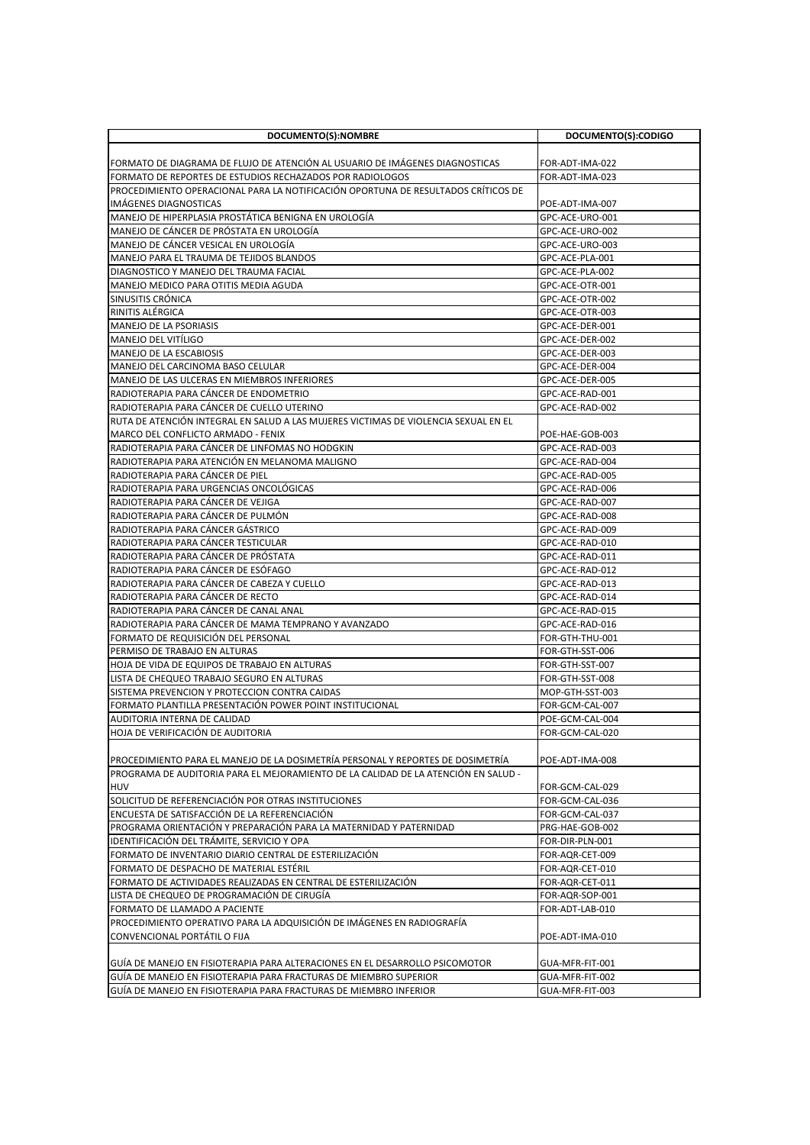| DOCUMENTO(S):NOMBRE                                                                              | DOCUMENTO(S):CODIGO                |
|--------------------------------------------------------------------------------------------------|------------------------------------|
|                                                                                                  |                                    |
| FORMATO DE DIAGRAMA DE FLUJO DE ATENCIÓN AL USUARIO DE IMÁGENES DIAGNOSTICAS                     | FOR-ADT-IMA-022                    |
| FORMATO DE REPORTES DE ESTUDIOS RECHAZADOS POR RADIOLOGOS                                        | FOR-ADT-IMA-023                    |
| PROCEDIMIENTO OPERACIONAL PARA LA NOTIFICACIÓN OPORTUNA DE RESULTADOS CRÍTICOS DE                |                                    |
| <b>IMAGENES DIAGNOSTICAS</b>                                                                     | POE-ADT-IMA-007<br>GPC-ACE-URO-001 |
| MANEJO DE HIPERPLASIA PROSTÁTICA BENIGNA EN UROLOGÍA<br>MANEJO DE CANCER DE PROSTATA EN UROLOGIA | GPC-ACE-URO-002                    |
| MANEJO DE CÁNCER VESICAL EN UROLOGÍA                                                             | GPC-ACE-URO-003                    |
| MANEJO PARA EL TRAUMA DE TEJIDOS BLANDOS                                                         | GPC-ACE-PLA-001                    |
| DIAGNOSTICO Y MANEJO DEL TRAUMA FACIAL                                                           | GPC-ACE-PLA-002                    |
| MANEJO MEDICO PARA OTITIS MEDIA AGUDA                                                            | GPC-ACE-OTR-001                    |
| <b>SINUSITIS CRONICA</b>                                                                         | GPC-ACE-OTR-002                    |
| RINITIS ALÉRGICA                                                                                 | GPC-ACE-OTR-003                    |
| <b>MANEJO DE LA PSORIASIS</b>                                                                    | GPC-ACE-DER-001                    |
| MANEJO DEL VITÍLIGO                                                                              | GPC-ACE-DER-002                    |
| <b>MANEJO DE LA ESCABIOSIS</b>                                                                   | GPC-ACE-DER-003                    |
| MANEJO DEL CARCINOMA BASO CELULAR                                                                | GPC-ACE-DER-004                    |
| MANEJO DE LAS ULCERAS EN MIEMBROS INFERIORES                                                     | GPC-ACE-DER-005                    |
| RADIOTERAPIA PARA CANCER DE ENDOMETRIO                                                           | GPC-ACE-RAD-001                    |
| RADIOTERAPIA PARA CÁNCER DE CUELLO UTERINO                                                       | GPC-ACE-RAD-002                    |
| RUTA DE ATENCIÓN INTEGRAL EN SALUD A LAS MUJERES VICTIMAS DE VIOLENCIA SEXUAL EN EL              |                                    |
| MARCO DEL CONFLICTO ARMADO - FENIX                                                               | POE-HAE-GOB-003                    |
| RADIOTERAPIA PARA CÁNCER DE LINFOMAS NO HODGKIN                                                  | GPC-ACE-RAD-003                    |
| RADIOTERAPIA PARA ATENCIÓN EN MELANOMA MALIGNO                                                   | GPC-ACE-RAD-004                    |
| RADIOTERAPIA PARA CANCER DE PIEL                                                                 | GPC-ACE-RAD-005                    |
| RADIOTERAPIA PARA URGENCIAS ONCOLÓGICAS<br>RADIOTERAPIA PARA CANCER DE VEJIGA                    | GPC-ACE-RAD-006<br>GPC-ACE-RAD-007 |
| RADIOTERAPIA PARA CANCER DE PULMON                                                               | GPC-ACE-RAD-008                    |
| RADIOTERAPIA PARA CÁNCER GÁSTRICO                                                                | GPC-ACE-RAD-009                    |
| RADIOTERAPIA PARA CANCER TESTICULAR                                                              | GPC-ACE-RAD-010                    |
| RADIOTERAPIA PARA CANCER DE PROSTATA                                                             | GPC-ACE-RAD-011                    |
| RADIOTERAPIA PARA CÁNCER DE ESÓFAGO                                                              | GPC-ACE-RAD-012                    |
| RADIOTERAPIA PARA CANCER DE CABEZA Y CUELLO                                                      | GPC-ACE-RAD-013                    |
| RADIOTERAPIA PARA CANCER DE RECTO                                                                | GPC-ACE-RAD-014                    |
| RADIOTERAPIA PARA CÁNCER DE CANAL ANAL                                                           | GPC-ACE-RAD-015                    |
| RADIOTERAPIA PARA CANCER DE MAMA TEMPRANO Y AVANZADO                                             | GPC-ACE-RAD-016                    |
| FORMATO DE REQUISICIÓN DEL PERSONAL                                                              | FOR-GTH-THU-001                    |
| PERMISO DE TRABAJO EN ALTURAS                                                                    | FOR-GTH-SST-006                    |
| HOJA DE VIDA DE EQUIPOS DE TRABAJO EN ALTURAS                                                    | FOR-GTH-SST-007                    |
| LISTA DE CHEQUEO TRABAJO SEGURO EN ALTURAS                                                       | FOR-GTH-SST-008                    |
| SISTEMA PREVENCION Y PROTECCION CONTRA CAIDAS                                                    | MOP-GTH-SST-003                    |
| FORMATO PLANTILLA PRESENTACIÓN POWER POINT INSTITUCIONAL                                         | FOR-GCM-CAL-007                    |
| AUDITORIA INTERNA DE CALIDAD<br>HOJA DE VERIFICACIÓN DE AUDITORIA                                | POE-GCM-CAL-004                    |
|                                                                                                  | FOR-GCM-CAL-020                    |
| PROCEDIMIENTO PARA EL MANEJO DE LA DOSIMETRÍA PERSONAL Y REPORTES DE DOSIMETRÍA                  | POE-ADT-IMA-008                    |
| PROGRAMA DE AUDITORIA PARA EL MEJORAMIENTO DE LA CALIDAD DE LA ATENCIÓN EN SALUD -               |                                    |
| HUV                                                                                              | FOR-GCM-CAL-029                    |
| SOLICITUD DE REFERENCIACIÓN POR OTRAS INSTITUCIONES                                              | FOR-GCM-CAL-036                    |
| ENCUESTA DE SATISFACCIÓN DE LA REFERENCIACIÓN                                                    | FOR-GCM-CAL-037                    |
| PROGRAMA ORIENTACIÓN Y PREPARACIÓN PARA LA MATERNIDAD Y PATERNIDAD                               | PRG-HAE-GOB-002                    |
| IDENTIFICACIÓN DEL TRÁMITE, SERVICIO Y OPA                                                       | FOR-DIR-PLN-001                    |
| FORMATO DE INVENTARIO DIARIO CENTRAL DE ESTERILIZACIÓN                                           | FOR-AQR-CET-009                    |
| FORMATO DE DESPACHO DE MATERIAL ESTÉRIL                                                          | FOR-AQR-CET-010                    |
| FORMATO DE ACTIVIDADES REALIZADAS EN CENTRAL DE ESTERILIZACIÓN                                   | FOR-AQR-CET-011                    |
| LISTA DE CHEQUEO DE PROGRAMACIÓN DE CIRUGÍA                                                      | FOR-AQR-SOP-001                    |
| FORMATO DE LLAMADO A PACIENTE                                                                    | FOR-ADT-LAB-010                    |
| PROCEDIMIENTO OPERATIVO PARA LA ADQUISICIÓN DE IMÁGENES EN RADIOGRAFÍA                           |                                    |
| CONVENCIONAL PORTÁTIL O FIJA                                                                     | POE-ADT-IMA-010                    |
| GUIA DE MANEJO EN FISIOTERAPIA PARA ALTERACIONES EN EL DESARROLLO PSICOMOTOR                     | GUA-MFR-FIT-001                    |
| GUÍA DE MANEJO EN FISIOTERAPIA PARA FRACTURAS DE MIEMBRO SUPERIOR                                | GUA-MFR-FIT-002                    |
| GUÍA DE MANEJO EN FISIOTERAPIA PARA FRACTURAS DE MIEMBRO INFERIOR                                | GUA-MFR-FIT-003                    |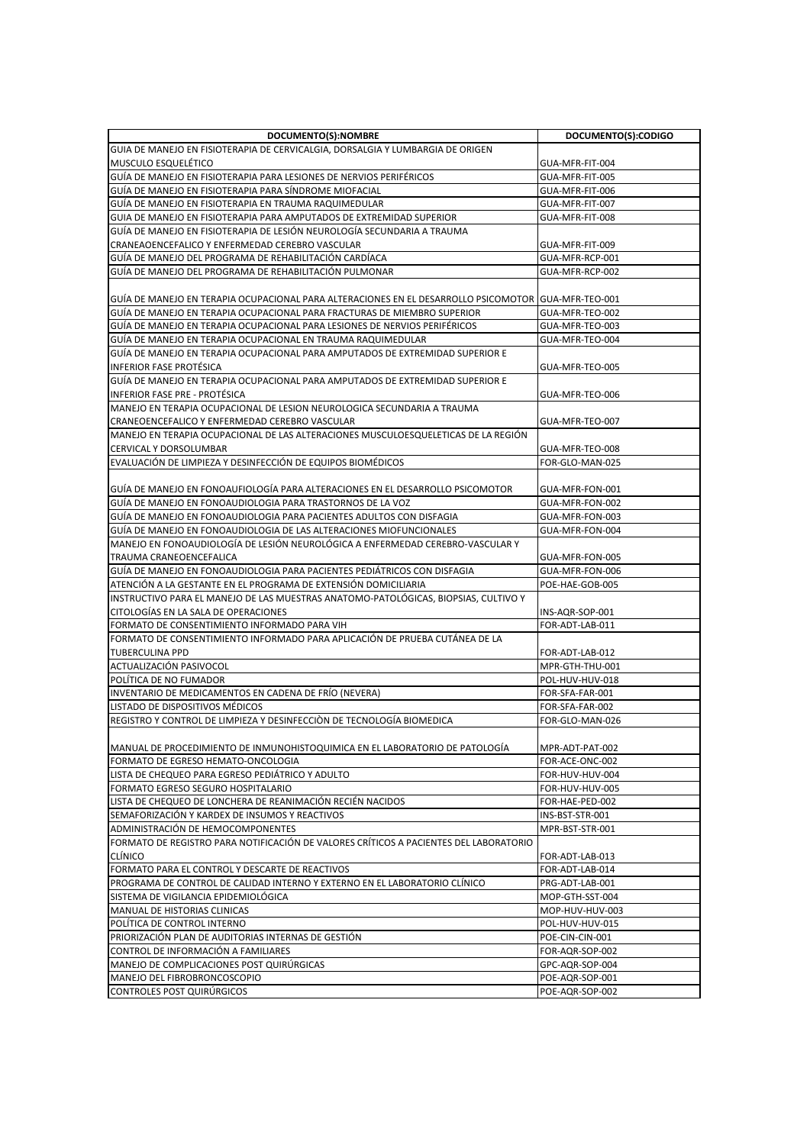| DOCUMENTO(S):NOMBRE                                                                                  | DOCUMENTO(S):CODIGO |
|------------------------------------------------------------------------------------------------------|---------------------|
| GUIA DE MANEJO EN FISIOTERAPIA DE CERVICALGIA, DORSALGIA Y LUMBARGIA DE ORIGEN                       |                     |
| MUSCULO ESQUELÉTICO                                                                                  | GUA-MFR-FIT-004     |
| GUÍA DE MANEJO EN FISIOTERAPIA PARA LESIONES DE NERVIOS PERIFÉRICOS                                  | GUA-MFR-FIT-005     |
| GUÍA DE MANEJO EN FISIOTERAPIA PARA SÍNDROME MIOFACIAL                                               | GUA-MFR-FIT-006     |
| GUÍA DE MANEJO EN FISIOTERAPIA EN TRAUMA RAQUIMEDULAR                                                | GUA-MFR-FIT-007     |
| GUIA DE MANEJO EN FISIOTERAPIA PARA AMPUTADOS DE EXTREMIDAD SUPERIOR                                 | GUA-MFR-FIT-008     |
| GUÍA DE MANEJO EN FISIOTERAPIA DE LESIÓN NEUROLOGÍA SECUNDARIA A TRAUMA                              |                     |
| CRANEAOENCEFALICO Y ENFERMEDAD CEREBRO VASCULAR                                                      | GUA-MFR-FIT-009     |
| GUÍA DE MANEJO DEL PROGRAMA DE REHABILITACIÓN CARDIACA                                               | GUA-MFR-RCP-001     |
| GUÍA DE MANEJO DEL PROGRAMA DE REHABILITACIÓN PULMONAR                                               | GUA-MFR-RCP-002     |
|                                                                                                      |                     |
| GUIA DE MANEJO EN TERAPIA OCUPACIONAL PARA ALTERACIONES EN EL DESARROLLO PSICOMOTOR  GUA-MFR-TEO-001 |                     |
| GUÍA DE MANEJO EN TERAPIA OCUPACIONAL PARA FRACTURAS DE MIEMBRO SUPERIOR                             | GUA-MFR-TEO-002     |
| GUÍA DE MANEJO EN TERAPIA OCUPACIONAL PARA LESIONES DE NERVIOS PERIFÉRICOS                           | GUA-MFR-TEO-003     |
| GUIA DE MANEJO EN TERAPIA OCUPACIONAL EN TRAUMA RAQUIMEDULAR                                         | GUA-MFR-TEO-004     |
| GUÍA DE MANEJO EN TERAPIA OCUPACIONAL PARA AMPUTADOS DE EXTREMIDAD SUPERIOR E                        |                     |
| INFERIOR FASE PROTÉSICA                                                                              | GUA-MFR-TEO-005     |
| GUÍA DE MANEJO EN TERAPIA OCUPACIONAL PARA AMPUTADOS DE EXTREMIDAD SUPERIOR E                        |                     |
| <b>INFERIOR FASE PRE - PROTÉSICA</b>                                                                 | GUA-MFR-TEO-006     |
| MANEJO EN TERAPIA OCUPACIONAL DE LESION NEUROLOGICA SECUNDARIA A TRAUMA                              |                     |
| CRANEOENCEFALICO Y ENFERMEDAD CEREBRO VASCULAR                                                       | GUA-MFR-TEO-007     |
| MANEJO EN TERAPIA OCUPACIONAL DE LAS ALTERACIONES MUSCULOESQUELETICAS DE LA REGION                   |                     |
| CERVICAL Y DORSOLUMBAR                                                                               | GUA-MFR-TEO-008     |
| EVALUACIÓN DE LIMPIEZA Y DESINFECCIÓN DE EQUIPOS BIOMÉDICOS                                          | FOR-GLO-MAN-025     |
|                                                                                                      |                     |
| GUÍA DE MANEJO EN FONOAUFIOLOGÍA PARA ALTERACIONES EN EL DESARROLLO PSICOMOTOR                       | GUA-MFR-FON-001     |
| GUÍA DE MANEJO EN FONOAUDIOLOGIA PARA TRASTORNOS DE LA VOZ                                           | GUA-MFR-FON-002     |
| GUIA DE MANEJO EN FONOAUDIOLOGIA PARA PACIENTES ADULTOS CON DISFAGIA                                 | GUA-MFR-FON-003     |
| GUÍA DE MANEJO EN FONOAUDIOLOGIA DE LAS ALTERACIONES MIOFUNCIONALES                                  | GUA-MFR-FON-004     |
| MANEJO EN FONOAUDIOLOGÍA DE LESIÓN NEUROLÓGICA A ENFERMEDAD CEREBRO-VASCULAR Y                       |                     |
| TRAUMA CRANEOENCEFALICA                                                                              | GUA-MFR-FON-005     |
| GUÍA DE MANEJO EN FONOAUDIOLOGIA PARA PACIENTES PEDIÁTRICOS CON DISFAGIA                             | GUA-MFR-FON-006     |
| ATENCIÓN A LA GESTANTE EN EL PROGRAMA DE EXTENSIÓN DOMICILIARIA                                      | POE-HAE-GOB-005     |
| INSTRUCTIVO PARA EL MANEJO DE LAS MUESTRAS ANATOMO-PATOLÓGICAS, BIOPSIAS, CULTIVO Y                  |                     |
| CITOLOGÍAS EN LA SALA DE OPERACIONES                                                                 | INS-AQR-SOP-001     |
| FORMATO DE CONSENTIMIENTO INFORMADO PARA VIH                                                         | FOR-ADT-LAB-011     |
| FORMATO DE CONSENTIMIENTO INFORMADO PARA APLICACIÓN DE PRUEBA CUTÁNEA DE LA                          |                     |
| <b>TUBERCULINA PPD</b>                                                                               | FOR-ADT-LAB-012     |
| ACTUALIZACIÓN PASIVOCOL                                                                              | MPR-GTH-THU-001     |
| POLITICA DE NO FUMADOR                                                                               | POL-HUV-HUV-018     |
| INVENTARIO DE MEDICAMENTOS EN CADENA DE FRÍO (NEVERA)                                                | FOR-SFA-FAR-001     |
| LISTADO DE DISPOSITIVOS MÉDICOS                                                                      | FOR-SFA-FAR-002     |
| REGISTRO Y CONTROL DE LIMPIEZA Y DESINFECCIÓN DE TECNOLOGÍA BIOMEDICA                                | FOR-GLO-MAN-026     |
|                                                                                                      |                     |
| MANUAL DE PROCEDIMIENTO DE INMUNOHISTOQUIMICA EN EL LABORATORIO DE PATOLOGÍA                         | MPR-ADT-PAT-002     |
| FORMATO DE EGRESO HEMATO-ONCOLOGIA                                                                   | FOR-ACE-ONC-002     |
| LISTA DE CHEQUEO PARA EGRESO PEDIÁTRICO Y ADULTO                                                     | FOR-HUV-HUV-004     |
| FORMATO EGRESO SEGURO HOSPITALARIO                                                                   | FOR-HUV-HUV-005     |
| LISTA DE CHEQUEO DE LONCHERA DE REANIMACIÓN RECIÉN NACIDOS                                           | FOR-HAE-PED-002     |
| SEMAFORIZACIÓN Y KARDEX DE INSUMOS Y REACTIVOS                                                       | INS-BST-STR-001     |
| ADMINISTRACIÓN DE HEMOCOMPONENTES                                                                    | MPR-BST-STR-001     |
| FORMATO DE REGISTRO PARA NOTIFICACIÓN DE VALORES CRÍTICOS A PACIENTES DEL LABORATORIO                |                     |
| <b>CLÍNICO</b>                                                                                       | FOR-ADT-LAB-013     |
| FORMATO PARA EL CONTROL Y DESCARTE DE REACTIVOS                                                      | FOR-ADT-LAB-014     |
| PROGRAMA DE CONTROL DE CALIDAD INTERNO Y EXTERNO EN EL LABORATORIO CLÍNICO                           | PRG-ADT-LAB-001     |
| SISTEMA DE VIGILANCIA EPIDEMIOLÓGICA                                                                 | MOP-GTH-SST-004     |
| MANUAL DE HISTORIAS CLINICAS                                                                         | MOP-HUV-HUV-003     |
| POLÍTICA DE CONTROL INTERNO                                                                          | POL-HUV-HUV-015     |
| PRIORIZACIÓN PLAN DE AUDITORIAS INTERNAS DE GESTIÓN                                                  | POE-CIN-CIN-001     |
| CONTROL DE INFORMACIÓN A FAMILIARES                                                                  | FOR-AQR-SOP-002     |
| MANEJO DE COMPLICACIONES POST QUIRÚRGICAS                                                            | GPC-AQR-SOP-004     |
| MANEJO DEL FIBROBRONCOSCOPIO                                                                         | POE-AQR-SOP-001     |
| CONTROLES POST QUIRÚRGICOS                                                                           | POE-AQR-SOP-002     |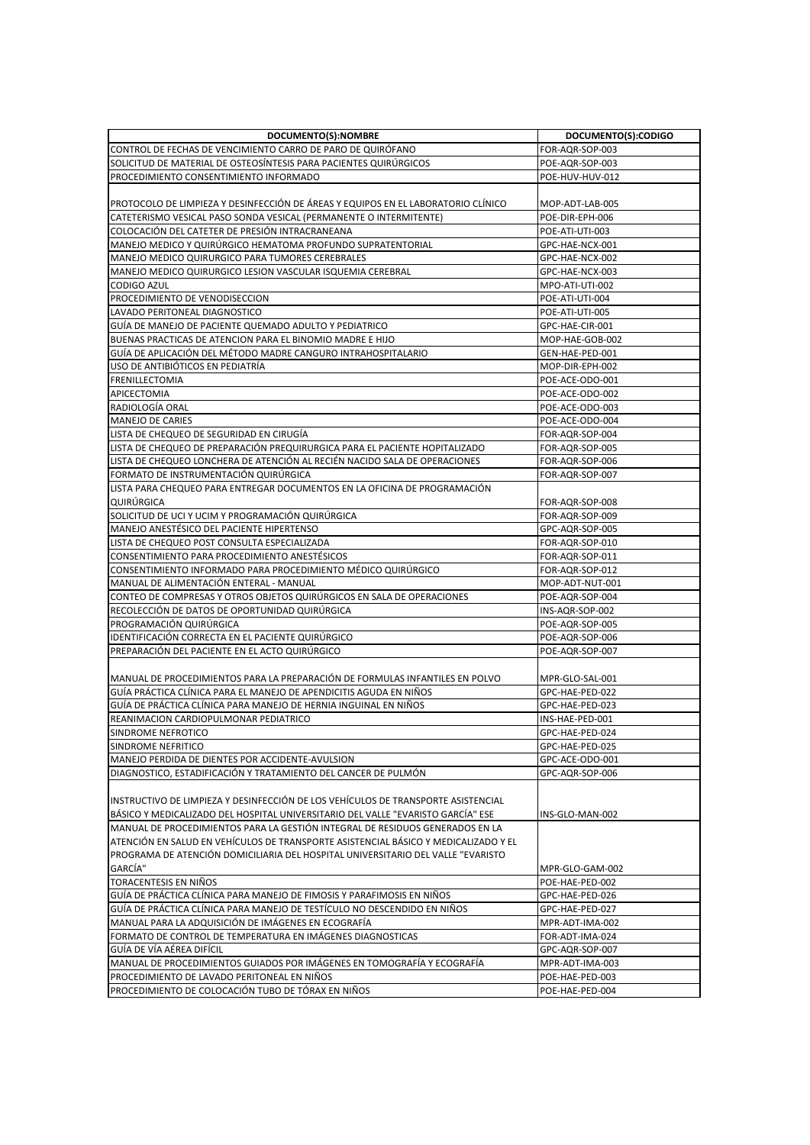| DOCUMENTO(S):NOMBRE                                                                 | DOCUMENTO(S):CODIGO |
|-------------------------------------------------------------------------------------|---------------------|
| CONTROL DE FECHAS DE VENCIMIENTO CARRO DE PARO DE QUIRÓFANO                         | FOR-AQR-SOP-003     |
| SOLICITUD DE MATERIAL DE OSTEOSÍNTESIS PARA PACIENTES QUIRÚRGICOS                   | POE-AQR-SOP-003     |
| PROCEDIMIENTO CONSENTIMIENTO INFORMADO                                              | POE-HUV-HUV-012     |
|                                                                                     |                     |
| PROTOCOLO DE LIMPIEZA Y DESINFECCIÓN DE ÁREAS Y EQUIPOS EN EL LABORATORIO CLÍNICO   | MOP-ADT-LAB-005     |
| CATETERISMO VESICAL PASO SONDA VESICAL (PERMANENTE O INTERMITENTE)                  | POE-DIR-EPH-006     |
| COLOCACIÓN DEL CATETER DE PRESIÓN INTRACRANEANA                                     | POE-ATI-UTI-003     |
| MANEJO MEDICO Y QUIRÚRGICO HEMATOMA PROFUNDO SUPRATENTORIAL                         | GPC-HAE-NCX-001     |
| MANEJO MEDICO QUIRURGICO PARA TUMORES CEREBRALES                                    | GPC-HAE-NCX-002     |
| MANEJO MEDICO QUIRURGICO LESION VASCULAR ISQUEMIA CEREBRAL                          | GPC-HAE-NCX-003     |
| <b>CODIGO AZUL</b>                                                                  | MPO-ATI-UTI-002     |
| PROCEDIMIENTO DE VENODISECCION                                                      | POE-ATI-UTI-004     |
| LAVADO PERITONEAL DIAGNOSTICO                                                       | POE-ATI-UTI-005     |
| GUÍA DE MANEJO DE PACIENTE QUEMADO ADULTO Y PEDIATRICO                              | GPC-HAE-CIR-001     |
| BUENAS PRACTICAS DE ATENCION PARA EL BINOMIO MADRE E HIJO                           | MOP-HAE-GOB-002     |
| GUÍA DE APLICACIÓN DEL MÉTODO MADRE CANGURO INTRAHOSPITALARIO                       | GEN-HAE-PED-001     |
| USO DE ANTIBIÓTICOS EN PEDIATRÍA                                                    | MOP-DIR-EPH-002     |
| <b>FRENILLECTOMIA</b>                                                               | POE-ACE-ODO-001     |
| APICECTOMIA                                                                         | POE-ACE-ODO-002     |
| RADIOLOGÍA ORAL                                                                     | POE-ACE-ODO-003     |
| <b>MANEJO DE CARIES</b>                                                             | POE-ACE-ODO-004     |
| LISTA DE CHEQUEO DE SEGURIDAD EN CIRUGIA                                            | FOR-AQR-SOP-004     |
| LISTA DE CHEQUEO DE PREPARACIÓN PREQUIRURGICA PARA EL PACIENTE HOPITALIZADO         | FOR-AQR-SOP-005     |
| LISTA DE CHEQUEO LONCHERA DE ATENCIÓN AL RECIÉN NACIDO SALA DE OPERACIONES          | FOR-AQR-SOP-006     |
| FORMATO DE INSTRUMENTACIÓN QUIRÚRGICA                                               | FOR-AQR-SOP-007     |
| LISTA PARA CHEQUEO PARA ENTREGAR DOCUMENTOS EN LA OFICINA DE PROGRAMACIÓN           |                     |
| QUIRÚRGICA                                                                          | FOR-AQR-SOP-008     |
| SOLICITUD DE UCI Y UCIM Y PROGRAMACIÓN QUIRÚRGICA                                   | FOR-AQR-SOP-009     |
| MANEJO ANESTÉSICO DEL PACIENTE HIPERTENSO                                           | GPC-AQR-SOP-005     |
| LISTA DE CHEQUEO POST CONSULTA ESPECIALIZADA                                        | FOR-AQR-SOP-010     |
| CONSENTIMIENTO PARA PROCEDIMIENTO ANESTÉSICOS                                       | FOR-AQR-SOP-011     |
| CONSENTIMIENTO INFORMADO PARA PROCEDIMIENTO MÉDICO QUIRÚRGICO                       | FOR-AQR-SOP-012     |
| MANUAL DE ALIMENTACIÓN ENTERAL - MANUAL                                             | MOP-ADT-NUT-001     |
| CONTEO DE COMPRESAS Y OTROS OBJETOS QUIRÚRGICOS EN SALA DE OPERACIONES              | POE-AQR-SOP-004     |
| RECOLECCIÓN DE DATOS DE OPORTUNIDAD QUIRÚRGICA                                      | INS-AQR-SOP-002     |
| PROGRAMACIÓN QUIRÚRGICA                                                             | POE-AQR-SOP-005     |
| IDENTIFICACIÓN CORRECTA EN EL PACIENTE QUIRÚRGICO                                   | POE-AQR-SOP-006     |
| PREPARACIÓN DEL PACIENTE EN EL ACTO QUIRÚRGICO                                      | POE-AQR-SOP-007     |
|                                                                                     |                     |
| MANUAL DE PROCEDIMIENTOS PARA LA PREPARACIÓN DE FORMULAS INFANTILES EN POLVO        | MPR-GLO-SAL-001     |
| GUÍA PRÁCTICA CLÍNICA PARA EL MANEJO DE APENDICITIS AGUDA EN NIÑOS                  | GPC-HAE-PED-022     |
| GUÍA DE PRÁCTICA CLÍNICA PARA MANEJO DE HERNIA INGUINAL EN NIÑOS                    | GPC-HAE-PED-023     |
| <b>REANIMACION CARDIOPULMONAR PEDIATRICO</b>                                        | INS-HAE-PED-001     |
| <b>ISINDROME NEFROTICO</b>                                                          | GPC-HAE-PED-024     |
| SINDROME NEFRITICO                                                                  | GPC-HAE-PED-025     |
| MANEJO PERDIDA DE DIENTES POR ACCIDENTE-AVULSION                                    | GPC-ACE-ODO-001     |
| DIAGNOSTICO, ESTADIFICACIÓN Y TRATAMIENTO DEL CANCER DE PULMÓN                      | GPC-AQR-SOP-006     |
|                                                                                     |                     |
| INSTRUCTIVO DE LIMPIEZA Y DESINFECCIÓN DE LOS VEHÍCULOS DE TRANSPORTE ASISTENCIAL   |                     |
| BÁSICO Y MEDICALIZADO DEL HOSPITAL UNIVERSITARIO DEL VALLE "EVARISTO GARCÍA" ESE    | INS-GLO-MAN-002     |
| MANUAL DE PROCEDIMIENTOS PARA LA GESTIÓN INTEGRAL DE RESIDUOS GENERADOS EN LA       |                     |
| ATENCIÓN EN SALUD EN VEHÍCULOS DE TRANSPORTE ASISTENCIAL BÁSICO Y MEDICALIZADO Y EL |                     |
| PROGRAMA DE ATENCIÓN DOMICILIARIA DEL HOSPITAL UNIVERSITARIO DEL VALLE "EVARISTO    |                     |
| GARCÍA"                                                                             | MPR-GLO-GAM-002     |
| TORACENTESIS EN NIÑOS                                                               | POE-HAE-PED-002     |
| GUÍA DE PRÁCTICA CLÍNICA PARA MANEJO DE FIMOSIS Y PARAFIMOSIS EN NIÑOS              | GPC-HAE-PED-026     |
| GUÍA DE PRÁCTICA CLÍNICA PARA MANEJO DE TESTÍCULO NO DESCENDIDO EN NIÑOS            | GPC-HAE-PED-027     |
| MANUAL PARA LA ADQUISICIÓN DE IMÁGENES EN ECOGRAFÍA                                 | MPR-ADT-IMA-002     |
| FORMATO DE CONTROL DE TEMPERATURA EN IMÁGENES DIAGNOSTICAS                          | FOR-ADT-IMA-024     |
| GUÍA DE VÍA AÉREA DIFÍCIL                                                           | GPC-AQR-SOP-007     |
| MANUAL DE PROCEDIMIENTOS GUIADOS POR IMÁGENES EN TOMOGRAFÍA Y ECOGRAFÍA             | MPR-ADT-IMA-003     |
| PROCEDIMIENTO DE LAVADO PERITONEAL EN NIÑOS                                         | POE-HAE-PED-003     |
| PROCEDIMIENTO DE COLOCACIÓN TUBO DE TÓRAX EN NIÑOS                                  | POE-HAE-PED-004     |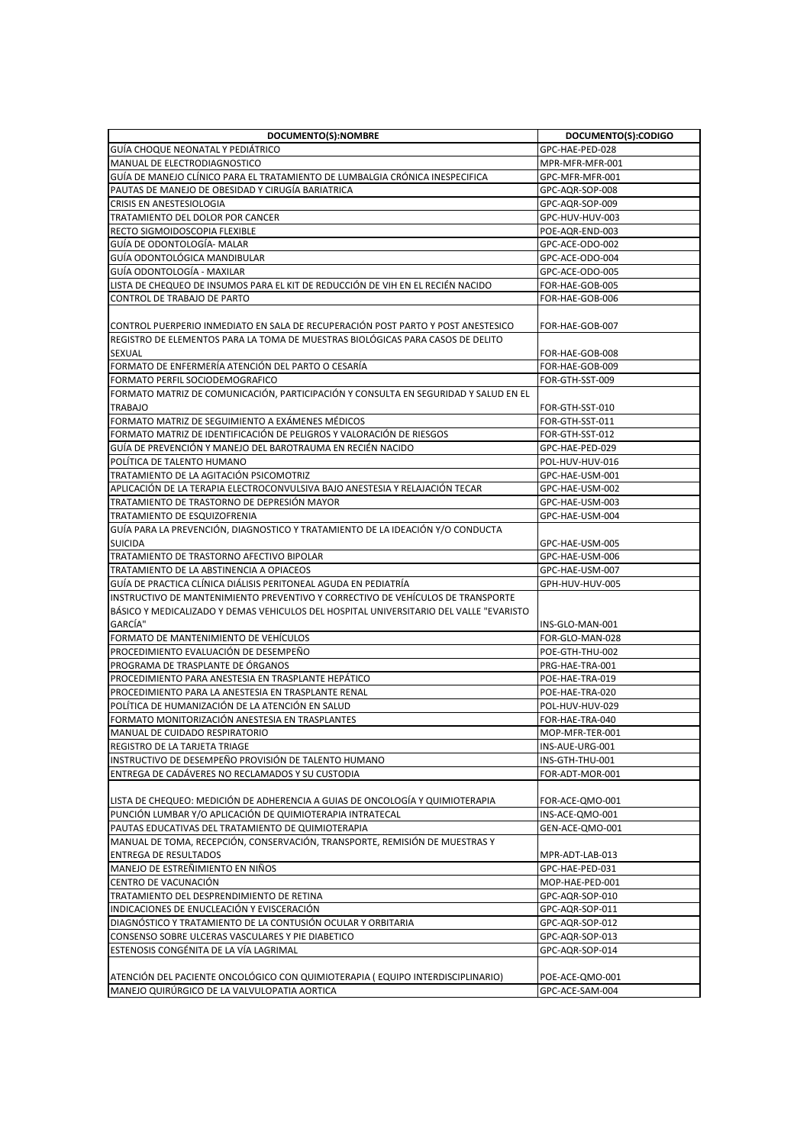| DOCUMENTO(S):NOMBRE                                                                    | DOCUMENTO(S):CODIGO |
|----------------------------------------------------------------------------------------|---------------------|
| GUIA CHOQUE NEONATAL Y PEDIATRICO                                                      | GPC-HAE-PED-028     |
| MANUAL DE ELECTRODIAGNOSTICO                                                           | MPR-MFR-MFR-001     |
| GUIA DE MANEJO CLINICO PARA EL TRATAMIENTO DE LUMBALGIA CRONICA INESPECIFICA           | GPC-MFR-MFR-001     |
| PAUTAS DE MANEJO DE OBESIDAD Y CIRUGÍA BARIATRICA                                      | GPC-AQR-SOP-008     |
| CRISIS EN ANESTESIOLOGIA                                                               | GPC-AQR-SOP-009     |
| TRATAMIENTO DEL DOLOR POR CANCER                                                       | GPC-HUV-HUV-003     |
| RECTO SIGMOIDOSCOPIA FLEXIBLE                                                          | POE-AQR-END-003     |
| GUÍA DE ODONTOLOGÍA- MALAR                                                             | GPC-ACE-ODO-002     |
| GUIA ODONTOLOGICA MANDIBULAR                                                           | GPC-ACE-ODO-004     |
| GUÍA ODONTOLOGÍA - MAXILAR                                                             | GPC-ACE-ODO-005     |
| LISTA DE CHEQUEO DE INSUMOS PARA EL KIT DE REDUCCIÓN DE VIH EN EL RECIEN NACIDO        | FOR-HAE-GOB-005     |
| CONTROL DE TRABAJO DE PARTO                                                            | FOR-HAE-GOB-006     |
|                                                                                        |                     |
| CONTROL PUERPERIO INMEDIATO EN SALA DE RECUPERACIÓN POST PARTO Y POST ANESTESICO       | FOR-HAE-GOB-007     |
| IREGISTRO DE ELEMENTOS PARA LA TOMA DE MUESTRAS BIOLÓGICAS PARA CASOS DE DELITO        |                     |
| <b>SEXUAL</b>                                                                          | FOR-HAE-GOB-008     |
| FORMATO DE ENFERMERÍA ATENCIÓN DEL PARTO O CESARÍA                                     | FOR-HAE-GOB-009     |
| FORMATO PERFIL SOCIODEMOGRAFICO                                                        | FOR-GTH-SST-009     |
| FORMATO MATRIZ DE COMUNICACIÓN, PARTICIPACIÓN Y CONSULTA EN SEGURIDAD Y SALUD EN EL    |                     |
| <b>TRABAJO</b>                                                                         | FOR-GTH-SST-010     |
| FORMATO MATRIZ DE SEGUIMIENTO A EXÁMENES MÉDICOS                                       | FOR-GTH-SST-011     |
| FORMATO MATRIZ DE IDENTIFICACIÓN DE PELIGROS Y VALORACIÓN DE RIESGOS                   | FOR-GTH-SST-012     |
| GUÍA DE PREVENCIÓN Y MANEJO DEL BAROTRAUMA EN RECIÉN NACIDO                            | GPC-HAE-PED-029     |
| POLITICA DE TALENTO HUMANO                                                             | POL-HUV-HUV-016     |
| TRATAMIENTO DE LA AGITACIÓN PSICOMOTRIZ                                                | GPC-HAE-USM-001     |
| APLICACIÓN DE LA TERAPIA ELECTROCONVULSIVA BAJO ANESTESIA Y RELAJACIÓN TECAR           | GPC-HAE-USM-002     |
| TRATAMIENTO DE TRASTORNO DE DEPRESIÓN MAYOR                                            | GPC-HAE-USM-003     |
| TRATAMIENTO DE ESQUIZOFRENIA                                                           | GPC-HAE-USM-004     |
| GUÍA PARA LA PREVENCIÓN, DIAGNOSTICO Y TRATAMIENTO DE LA IDEACIÓN Y/O CONDUCTA         |                     |
| <b>SUICIDA</b>                                                                         | GPC-HAE-USM-005     |
| TRATAMIENTO DE TRASTORNO AFECTIVO BIPOLAR                                              | GPC-HAE-USM-006     |
| TRATAMIENTO DE LA ABSTINENCIA A OPIACEOS                                               | GPC-HAE-USM-007     |
| GUÍA DE PRACTICA CLÍNICA DIÁLISIS PERITONEAL AGUDA EN PEDIATRÍA                        | GPH-HUV-HUV-005     |
| INSTRUCTIVO DE MANTENIMIENTO PREVENTIVO Y CORRECTIVO DE VEHICULOS DE TRANSPORTE        |                     |
| BÁSICO Y MEDICALIZADO Y DEMAS VEHICULOS DEL HOSPITAL UNIVERSITARIO DEL VALLE "EVARISTO |                     |
| GARCÍA"                                                                                | INS-GLO-MAN-001     |
| FORMATO DE MANTENIMIENTO DE VEHÍCULOS                                                  | FOR-GLO-MAN-028     |
| PROCEDIMIENTO EVALUACIÓN DE DESEMPEÑO                                                  | POE-GTH-THU-002     |
| PROGRAMA DE TRASPLANTE DE ÓRGANOS                                                      | PRG-HAE-TRA-001     |
| PROCEDIMIENTO PARA ANESTESIA EN TRASPLANTE HEPÁTICO                                    | POE-HAE-TRA-019     |
| PROCEDIMIENTO PARA LA ANESTESIA EN TRASPLANTE RENAL                                    | POE-HAE-TRA-020     |
| POLÍTICA DE HUMANIZACIÓN DE LA ATENCIÓN EN SALUD                                       | POL-HUV-HUV-029     |
| FORMATO MONITORIZACIÓN ANESTESIA EN TRASPLANTES                                        | FOR-HAE-TRA-040     |
| MANUAL DE CUIDADO RESPIRATORIO                                                         | MOP-MFR-TER-001     |
| REGISTRO DE LA TARJETA TRIAGE                                                          | INS-AUE-URG-001     |
| INSTRUCTIVO DE DESEMPEÑO PROVISIÓN DE TALENTO HUMANO                                   | INS-GTH-THU-001     |
| ENTREGA DE CADÁVERES NO RECLAMADOS Y SU CUSTODIA                                       | FOR-ADT-MOR-001     |
|                                                                                        |                     |
| LISTA DE CHEQUEO: MEDICIÓN DE ADHERENCIA A GUIAS DE ONCOLOGÍA Y QUIMIOTERAPIA          | FOR-ACE-QMO-001     |
| PUNCIÓN LUMBAR Y/O APLICACIÓN DE QUIMIOTERAPIA INTRATECAL                              | INS-ACE-QMO-001     |
| PAUTAS EDUCATIVAS DEL TRATAMIENTO DE QUIMIOTERAPIA                                     | GEN-ACE-QMO-001     |
| MANUAL DE TOMA, RECEPCIÓN, CONSERVACIÓN, TRANSPORTE, REMISIÓN DE MUESTRAS Y            |                     |
| <b>ENTREGA DE RESULTADOS</b>                                                           | MPR-ADT-LAB-013     |
| MANEJO DE ESTREÑIMIENTO EN NIÑOS                                                       | GPC-HAE-PED-031     |
| CENTRO DE VACUNACIÓN                                                                   | MOP-HAE-PED-001     |
| TRATAMIENTO DEL DESPRENDIMIENTO DE RETINA                                              | GPC-AQR-SOP-010     |
| INDICACIONES DE ENUCLEACIÓN Y EVISCERACIÓN                                             | GPC-AQR-SOP-011     |
| DIAGNÓSTICO Y TRATAMIENTO DE LA CONTUSIÓN OCULAR Y ORBITARIA                           | GPC-AQR-SOP-012     |
| CONSENSO SOBRE ULCERAS VASCULARES Y PIE DIABETICO                                      | GPC-AQR-SOP-013     |
| ESTENOSIS CONGÉNITA DE LA VÍA LAGRIMAL                                                 | GPC-AQR-SOP-014     |
|                                                                                        |                     |
| ATENCIÓN DEL PACIENTE ONCOLÓGICO CON QUIMIOTERAPIA (EQUIPO INTERDISCIPLINARIO)         | POE-ACE-QMO-001     |
| MANEJO QUIRÚRGICO DE LA VALVULOPATIA AORTICA                                           | GPC-ACE-SAM-004     |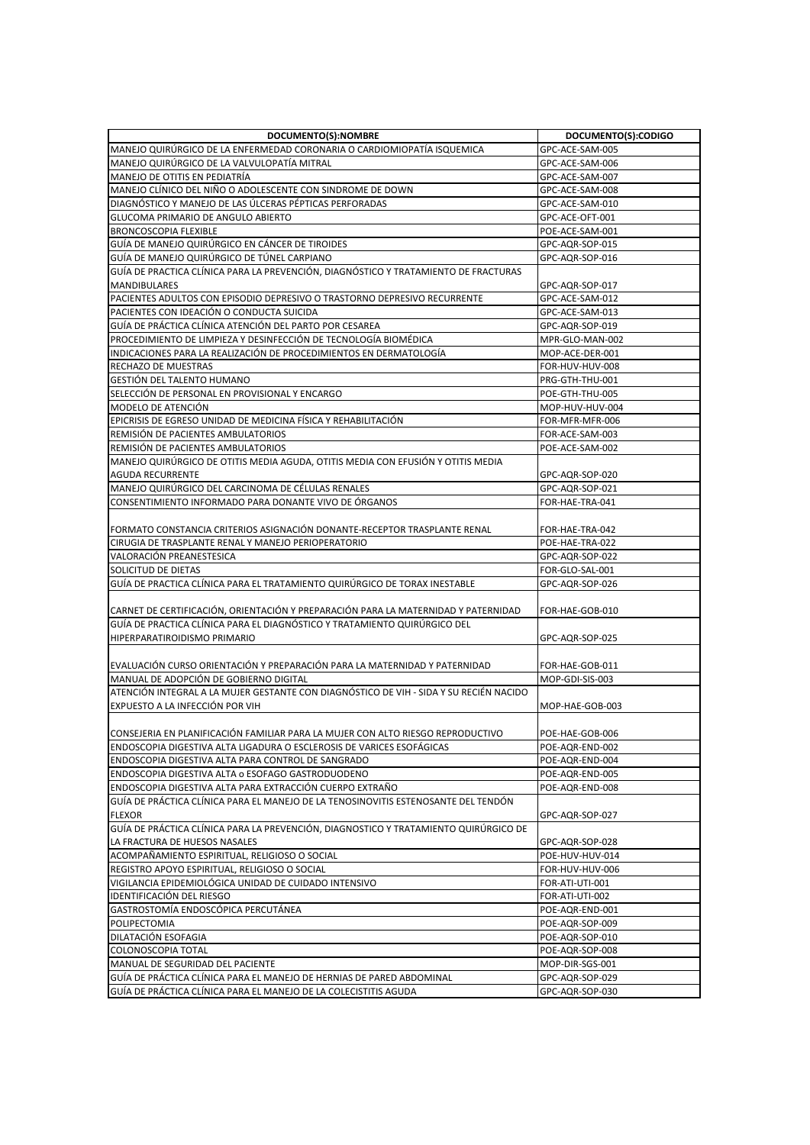| DOCUMENTO(S):NOMBRE                                                                                                              | DOCUMENTO(S):CODIGO                |
|----------------------------------------------------------------------------------------------------------------------------------|------------------------------------|
| MANEJO QUIRÚRGICO DE LA ENFERMEDAD CORONARIA O CARDIOMIOPATÍA ISQUEMICA                                                          | GPC-ACE-SAM-005                    |
| MANEJO QUIRÚRGICO DE LA VALVULOPATÍA MITRAL                                                                                      | GPC-ACE-SAM-006                    |
| MANEJO DE OTITIS EN PEDIATRÍA                                                                                                    | GPC-ACE-SAM-007                    |
| MANEJO CLÍNICO DEL NIÑO O ADOLESCENTE CON SINDROME DE DOWN                                                                       | GPC-ACE-SAM-008                    |
| DIAGNÓSTICO Y MANEJO DE LAS ÚLCERAS PÉPTICAS PERFORADAS                                                                          | GPC-ACE-SAM-010                    |
| GLUCOMA PRIMARIO DE ANGULO ABIERTO                                                                                               | GPC-ACE-OFT-001                    |
| <b>BRONCOSCOPIA FLEXIBLE</b>                                                                                                     | POE-ACE-SAM-001                    |
| GUÍA DE MANEJO QUIRÚRGICO EN CÁNCER DE TIROIDES                                                                                  | GPC-AQR-SOP-015                    |
| GUIA DE MANEJO QUIRURGICO DE TUNEL CARPIANO                                                                                      | GPC-AQR-SOP-016                    |
| GUÍA DE PRACTICA CLÍNICA PARA LA PREVENCIÓN, DIAGNÓSTICO Y TRATAMIENTO DE FRACTURAS                                              |                                    |
| <b>MANDIBULARES</b>                                                                                                              | GPC-AQR-SOP-017                    |
| PACIENTES ADULTOS CON EPISODIO DEPRESIVO O TRASTORNO DEPRESIVO RECURRENTE                                                        | GPC-ACE-SAM-012                    |
| PACIENTES CON IDEACIÓN O CONDUCTA SUICIDA                                                                                        | GPC-ACE-SAM-013                    |
| GUÍA DE PRÁCTICA CLÍNICA ATENCIÓN DEL PARTO POR CESAREA                                                                          | GPC-AQR-SOP-019                    |
| PROCEDIMIENTO DE LIMPIEZA Y DESINFECCIÓN DE TECNOLOGÍA BIOMÉDICA                                                                 | MPR-GLO-MAN-002                    |
| INDICACIONES PARA LA REALIZACIÓN DE PROCEDIMIENTOS EN DERMATOLOGÍA                                                               | MOP-ACE-DER-001                    |
| RECHAZO DE MUESTRAS                                                                                                              | FOR-HUV-HUV-008                    |
| GESTIÓN DEL TALENTO HUMANO                                                                                                       | PRG-GTH-THU-001                    |
| SELECCIÓN DE PERSONAL EN PROVISIONAL Y ENCARGO                                                                                   | POE-GTH-THU-005                    |
| MODELO DE ATENCIÓN                                                                                                               | MOP-HUV-HUV-004                    |
| EPICRISIS DE EGRESO UNIDAD DE MEDICINA FÍSICA Y REHABILITACIÓN                                                                   | FOR-MFR-MFR-006                    |
| REMISIÓN DE PACIENTES AMBULATORIOS                                                                                               | FOR-ACE-SAM-003                    |
| REMISIÓN DE PACIENTES AMBULATORIOS                                                                                               | POE-ACE-SAM-002                    |
| MANEJO QUIRÚRGICO DE OTITIS MEDIA AGUDA, OTITIS MEDIA CON EFUSIÓN Y OTITIS MEDIA                                                 |                                    |
| <b>AGUDA RECURRENTE</b>                                                                                                          | GPC-AQR-SOP-020                    |
| MANEJO QUIRÚRGICO DEL CARCINOMA DE CÉLULAS RENALES                                                                               | GPC-AQR-SOP-021                    |
| CONSENTIMIENTO INFORMADO PARA DONANTE VIVO DE ÓRGANOS                                                                            | FOR-HAE-TRA-041                    |
|                                                                                                                                  |                                    |
| FORMATO CONSTANCIA CRITERIOS ASIGNACIÓN DONANTE-RECEPTOR TRASPLANTE RENAL                                                        | FOR-HAE-TRA-042                    |
| CIRUGIA DE TRASPLANTE RENAL Y MANEJO PERIOPERATORIO                                                                              | POE-HAE-TRA-022                    |
| VALORACIÓN PREANESTESICA                                                                                                         | GPC-AQR-SOP-022                    |
| SOLICITUD DE DIETAS                                                                                                              | FOR-GLO-SAL-001                    |
| GUÍA DE PRACTICA CLÍNICA PARA EL TRATAMIENTO QUIRÚRGICO DE TORAX INESTABLE                                                       | GPC-AQR-SOP-026                    |
|                                                                                                                                  |                                    |
| CARNET DE CERTIFICACIÓN, ORIENTACIÓN Y PREPARACIÓN PARA LA MATERNIDAD Y PATERNIDAD                                               | FOR-HAE-GOB-010                    |
| GUÍA DE PRACTICA CLÍNICA PARA EL DIAGNÓSTICO Y TRATAMIENTO QUIRÚRGICO DEL                                                        |                                    |
| HIPERPARATIROIDISMO PRIMARIO                                                                                                     | GPC-AQR-SOP-025                    |
|                                                                                                                                  |                                    |
| EVALUACIÓN CURSO ORIENTACIÓN Y PREPARACIÓN PARA LA MATERNIDAD Y PATERNIDAD                                                       | FOR-HAE-GOB-011                    |
| MANUAL DE ADOPCIÓN DE GOBIERNO DIGITAL<br>ATENCIÓN INTEGRAL A LA MUJER GESTANTE CON DIAGNÓSTICO DE VIH - SIDA Y SU RECIÉN NACIDO | MOP-GDI-SIS-003                    |
|                                                                                                                                  |                                    |
| EXPUESTO A LA INFECCIÓN POR VIH                                                                                                  | MOP-HAE-GOB-003                    |
| CONSEJERIA EN PLANIFICACIÓN FAMILIAR PARA LA MUJER CON ALTO RIESGO REPRODUCTIVO                                                  |                                    |
| ENDOSCOPIA DIGESTIVA ALTA LIGADURA O ESCLEROSIS DE VARICES ESOFÁGICAS                                                            | POE-HAE-GOB-006<br>POE-AQR-END-002 |
| ENDOSCOPIA DIGESTIVA ALTA PARA CONTROL DE SANGRADO                                                                               | POE-AQR-END-004                    |
| ENDOSCOPIA DIGESTIVA ALTA o ESOFAGO GASTRODUODENO                                                                                | POE-AQR-END-005                    |
| ENDOSCOPIA DIGESTIVA ALTA PARA EXTRACCIÓN CUERPO EXTRAÑO                                                                         | POE-AQR-END-008                    |
| GUÍA DE PRÁCTICA CLÍNICA PARA EL MANEJO DE LA TENOSINOVITIS ESTENOSANTE DEL TENDÓN                                               |                                    |
| <b>FLEXOR</b>                                                                                                                    | GPC-AQR-SOP-027                    |
| GUÍA DE PRÁCTICA CLÍNICA PARA LA PREVENCIÓN, DIAGNOSTICO Y TRATAMIENTO QUIRÚRGICO DE                                             |                                    |
| LA FRACTURA DE HUESOS NASALES                                                                                                    | GPC-AQR-SOP-028                    |
| ACOMPAÑAMIENTO ESPIRITUAL, RELIGIOSO O SOCIAL                                                                                    | POE-HUV-HUV-014                    |
| REGISTRO APOYO ESPIRITUAL, RELIGIOSO O SOCIAL                                                                                    | FOR-HUV-HUV-006                    |
| VIGILANCIA EPIDEMIOLÓGICA UNIDAD DE CUIDADO INTENSIVO                                                                            | FOR-ATI-UTI-001                    |
| IDENTIFICACIÓN DEL RIESGO                                                                                                        | FOR-ATI-UTI-002                    |
| GASTROSTOMÍA ENDOSCÓPICA PERCUTÁNEA                                                                                              | POE-AQR-END-001                    |
| POLIPECTOMIA                                                                                                                     | POE-AQR-SOP-009                    |
| DILATACIÓN ESOFAGIA                                                                                                              | POE-AQR-SOP-010                    |
| COLONOSCOPIA TOTAL                                                                                                               | POE-AQR-SOP-008                    |
| MANUAL DE SEGURIDAD DEL PACIENTE                                                                                                 | MOP-DIR-SGS-001                    |
| GUÍA DE PRÁCTICA CLÍNICA PARA EL MANEJO DE HERNIAS DE PARED ABDOMINAL                                                            | GPC-AQR-SOP-029                    |
| GUÍA DE PRÁCTICA CLÍNICA PARA EL MANEJO DE LA COLECISTITIS AGUDA                                                                 | GPC-AQR-SOP-030                    |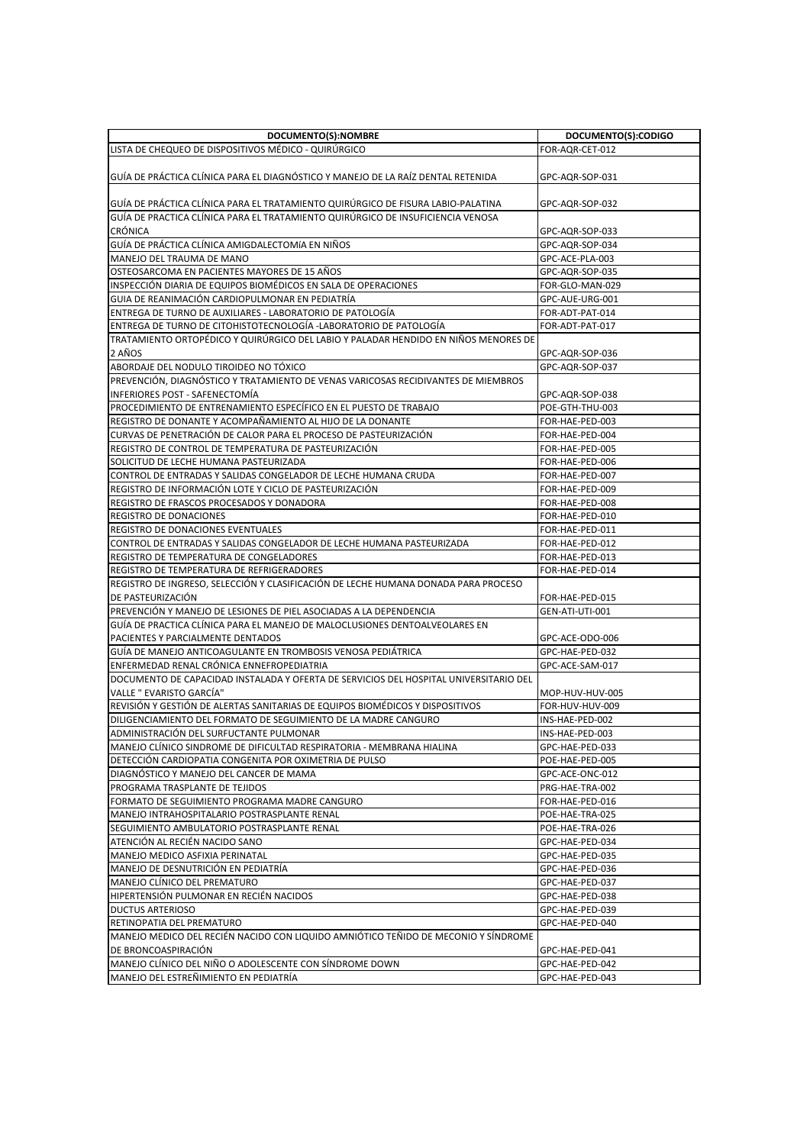| DOCUMENTO(S):NOMBRE                                                                   | DOCUMENTO(S):CODIGO |
|---------------------------------------------------------------------------------------|---------------------|
| LISTA DE CHEQUEO DE DISPOSITIVOS MÉDICO - QUIRÚRGICO                                  | FOR-AQR-CET-012     |
| GUÍA DE PRÁCTICA CLÍNICA PARA EL DIAGNÓSTICO Y MANEJO DE LA RAÍZ DENTAL RETENIDA      | GPC-AQR-SOP-031     |
| GUÍA DE PRÁCTICA CLÍNICA PARA EL TRATAMIENTO QUIRÚRGICO DE FISURA LABIO-PALATINA      | GPC-AQR-SOP-032     |
| GUÍA DE PRACTICA CLÍNICA PARA EL TRATAMIENTO QUIRÚRGICO DE INSUFICIENCIA VENOSA       |                     |
| <b>CRÓNICA</b>                                                                        | GPC-AQR-SOP-033     |
| GUÍA DE PRÁCTICA CLÍNICA AMIGDALECTOMÍA EN NIÑOS                                      | GPC-AQR-SOP-034     |
| MANEJO DEL TRAUMA DE MANO                                                             | GPC-ACE-PLA-003     |
| OSTEOSARCOMA EN PACIENTES MAYORES DE 15 AÑOS                                          | GPC-AQR-SOP-035     |
| INSPECCIÓN DIARIA DE EQUIPOS BIOMÉDICOS EN SALA DE OPERACIONES                        | FOR-GLO-MAN-029     |
| GUIA DE REANIMACIÓN CARDIOPULMONAR EN PEDIATRÍA                                       | GPC-AUE-URG-001     |
| ENTREGA DE TURNO DE AUXILIARES - LABORATORIO DE PATOLOGÍA                             | FOR-ADT-PAT-014     |
| ENTREGA DE TURNO DE CITOHISTOTECNOLOGÍA -LABORATORIO DE PATOLOGÍA                     | FOR-ADT-PAT-017     |
| TRATAMIENTO ORTOPÉDICO Y QUIRÚRGICO DEL LABIO Y PALADAR HENDIDO EN NIÑOS MENORES DE   |                     |
| 2 AÑOS                                                                                | GPC-AQR-SOP-036     |
| ABORDAJE DEL NODULO TIROIDEO NO TÓXICO                                                | GPC-AQR-SOP-037     |
| PREVENCIÓN, DIAGNÓSTICO Y TRATAMIENTO DE VENAS VARICOSAS RECIDIVANTES DE MIEMBROS     |                     |
| <b>INFERIORES POST - SAFENECTOMÍA</b>                                                 | GPC-AQR-SOP-038     |
| PROCEDIMIENTO DE ENTRENAMIENTO ESPECÍFICO EN EL PUESTO DE TRABAJO                     | POE-GTH-THU-003     |
|                                                                                       |                     |
| REGISTRO DE DONANTE Y ACOMPAÑAMIENTO AL HIJO DE LA DONANTE                            | FOR-HAE-PED-003     |
| CURVAS DE PENETRACIÓN DE CALOR PARA EL PROCESO DE PASTEURIZACIÓN                      | FOR-HAE-PED-004     |
| REGISTRO DE CONTROL DE TEMPERATURA DE PASTEURIZACIÓN                                  | FOR-HAE-PED-005     |
| SOLICITUD DE LECHE HUMANA PASTEURIZADA                                                | FOR-HAE-PED-006     |
| CONTROL DE ENTRADAS Y SALIDAS CONGELADOR DE LECHE HUMANA CRUDA                        | FOR-HAE-PED-007     |
| REGISTRO DE INFORMACIÓN LOTE Y CICLO DE PASTEURIZACIÓN                                | FOR-HAE-PED-009     |
| REGISTRO DE FRASCOS PROCESADOS Y DONADORA                                             | FOR-HAE-PED-008     |
| REGISTRO DE DONACIONES                                                                | FOR-HAE-PED-010     |
| REGISTRO DE DONACIONES EVENTUALES                                                     | FOR-HAE-PED-011     |
| CONTROL DE ENTRADAS Y SALIDAS CONGELADOR DE LECHE HUMANA PASTEURIZADA                 | FOR-HAE-PED-012     |
| REGISTRO DE TEMPERATURA DE CONGELADORES                                               | FOR-HAE-PED-013     |
| REGISTRO DE TEMPERATURA DE REFRIGERADORES                                             | FOR-HAE-PED-014     |
| REGISTRO DE INGRESO, SELECCIÓN Y CLASIFICACIÓN DE LECHE HUMANA DONADA PARA PROCESO    |                     |
| DE PASTEURIZACIÓN                                                                     | FOR-HAE-PED-015     |
| PREVENCIÓN Y MANEJO DE LESIONES DE PIEL ASOCIADAS A LA DEPENDENCIA                    | GEN-ATI-UTI-001     |
| GUÍA DE PRACTICA CLÍNICA PARA EL MANEJO DE MALOCLUSIONES DENTOALVEOLARES EN           |                     |
| PACIENTES Y PARCIALMENTE DENTADOS                                                     | GPC-ACE-ODO-006     |
| GUÍA DE MANEJO ANTICOAGULANTE EN TROMBOSIS VENOSA PEDIÁTRICA                          | GPC-HAE-PED-032     |
| ENFERMEDAD RENAL CRÓNICA ENNEFROPEDIATRIA                                             | GPC-ACE-SAM-017     |
| DOCUMENTO DE CAPACIDAD INSTALADA Y OFERTA DE SERVICIOS DEL HOSPITAL UNIVERSITARIO DEL |                     |
| VALLE " EVARISTO GARCÍA"                                                              | MOP-HUV-HUV-005     |
| REVISIÓN Y GESTIÓN DE ALERTAS SANITARIAS DE EQUIPOS BIOMÉDICOS Y DISPOSITIVOS         | FOR-HUV-HUV-009     |
| DILIGENCIAMIENTO DEL FORMATO DE SEGUIMIENTO DE LA MADRE CANGURO                       | INS-HAE-PED-002     |
| ADMINISTRACIÓN DEL SURFUCTANTE PULMONAR                                               | INS-HAE-PED-003     |
| MANEJO CLÍNICO SINDROME DE DIFICULTAD RESPIRATORIA - MEMBRANA HIALINA                 | GPC-HAE-PED-033     |
| DETECCIÓN CARDIOPATIA CONGENITA POR OXIMETRIA DE PULSO                                | POE-HAE-PED-005     |
| DIAGNOSTICO Y MANEJO DEL CANCER DE MAMA                                               | GPC-ACE-ONC-012     |
| PROGRAMA TRASPLANTE DE TEJIDOS                                                        | PRG-HAE-TRA-002     |
| FORMATO DE SEGUIMIENTO PROGRAMA MADRE CANGURO                                         | FOR-HAE-PED-016     |
| MANEJO INTRAHOSPITALARIO POSTRASPLANTE RENAL                                          | POE-HAE-TRA-025     |
| SEGUIMIENTO AMBULATORIO POSTRASPLANTE RENAL                                           | POE-HAE-TRA-026     |
| ATENCIÓN AL RECIÉN NACIDO SANO                                                        | GPC-HAE-PED-034     |
| MANEJO MEDICO ASFIXIA PERINATAL                                                       | GPC-HAE-PED-035     |
| MANEJO DE DESNUTRICIÓN EN PEDIATRIA                                                   | GPC-HAE-PED-036     |
| MANEJO CLÍNICO DEL PREMATURO                                                          | GPC-HAE-PED-037     |
| HIPERTENSIÓN PULMONAR EN RECIÉN NACIDOS                                               | GPC-HAE-PED-038     |
| DUCTUS ARTERIOSO                                                                      | GPC-HAE-PED-039     |
| RETINOPATIA DEL PREMATURO                                                             | GPC-HAE-PED-040     |
| MANEJO MEDICO DEL RECIÉN NACIDO CON LIQUIDO AMNIÓTICO TEÑIDO DE MECONIO Y SÍNDROME    |                     |
| DE BRONCOASPIRACIÓN                                                                   | GPC-HAE-PED-041     |
| MANEJO CLÍNICO DEL NIÑO O ADOLESCENTE CON SÍNDROME DOWN                               | GPC-HAE-PED-042     |
| MANEJO DEL ESTREÑIMIENTO EN PEDIATRÍA                                                 | GPC-HAE-PED-043     |
|                                                                                       |                     |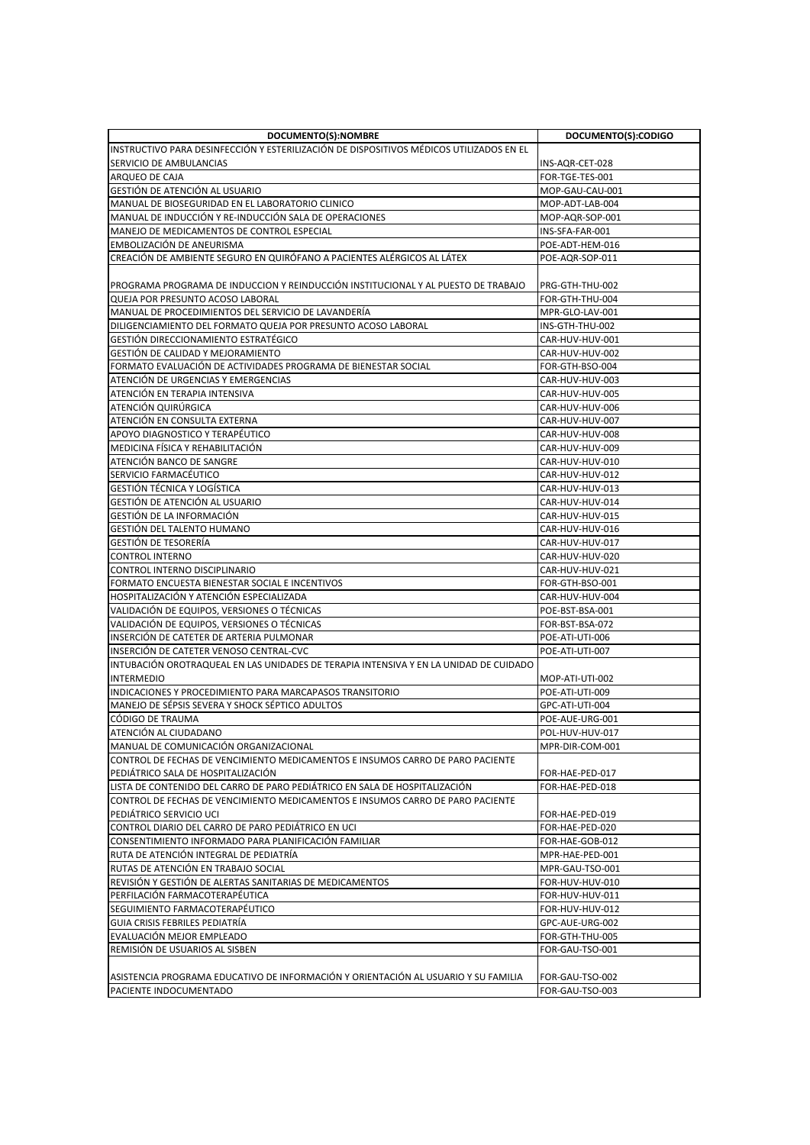| DOCUMENTO(S):NOMBRE                                                                     | DOCUMENTO(S):CODIGO |
|-----------------------------------------------------------------------------------------|---------------------|
| INSTRUCTIVO PARA DESINFECCIÓN Y ESTERILIZACIÓN DE DISPOSITIVOS MÉDICOS UTILIZADOS EN EL |                     |
| SERVICIO DE AMBULANCIAS                                                                 | INS-AQR-CET-028     |
| ARQUEO DE CAJA                                                                          | FOR-TGE-TES-001     |
| GESTIÓN DE ATENCIÓN AL USUARIO                                                          | MOP-GAU-CAU-001     |
| MANUAL DE BIOSEGURIDAD EN EL LABORATORIO CLINICO                                        | MOP-ADT-LAB-004     |
| MANUAL DE INDUCCIÓN Y RE-INDUCCIÓN SALA DE OPERACIONES                                  | MOP-AQR-SOP-001     |
| MANEJO DE MEDICAMENTOS DE CONTROL ESPECIAL                                              | INS-SFA-FAR-001     |
| <b>EMBOLIZACIÓN DE ANEURISMA</b>                                                        | POE-ADT-HEM-016     |
| CREACIÓN DE AMBIENTE SEGURO EN QUIROFANO A PACIENTES ALERGICOS AL LATEX                 | POE-AQR-SOP-011     |
|                                                                                         |                     |
| PROGRAMA PROGRAMA DE INDUCCION Y REINDUCCIÓN INSTITUCIONAL Y AL PUESTO DE TRABAJO       | PRG-GTH-THU-002     |
| QUEJA POR PRESUNTO ACOSO LABORAL                                                        | FOR-GTH-THU-004     |
| MANUAL DE PROCEDIMIENTOS DEL SERVICIO DE LAVANDERIA                                     | MPR-GLO-LAV-001     |
| DILIGENCIAMIENTO DEL FORMATO QUEJA POR PRESUNTO ACOSO LABORAL                           | INS-GTH-THU-002     |
| GESTION DIRECCIONAMIENTO ESTRATÉGICO                                                    | CAR-HUV-HUV-001     |
| <b>GESTION DE CALIDAD Y MEJORAMIENTO</b>                                                | CAR-HUV-HUV-002     |
| FORMATO EVALUACIÓN DE ACTIVIDADES PROGRAMA DE BIENESTAR SOCIAL                          | FOR-GTH-BSO-004     |
| ATENCIÓN DE URGENCIAS Y EMERGENCIAS                                                     | CAR-HUV-HUV-003     |
| ATENCIÓN EN TERAPIA INTENSIVA                                                           | CAR-HUV-HUV-005     |
| ATENCIÓN QUIRÚRGICA                                                                     | CAR-HUV-HUV-006     |
| ATENCIÓN EN CONSULTA EXTERNA                                                            | CAR-HUV-HUV-007     |
| APOYO DIAGNOSTICO Y TERAPÉUTICO                                                         | CAR-HUV-HUV-008     |
| MEDICINA FÍSICA Y REHABILITACIÓN                                                        | CAR-HUV-HUV-009     |
| ATENCION BANCO DE SANGRE                                                                | CAR-HUV-HUV-010     |
| SERVICIO FARMACEUTICO                                                                   | CAR-HUV-HUV-012     |
| GESTIÓN TÉCNICA Y LOGÍSTICA                                                             | CAR-HUV-HUV-013     |
| <b>GESTION DE ATENCION AL USUARIO</b>                                                   | CAR-HUV-HUV-014     |
| GESTIÓN DE LA INFORMACIÓN                                                               | CAR-HUV-HUV-015     |
| GESTIÓN DEL TALENTO HUMANO                                                              | CAR-HUV-HUV-016     |
| GESTIÓN DE TESORERÍA                                                                    | CAR-HUV-HUV-017     |
| <b>CONTROL INTERNO</b>                                                                  | CAR-HUV-HUV-020     |
| CONTROL INTERNO DISCIPLINARIO                                                           | CAR-HUV-HUV-021     |
| FORMATO ENCUESTA BIENESTAR SOCIAL E INCENTIVOS                                          | FOR-GTH-BSO-001     |
| HOSPITALIZACIÓN Y ATENCIÓN ESPECIALIZADA                                                | CAR-HUV-HUV-004     |
| VALIDACIÓN DE EQUIPOS, VERSIONES O TÉCNICAS                                             | POE-BST-BSA-001     |
| VALIDACIÓN DE EQUIPOS, VERSIONES O TÉCNICAS                                             | FOR-BST-BSA-072     |
| INSERCIÓN DE CATETER DE ARTERIA PULMONAR                                                | POE-ATI-UTI-006     |
| INSERCIÓN DE CATETER VENOSO CENTRAL-CVC                                                 | POE-ATI-UTI-007     |
| INTUBACIÓN OROTRAQUEAL EN LAS UNIDADES DE TERAPIA INTENSIVA Y EN LA UNIDAD DE CUIDADO   |                     |
| <b>INTERMEDIO</b>                                                                       | MOP-ATI-UTI-002     |
| INDICACIONES Y PROCEDIMIENTO PARA MARCAPASOS TRANSITORIO                                | POE-ATI-UTI-009     |
| MANEJO DE SÉPSIS SEVERA Y SHOCK SÉPTICO ADULTOS                                         | GPC-ATI-UTI-004     |
| CÓDIGO DE TRAUMA                                                                        | POE-AUE-URG-001     |
| ATENCIÓN AL CIUDADANO                                                                   | POL-HUV-HUV-017     |
| MANUAL DE COMUNICACIÓN ORGANIZACIONAL                                                   | MPR-DIR-COM-001     |
| CONTROL DE FECHAS DE VENCIMIENTO MEDICAMENTOS E INSUMOS CARRO DE PARO PACIENTE          |                     |
| PEDIÁTRICO SALA DE HOSPITALIZACIÓN                                                      | FOR-HAE-PED-017     |
| LISTA DE CONTENIDO DEL CARRO DE PARO PEDIÁTRICO EN SALA DE HOSPITALIZACIÓN              | FOR-HAE-PED-018     |
| CONTROL DE FECHAS DE VENCIMIENTO MEDICAMENTOS E INSUMOS CARRO DE PARO PACIENTE          |                     |
| PEDIÁTRICO SERVICIO UCI                                                                 | FOR-HAE-PED-019     |
| CONTROL DIARIO DEL CARRO DE PARO PEDIÁTRICO EN UCI                                      | FOR-HAE-PED-020     |
| CONSENTIMIENTO INFORMADO PARA PLANIFICACIÓN FAMILIAR                                    | FOR-HAE-GOB-012     |
| RUTA DE ATENCIÓN INTEGRAL DE PEDIATRÍA                                                  | MPR-HAE-PED-001     |
| RUTAS DE ATENCIÓN EN TRABAJO SOCIAL                                                     | MPR-GAU-TSO-001     |
| REVISIÓN Y GESTIÓN DE ALERTAS SANITARIAS DE MEDICAMENTOS                                | FOR-HUV-HUV-010     |
| PERFILACIÓN FARMACOTERAPÉUTICA                                                          | FOR-HUV-HUV-011     |
| SEGUIMIENTO FARMACOTERAPÉUTICO                                                          | FOR-HUV-HUV-012     |
| GUIA CRISIS FEBRILES PEDIATRÍA                                                          | GPC-AUE-URG-002     |
| EVALUACIÓN MEJOR EMPLEADO                                                               | FOR-GTH-THU-005     |
| REMISIÓN DE USUARIOS AL SISBEN                                                          | FOR-GAU-TSO-001     |
|                                                                                         |                     |
| ASISTENCIA PROGRAMA EDUCATIVO DE INFORMACIÓN Y ORIENTACIÓN AL USUARIO Y SU FAMILIA      | FOR-GAU-TSO-002     |
| PACIENTE INDOCUMENTADO                                                                  | FOR-GAU-TSO-003     |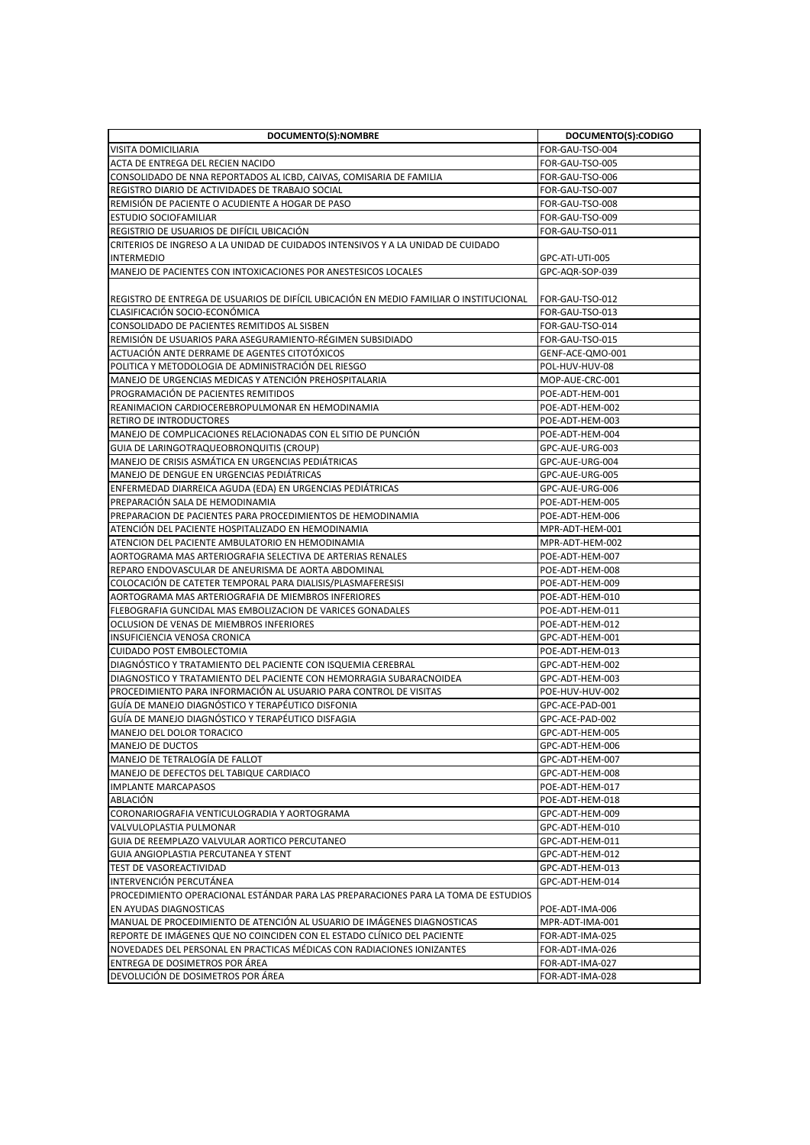| DOCUMENTO(S):NOMBRE                                                                                  | DOCUMENTO(S):CODIGO |
|------------------------------------------------------------------------------------------------------|---------------------|
| VISITA DOMICILIARIA                                                                                  | FOR-GAU-TSO-004     |
| ACTA DE ENTREGA DEL RECIEN NACIDO                                                                    | FOR-GAU-TSO-005     |
| CONSOLIDADO DE NNA REPORTADOS AL ICBD, CAIVAS, COMISARIA DE FAMILIA                                  | FOR-GAU-TSO-006     |
| REGISTRO DIARIO DE ACTIVIDADES DE TRABAJO SOCIAL                                                     | FOR-GAU-TSO-007     |
| REMISIÓN DE PACIENTE O ACUDIENTE A HOGAR DE PASO                                                     | FOR-GAU-TSO-008     |
| <b>ESTUDIO SOCIOFAMILIAR</b>                                                                         | FOR-GAU-TSO-009     |
| REGISTRIO DE USUARIOS DE DIFÍCIL UBICACIÓN                                                           | FOR-GAU-TSO-011     |
| CRITERIOS DE INGRESO A LA UNIDAD DE CUIDADOS INTENSIVOS Y A LA UNIDAD DE CUIDADO                     |                     |
| <b>INTERMEDIO</b>                                                                                    | GPC-ATI-UTI-005     |
| MANEJO DE PACIENTES CON INTOXICACIONES POR ANESTESICOS LOCALES                                       | GPC-AQR-SOP-039     |
|                                                                                                      |                     |
| REGISTRO DE ENTREGA DE USUARIOS DE DIFÍCIL UBICACIÓN EN MEDIO FAMILIAR O INSTITUCIONAL               | FOR-GAU-TSO-012     |
| CLASIFICACIÓN SOCIO-ECONÓMICA                                                                        | FOR-GAU-TSO-013     |
| CONSOLIDADO DE PACIENTES REMITIDOS AL SISBEN                                                         | FOR-GAU-TSO-014     |
| REMISION DE USUARIOS PARA ASEGURAMIENTO-RÉGIMEN SUBSIDIADO                                           | FOR-GAU-TSO-015     |
|                                                                                                      |                     |
| ACTUACIÓN ANTE DERRAME DE AGENTES CITOTÓXICOS<br>POLITICA Y METODOLOGIA DE ADMINISTRACIÓN DEL RIESGO | GENF-ACE-QMO-001    |
|                                                                                                      | POL-HUV-HUV-08      |
| MANEJO DE URGENCIAS MEDICAS Y ATENCIÓN PREHOSPITALARIA                                               | MOP-AUE-CRC-001     |
| PROGRAMACIÓN DE PACIENTES REMITIDOS                                                                  | POE-ADT-HEM-001     |
| REANIMACION CARDIOCEREBROPULMONAR EN HEMODINAMIA                                                     | POE-ADT-HEM-002     |
| RETIRO DE INTRODUCTORES                                                                              | POE-ADT-HEM-003     |
| MANEJO DE COMPLICACIONES RELACIONADAS CON EL SITIO DE PUNCIÓN                                        | POE-ADT-HEM-004     |
| GUIA DE LARINGOTRAQUEOBRONQUITIS (CROUP)                                                             | GPC-AUE-URG-003     |
| MANEJO DE CRISIS ASMATICA EN URGENCIAS PEDIATRICAS                                                   | GPC-AUE-URG-004     |
| MANEJO DE DENGUE EN URGENCIAS PEDIÁTRICAS                                                            | GPC-AUE-URG-005     |
| ENFERMEDAD DIARREICA AGUDA (EDA) EN URGENCIAS PEDIÁTRICAS                                            | GPC-AUE-URG-006     |
| PREPARACION SALA DE HEMODINAMIA                                                                      | POE-ADT-HEM-005     |
| PREPARACION DE PACIENTES PARA PROCEDIMIENTOS DE HEMODINAMIA                                          | POE-ADT-HEM-006     |
| ATENCIÓN DEL PACIENTE HOSPITALIZADO EN HEMODINAMIA                                                   | MPR-ADT-HEM-001     |
| ATENCION DEL PACIENTE AMBULATORIO EN HEMODINAMIA                                                     | MPR-ADT-HEM-002     |
| AORTOGRAMA MAS ARTERIOGRAFIA SELECTIVA DE ARTERIAS RENALES                                           | POE-ADT-HEM-007     |
| REPARO ENDOVASCULAR DE ANEURISMA DE AORTA ABDOMINAL                                                  | POE-ADT-HEM-008     |
| COLOCACIÓN DE CATETER TEMPORAL PARA DIALISIS/PLASMAFERESISI                                          | POE-ADT-HEM-009     |
| AORTOGRAMA MAS ARTERIOGRAFIA DE MIEMBROS INFERIORES                                                  | POE-ADT-HEM-010     |
| FLEBOGRAFIA GUNCIDAL MAS EMBOLIZACION DE VARICES GONADALES                                           | POE-ADT-HEM-011     |
| OCLUSION DE VENAS DE MIEMBROS INFERIORES                                                             | POE-ADT-HEM-012     |
| INSUFICIENCIA VENOSA CRONICA                                                                         | GPC-ADT-HEM-001     |
| <b>CUIDADO POST EMBOLECTOMIA</b>                                                                     | POE-ADT-HEM-013     |
| DIAGNOSTICO Y TRATAMIENTO DEL PACIENTE CON ISQUEMIA CEREBRAL                                         | GPC-ADT-HEM-002     |
| DIAGNOSTICO Y TRATAMIENTO DEL PACIENTE CON HEMORRAGIA SUBARACNOIDEA                                  | GPC-ADT-HEM-003     |
| PROCEDIMIENTO PARA INFORMACIÓN AL USUARIO PARA CONTROL DE VISITAS                                    | POE-HUV-HUV-002     |
| GUÍA DE MANEJO DIAGNÓSTICO Y TERAPÉUTICO DISFONIA                                                    | GPC-ACE-PAD-001     |
| GUÍA DE MANEJO DIAGNÓSTICO Y TERAPÉUTICO DISFAGIA                                                    | GPC-ACE-PAD-002     |
| MANEJO DEL DOLOR TORACICO                                                                            | GPC-ADT-HEM-005     |
| MANEJO DE DUCTOS                                                                                     | GPC-ADT-HEM-006     |
| MANEJO DE TETRALOGÍA DE FALLOT                                                                       | GPC-ADT-HEM-007     |
| MANEJO DE DEFECTOS DEL TABIQUE CARDIACO                                                              | GPC-ADT-HEM-008     |
| <b>IMPLANTE MARCAPASOS</b>                                                                           | POE-ADT-HEM-017     |
| ABLACIÓN                                                                                             | POE-ADT-HEM-018     |
| CORONARIOGRAFIA VENTICULOGRADIA Y AORTOGRAMA                                                         | GPC-ADT-HEM-009     |
| VALVULOPLASTIA PULMONAR                                                                              | GPC-ADT-HEM-010     |
| GUIA DE REEMPLAZO VALVULAR AORTICO PERCUTANEO                                                        | GPC-ADT-HEM-011     |
| GUIA ANGIOPLASTIA PERCUTANEA Y STENT                                                                 | GPC-ADT-HEM-012     |
| TEST DE VASOREACTIVIDAD                                                                              | GPC-ADT-HEM-013     |
| INTERVENCIÓN PERCUTANEA                                                                              | GPC-ADT-HEM-014     |
| PROCEDIMIENTO OPERACIONAL ESTÁNDAR PARA LAS PREPARACIONES PARA LA TOMA DE ESTUDIOS                   |                     |
| EN AYUDAS DIAGNOSTICAS                                                                               | POE-ADT-IMA-006     |
| MANUAL DE PROCEDIMIENTO DE ATENCIÓN AL USUARIO DE IMÁGENES DIAGNOSTICAS                              | MPR-ADT-IMA-001     |
| REPORTE DE IMÁGENES QUE NO COINCIDEN CON EL ESTADO CLÍNICO DEL PACIENTE                              | FOR-ADT-IMA-025     |
| NOVEDADES DEL PERSONAL EN PRACTICAS MÉDICAS CON RADIACIONES IONIZANTES                               | FOR-ADT-IMA-026     |
| ENTREGA DE DOSIMETROS POR ÁREA                                                                       | FOR-ADT-IMA-027     |
| DEVOLUCIÓN DE DOSIMETROS POR ÁREA                                                                    | FOR-ADT-IMA-028     |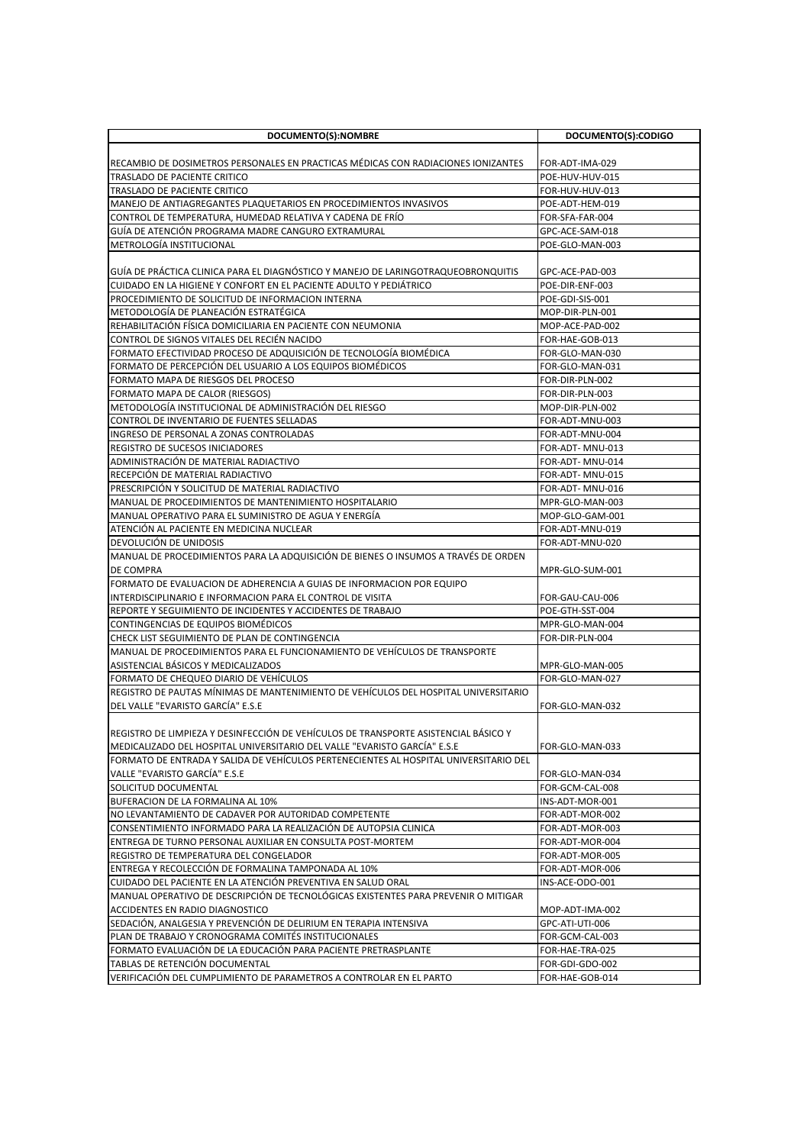| DOCUMENTO(S):NOMBRE                                                                   | DOCUMENTO(S):CODIGO                |
|---------------------------------------------------------------------------------------|------------------------------------|
|                                                                                       |                                    |
| RECAMBIO DE DOSIMETROS PERSONALES EN PRACTICAS MÉDICAS CON RADIACIONES IONIZANTES     | FOR-ADT-IMA-029                    |
| TRASLADO DE PACIENTE CRITICO                                                          | POE-HUV-HUV-015                    |
| TRASLADO DE PACIENTE CRITICO                                                          | FOR-HUV-HUV-013                    |
| MANEJO DE ANTIAGREGANTES PLAQUETARIOS EN PROCEDIMIENTOS INVASIVOS                     | POE-ADT-HEM-019                    |
| CONTROL DE TEMPERATURA, HUMEDAD RELATIVA Y CADENA DE FRÍO                             | FOR-SFA-FAR-004                    |
| GUÍA DE ATENCIÓN PROGRAMA MADRE CANGURO EXTRAMURAL                                    | GPC-ACE-SAM-018                    |
| <b>METROLOGIA INSTITUCIONAL</b>                                                       | POE-GLO-MAN-003                    |
|                                                                                       |                                    |
| GUÍA DE PRÁCTICA CLINICA PARA EL DIAGNÓSTICO Y MANEJO DE LARINGOTRAQUEOBRONQUITIS     | GPC-ACE-PAD-003                    |
| CUIDADO EN LA HIGIENE Y CONFORT EN EL PACIENTE ADULTO Y PEDIÁTRICO                    | POE-DIR-ENF-003                    |
| PROCEDIMIENTO DE SOLICITUD DE INFORMACION INTERNA                                     | POE-GDI-SIS-001                    |
| METODOLOGÍA DE PLANEACIÓN ESTRATÉGICA                                                 | MOP-DIR-PLN-001                    |
| REHABILITACIÓN FÍSICA DOMICILIARIA EN PACIENTE CON NEUMONIA                           | MOP-ACE-PAD-002                    |
| CONTROL DE SIGNOS VITALES DEL RECIÉN NACIDO                                           | FOR-HAE-GOB-013                    |
| FORMATO EFECTIVIDAD PROCESO DE ADQUISICIÓN DE TECNOLOGÍA BIOMÉDICA                    | FOR-GLO-MAN-030                    |
| FORMATO DE PERCEPCIÓN DEL USUARIO A LOS EQUIPOS BIOMÉDICOS                            | FOR-GLO-MAN-031                    |
| FORMATO MAPA DE RIESGOS DEL PROCESO                                                   | FOR-DIR-PLN-002                    |
| FORMATO MAPA DE CALOR (RIESGOS)                                                       | FOR-DIR-PLN-003                    |
| METODOLOGÍA INSTITUCIONAL DE ADMINISTRACIÓN DEL RIESGO                                | MOP-DIR-PLN-002                    |
| CONTROL DE INVENTARIO DE FUENTES SELLADAS                                             | FOR-ADT-MNU-003                    |
| INGRESO DE PERSONAL A ZONAS CONTROLADAS                                               | FOR-ADT-MNU-004                    |
| <b>REGISTRO DE SUCESOS INICIADORES</b>                                                | FOR-ADT-MNU-013                    |
| ADMINISTRACIÓN DE MATERIAL RADIACTIVO                                                 | FOR-ADT-MNU-014                    |
| RECEPCIÓN DE MATERIAL RADIACTIVO                                                      | FOR-ADT-MNU-015                    |
| PRESCRIPCIÓN Y SOLICITUD DE MATERIAL RADIACTIVO                                       | FOR-ADT-MNU-016                    |
| MANUAL DE PROCEDIMIENTOS DE MANTENIMIENTO HOSPITALARIO                                | MPR-GLO-MAN-003                    |
| MANUAL OPERATIVO PARA EL SUMINISTRO DE AGUA Y ENERGÍA                                 | MOP-GLO-GAM-001                    |
| ATENCIÓN AL PACIENTE EN MEDICINA NUCLEAR                                              | FOR-ADT-MNU-019                    |
| DEVOLUCIÓN DE UNIDOSIS                                                                | FOR-ADT-MNU-020                    |
| MANUAL DE PROCEDIMIENTOS PARA LA ADQUISICIÓN DE BIENES O INSUMOS A TRAVÉS DE ORDEN    |                                    |
| DE COMPRA                                                                             | MPR-GLO-SUM-001                    |
| FORMATO DE EVALUACION DE ADHERENCIA A GUIAS DE INFORMACION POR EQUIPO                 |                                    |
| INTERDISCIPLINARIO E INFORMACION PARA EL CONTROL DE VISITA                            |                                    |
| REPORTE Y SEGUIMIENTO DE INCIDENTES Y ACCIDENTES DE TRABAJO                           | FOR-GAU-CAU-006<br>POE-GTH-SST-004 |
| CONTINGENCIAS DE EQUIPOS BIOMÉDICOS                                                   | MPR-GLO-MAN-004                    |
| CHECK LIST SEGUIMIENTO DE PLAN DE CONTINGENCIA                                        | FOR-DIR-PLN-004                    |
| MANUAL DE PROCEDIMIENTOS PARA EL FUNCIONAMIENTO DE VEHÍCULOS DE TRANSPORTE            |                                    |
| ASISTENCIAL BÁSICOS Y MEDICALIZADOS                                                   | MPR-GLO-MAN-005                    |
| FORMATO DE CHEQUEO DIARIO DE VEHICULOS                                                | FOR-GLO-MAN-027                    |
| REGISTRO DE PAUTAS MÍNIMAS DE MANTENIMIENTO DE VEHÍCULOS DEL HOSPITAL UNIVERSITARIO   |                                    |
| DEL VALLE "EVARISTO GARCÍA" E.S.E                                                     |                                    |
|                                                                                       | FOR-GLO-MAN-032                    |
| REGISTRO DE LIMPIEZA Y DESINFECCIÓN DE VEHÍCULOS DE TRANSPORTE ASISTENCIAL BÁSICO Y   |                                    |
|                                                                                       |                                    |
| MEDICALIZADO DEL HOSPITAL UNIVERSITARIO DEL VALLE "EVARISTO GARCÍA" E.S.E             | FOR-GLO-MAN-033                    |
| FORMATO DE ENTRADA Y SALIDA DE VEHÍCULOS PERTENECIENTES AL HOSPITAL UNIVERSITARIO DEL |                                    |
| VALLE "EVARISTO GARCÍA" E.S.E                                                         | FOR-GLO-MAN-034                    |
| SOLICITUD DOCUMENTAL                                                                  | FOR-GCM-CAL-008                    |
| BUFERACION DE LA FORMALINA AL 10%                                                     | INS-ADT-MOR-001                    |
| NO LEVANTAMIENTO DE CADAVER POR AUTORIDAD COMPETENTE                                  | FOR-ADT-MOR-002                    |
| CONSENTIMIENTO INFORMADO PARA LA REALIZACIÓN DE AUTOPSIA CLINICA                      | FOR-ADT-MOR-003                    |
| ENTREGA DE TURNO PERSONAL AUXILIAR EN CONSULTA POST-MORTEM                            | FOR-ADT-MOR-004                    |
| REGISTRO DE TEMPERATURA DEL CONGELADOR                                                | FOR-ADT-MOR-005                    |
| ENTREGA Y RECOLECCIÓN DE FORMALINA TAMPONADA AL 10%                                   | FOR-ADT-MOR-006                    |
| CUIDADO DEL PACIENTE EN LA ATENCIÓN PREVENTIVA EN SALUD ORAL                          | INS-ACE-ODO-001                    |
| MANUAL OPERATIVO DE DESCRIPCIÓN DE TECNOLÓGICAS EXISTENTES PARA PREVENIR O MITIGAR    |                                    |
| ACCIDENTES EN RADIO DIAGNOSTICO                                                       | MOP-ADT-IMA-002                    |
| SEDACIÓN, ANALGESIA Y PREVENCIÓN DE DELIRIUM EN TERAPIA INTENSIVA                     | GPC-ATI-UTI-006                    |
| PLAN DE TRABAJO Y CRONOGRAMA COMITÉS INSTITUCIONALES                                  | FOR-GCM-CAL-003                    |
| FORMATO EVALUACIÓN DE LA EDUCACIÓN PARA PACIENTE PRETRASPLANTE                        | FOR-HAE-TRA-025                    |
| TABLAS DE RETENCIÓN DOCUMENTAL                                                        | FOR-GDI-GDO-002                    |
| VERIFICACIÓN DEL CUMPLIMIENTO DE PARAMETROS A CONTROLAR EN EL PARTO                   | FOR-HAE-GOB-014                    |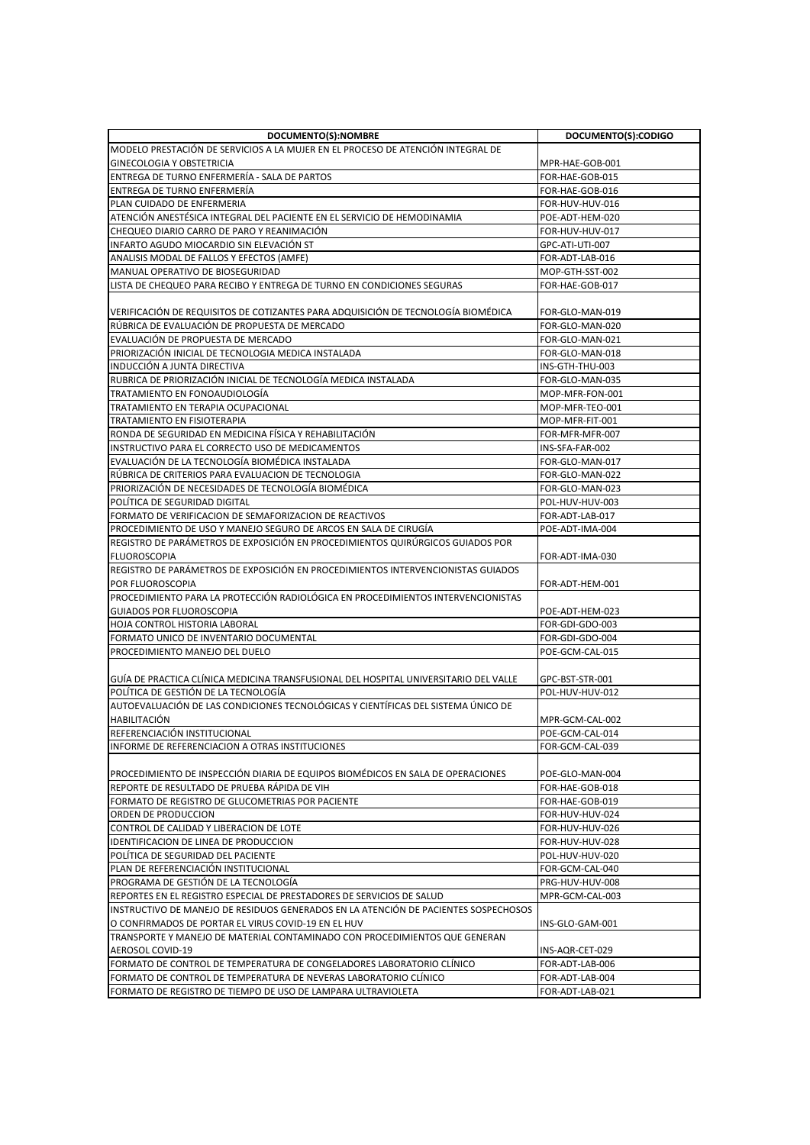| DOCUMENTO(S):NOMBRE                                                                                                                                          | DOCUMENTO(S):CODIGO |
|--------------------------------------------------------------------------------------------------------------------------------------------------------------|---------------------|
| MODELO PRESTACIÓN DE SERVICIOS A LA MUJER EN EL PROCESO DE ATENCIÓN INTEGRAL DE                                                                              |                     |
| <b>GINECOLOGIA Y OBSTETRICIA</b>                                                                                                                             | MPR-HAE-GOB-001     |
| IENTREGA DE TURNO ENFERMERÍA - SALA DE PARTOS                                                                                                                | FOR-HAE-GOB-015     |
| <b>ENTREGA DE TURNO ENFERMERIA</b>                                                                                                                           | FOR-HAE-GOB-016     |
| PLAN CUIDADO DE ENFERMERIA                                                                                                                                   | FOR-HUV-HUV-016     |
| ATENCIÓN ANESTÉSICA INTEGRAL DEL PACIENTE EN EL SERVICIO DE HEMODINAMIA                                                                                      | POE-ADT-HEM-020     |
| CHEQUEO DIARIO CARRO DE PARO Y REANIMACIÓN                                                                                                                   | FOR-HUV-HUV-017     |
| INFARTO AGUDO MIOCARDIO SIN ELEVACIÓN ST                                                                                                                     | GPC-ATI-UTI-007     |
| ANALISIS MODAL DE FALLOS Y EFECTOS (AMFE)                                                                                                                    | FOR-ADT-LAB-016     |
| MANUAL OPERATIVO DE BIOSEGURIDAD                                                                                                                             | MOP-GTH-SST-002     |
| LISTA DE CHEQUEO PARA RECIBO Y ENTREGA DE TURNO EN CONDICIONES SEGURAS                                                                                       | FOR-HAE-GOB-017     |
|                                                                                                                                                              |                     |
| VERIFICACIÓN DE REQUISITOS DE COTIZANTES PARA ADQUISICIÓN DE TECNOLOGÍA BIOMÉDICA                                                                            | FOR-GLO-MAN-019     |
| RÚBRICA DE EVALUACIÓN DE PROPUESTA DE MERCADO                                                                                                                | FOR-GLO-MAN-020     |
| EVALUACIÓN DE PROPUESTA DE MERCADO                                                                                                                           | FOR-GLO-MAN-021     |
| PRIORIZACIÓN INICIAL DE TECNOLOGIA MEDICA INSTALADA                                                                                                          | FOR-GLO-MAN-018     |
| INDUCCIÓN A JUNTA DIRECTIVA                                                                                                                                  | INS-GTH-THU-003     |
| RUBRICA DE PRIORIZACIÓN INICIAL DE TECNOLOGÍA MEDICA INSTALADA                                                                                               | FOR-GLO-MAN-035     |
| TRATAMIENTO EN FONOAUDIOLOGIA                                                                                                                                | MOP-MFR-FON-001     |
| TRATAMIENTO EN TERAPIA OCUPACIONAL                                                                                                                           | MOP-MFR-TEO-001     |
| TRATAMIENTO EN FISIOTERAPIA                                                                                                                                  | MOP-MFR-FIT-001     |
| RONDA DE SEGURIDAD EN MEDICINA FÍSICA Y REHABILITACIÓN                                                                                                       | FOR-MFR-MFR-007     |
| INSTRUCTIVO PARA EL CORRECTO USO DE MEDICAMENTOS                                                                                                             | INS-SFA-FAR-002     |
| EVALUACIÓN DE LA TECNOLOGÍA BIOMÉDICA INSTALADA                                                                                                              | FOR-GLO-MAN-017     |
| RÚBRICA DE CRITERIOS PARA EVALUACION DE TECNOLOGIA                                                                                                           | FOR-GLO-MAN-022     |
| PRIORIZACIÓN DE NECESIDADES DE TECNOLOGÍA BIOMÉDICA                                                                                                          | FOR-GLO-MAN-023     |
| POLITICA DE SEGURIDAD DIGITAL                                                                                                                                | POL-HUV-HUV-003     |
| FORMATO DE VERIFICACION DE SEMAFORIZACION DE REACTIVOS                                                                                                       | FOR-ADT-LAB-017     |
| PROCEDIMIENTO DE USO Y MANEJO SEGURO DE ARCOS EN SALA DE CIRUGÍA                                                                                             | POE-ADT-IMA-004     |
| REGISTRO DE PARAMETROS DE EXPOSICIÓN EN PROCEDIMIENTOS QUIRÚRGICOS GUIADOS POR                                                                               |                     |
| <b>FLUOROSCOPIA</b>                                                                                                                                          | FOR-ADT-IMA-030     |
| REGISTRO DE PARÁMETROS DE EXPOSICIÓN EN PROCEDIMIENTOS INTERVENCIONISTAS GUIADOS                                                                             |                     |
| POR FLUOROSCOPIA                                                                                                                                             | FOR-ADT-HEM-001     |
| PROCEDIMIENTO PARA LA PROTECCIÓN RADIOLÓGICA EN PROCEDIMIENTOS INTERVENCIONISTAS                                                                             |                     |
| <b>GUIADOS POR FLUOROSCOPIA</b>                                                                                                                              | POE-ADT-HEM-023     |
| HOJA CONTROL HISTORIA LABORAL                                                                                                                                | FOR-GDI-GDO-003     |
| FORMATO UNICO DE INVENTARIO DOCUMENTAL                                                                                                                       | FOR-GDI-GDO-004     |
| PROCEDIMIENTO MANEJO DEL DUELO                                                                                                                               | POE-GCM-CAL-015     |
|                                                                                                                                                              |                     |
| GUÍA DE PRACTICA CLÍNICA MEDICINA TRANSFUSIONAL DEL HOSPITAL UNIVERSITARIO DEL VALLE                                                                         | GPC-BST-STR-001     |
| POLÍTICA DE GESTIÓN DE LA TECNOLOGÍA                                                                                                                         | POL-HUV-HUV-012     |
| AUTOEVALUACIÓN DE LAS CONDICIONES TECNOLÓGICAS Y CIENTÍFICAS DEL SISTEMA ÚNICO DE                                                                            |                     |
| HABILITACIÓN                                                                                                                                                 | MPR-GCM-CAL-002     |
| REFERENCIACIÓN INSTITUCIONAL                                                                                                                                 | POE-GCM-CAL-014     |
| INFORME DE REFERENCIACION A OTRAS INSTITUCIONES                                                                                                              | FOR-GCM-CAL-039     |
|                                                                                                                                                              |                     |
| PROCEDIMIENTO DE INSPECCIÓN DIARIA DE EQUIPOS BIOMÉDICOS EN SALA DE OPERACIONES                                                                              | POE-GLO-MAN-004     |
| REPORTE DE RESULTADO DE PRUEBA RÁPIDA DE VIH                                                                                                                 | FOR-HAE-GOB-018     |
| FORMATO DE REGISTRO DE GLUCOMETRIAS POR PACIENTE                                                                                                             | FOR-HAE-GOB-019     |
| ORDEN DE PRODUCCION                                                                                                                                          | FOR-HUV-HUV-024     |
| CONTROL DE CALIDAD Y LIBERACION DE LOTE                                                                                                                      | FOR-HUV-HUV-026     |
| IDENTIFICACION DE LINEA DE PRODUCCION                                                                                                                        | FOR-HUV-HUV-028     |
| POLÍTICA DE SEGURIDAD DEL PACIENTE                                                                                                                           | POL-HUV-HUV-020     |
| PLAN DE REFERENCIACIÓN INSTITUCIONAL                                                                                                                         | FOR-GCM-CAL-040     |
| PROGRAMA DE GESTIÓN DE LA TECNOLOGÍA                                                                                                                         | PRG-HUV-HUV-008     |
| REPORTES EN EL REGISTRO ESPECIAL DE PRESTADORES DE SERVICIOS DE SALUD<br>INSTRUCTIVO DE MANEJO DE RESIDUOS GENERADOS EN LA ATENCIÓN DE PACIENTES SOSPECHOSOS | MPR-GCM-CAL-003     |
|                                                                                                                                                              |                     |
| O CONFIRMADOS DE PORTAR EL VIRUS COVID-19 EN EL HUV                                                                                                          | INS-GLO-GAM-001     |
| TRANSPORTE Y MANEJO DE MATERIAL CONTAMINADO CON PROCEDIMIENTOS QUE GENERAN                                                                                   |                     |
| AEROSOL COVID-19                                                                                                                                             | INS-AQR-CET-029     |
| FORMATO DE CONTROL DE TEMPERATURA DE CONGELADORES LABORATORIO CLÍNICO                                                                                        | FOR-ADT-LAB-006     |
| FORMATO DE CONTROL DE TEMPERATURA DE NEVERAS LABORATORIO CLÍNICO                                                                                             | FOR-ADT-LAB-004     |
| FORMATO DE REGISTRO DE TIEMPO DE USO DE LAMPARA ULTRAVIOLETA                                                                                                 | FOR-ADT-LAB-021     |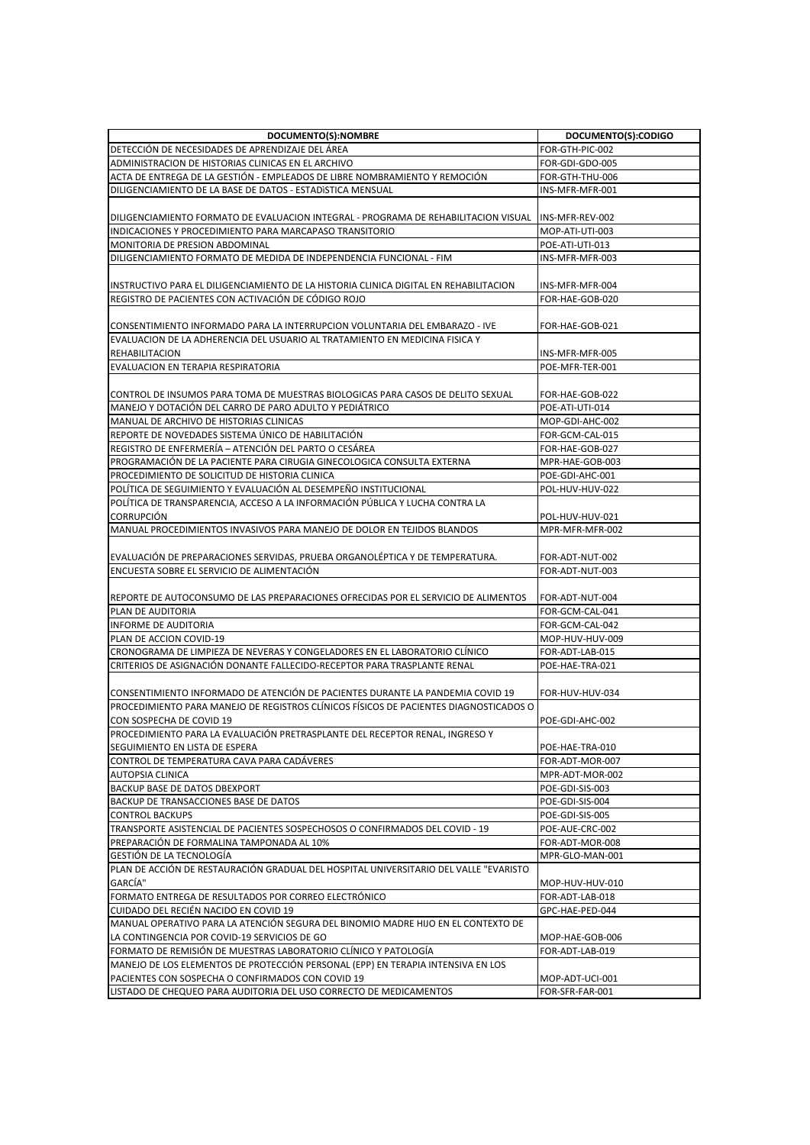| DOCUMENTO(S):NOMBRE                                                                                  | DOCUMENTO(S):CODIGO |
|------------------------------------------------------------------------------------------------------|---------------------|
| DETECCIÓN DE NECESIDADES DE APRENDIZAJE DEL ÁREA                                                     | FOR-GTH-PIC-002     |
| ADMINISTRACION DE HISTORIAS CLINICAS EN EL ARCHIVO                                                   | FOR-GDI-GDO-005     |
| ACTA DE ENTREGA DE LA GESTIÓN - EMPLEADOS DE LIBRE NOMBRAMIENTO Y REMOCIÓN                           | FOR-GTH-THU-006     |
| DILIGENCIAMIENTO DE LA BASE DE DATOS - ESTADISTICA MENSUAL                                           | INS-MFR-MFR-001     |
|                                                                                                      |                     |
| DILIGENCIAMIENTO FORMATO DE EVALUACION INTEGRAL - PROGRAMA DE REHABILITACION VISUAL  INS-MFR-REV-002 |                     |
| INDICACIONES Y PROCEDIMIENTO PARA MARCAPASO TRANSITORIO                                              | MOP-ATI-UTI-003     |
| MONITORIA DE PRESION ABDOMINAL                                                                       | POE-ATI-UTI-013     |
| DILIGENCIAMIENTO FORMATO DE MEDIDA DE INDEPENDENCIA FUNCIONAL - FIM                                  | INS-MFR-MFR-003     |
|                                                                                                      |                     |
| INSTRUCTIVO PARA EL DILIGENCIAMIENTO DE LA HISTORIA CLINICA DIGITAL EN REHABILITACION                | INS-MFR-MFR-004     |
| REGISTRO DE PACIENTES CON ACTIVACIÓN DE CÓDIGO ROJO                                                  | FOR-HAE-GOB-020     |
|                                                                                                      |                     |
| CONSENTIMIENTO INFORMADO PARA LA INTERRUPCION VOLUNTARIA DEL EMBARAZO - IVE                          | FOR-HAE-GOB-021     |
| EVALUACION DE LA ADHERENCIA DEL USUARIO AL TRATAMIENTO EN MEDICINA FISICA Y                          |                     |
| <b>REHABILITACION</b>                                                                                | INS-MFR-MFR-005     |
| EVALUACION EN TERAPIA RESPIRATORIA                                                                   | POE-MFR-TER-001     |
|                                                                                                      |                     |
| CONTROL DE INSUMOS PARA TOMA DE MUESTRAS BIOLOGICAS PARA CASOS DE DELITO SEXUAL                      | FOR-HAE-GOB-022     |
| MANEJO Y DOTACIÓN DEL CARRO DE PARO ADULTO Y PEDIÁTRICO                                              | POE-ATI-UTI-014     |
| MANUAL DE ARCHIVO DE HISTORIAS CLINICAS                                                              | MOP-GDI-AHC-002     |
| REPORTE DE NOVEDADES SISTEMA ÚNICO DE HABILITACIÓN                                                   | FOR-GCM-CAL-015     |
| REGISTRO DE ENFERMERÍA - ATENCIÓN DEL PARTO O CESÁREA                                                | FOR-HAE-GOB-027     |
| PROGRAMACIÓN DE LA PACIENTE PARA CIRUGIA GINECOLOGICA CONSULTA EXTERNA                               | MPR-HAE-GOB-003     |
| PROCEDIMIENTO DE SOLICITUD DE HISTORIA CLINICA                                                       | POE-GDI-AHC-001     |
| POLÍTICA DE SEGUIMIENTO Y EVALUACIÓN AL DESEMPEÑO INSTITUCIONAL                                      | POL-HUV-HUV-022     |
| POLÍTICA DE TRANSPARENCIA, ACCESO A LA INFORMACIÓN PÚBLICA Y LUCHA CONTRA LA                         |                     |
| <b>CORRUPCIÓN</b>                                                                                    | POL-HUV-HUV-021     |
| MANUAL PROCEDIMIENTOS INVASIVOS PARA MANEJO DE DOLOR EN TEJIDOS BLANDOS                              | MPR-MFR-MFR-002     |
|                                                                                                      |                     |
| EVALUACIÓN DE PREPARACIONES SERVIDAS, PRUEBA ORGANOLÉPTICA Y DE TEMPERATURA.                         | FOR-ADT-NUT-002     |
| ENCUESTA SOBRE EL SERVICIO DE ALIMENTACIÓN                                                           | FOR-ADT-NUT-003     |
|                                                                                                      |                     |
| REPORTE DE AUTOCONSUMO DE LAS PREPARACIONES OFRECIDAS POR EL SERVICIO DE ALIMENTOS                   | FOR-ADT-NUT-004     |
| PLAN DE AUDITORIA                                                                                    | FOR-GCM-CAL-041     |
| <b>INFORME DE AUDITORIA</b>                                                                          | FOR-GCM-CAL-042     |
| PLAN DE ACCION COVID-19                                                                              | MOP-HUV-HUV-009     |
| CRONOGRAMA DE LIMPIEZA DE NEVERAS Y CONGELADORES EN EL LABORATORIO CLÍNICO                           | FOR-ADT-LAB-015     |
| CRITERIOS DE ASIGNACIÓN DONANTE FALLECIDO-RECEPTOR PARA TRASPLANTE RENAL                             | POE-HAE-TRA-021     |
|                                                                                                      |                     |
| CONSENTIMIENTO INFORMADO DE ATENCIÓN DE PACIENTES DURANTE LA PANDEMIA COVID 19                       | FOR-HUV-HUV-034     |
| PROCEDIMIENTO PARA MANEJO DE REGISTROS CLÍNICOS FÍSICOS DE PACIENTES DIAGNOSTICADOS O                |                     |
| CON SOSPECHA DE COVID 19                                                                             | POE-GDI-AHC-002     |
| PROCEDIMIENTO PARA LA EVALUACIÓN PRETRASPLANTE DEL RECEPTOR RENAL, INGRESO Y                         |                     |
| SEGUIMIENTO EN LISTA DE ESPERA                                                                       | POE-HAE-TRA-010     |
| CONTROL DE TEMPERATURA CAVA PARA CADÁVERES                                                           | FOR-ADT-MOR-007     |
| <b>AUTOPSIA CLINICA</b>                                                                              | MPR-ADT-MOR-002     |
| BACKUP BASE DE DATOS DBEXPORT                                                                        | POE-GDI-SIS-003     |
| BACKUP DE TRANSACCIONES BASE DE DATOS                                                                | POE-GDI-SIS-004     |
| <b>CONTROL BACKUPS</b>                                                                               | POE-GDI-SIS-005     |
| TRANSPORTE ASISTENCIAL DE PACIENTES SOSPECHOSOS O CONFIRMADOS DEL COVID - 19                         | POE-AUE-CRC-002     |
| PREPARACIÓN DE FORMALINA TAMPONADA AL 10%                                                            | FOR-ADT-MOR-008     |
| GESTIÓN DE LA TECNOLOGÍA                                                                             | MPR-GLO-MAN-001     |
| PLAN DE ACCIÓN DE RESTAURACIÓN GRADUAL DEL HOSPITAL UNIVERSITARIO DEL VALLE "EVARISTO                |                     |
| GARCÍA"                                                                                              | MOP-HUV-HUV-010     |
| FORMATO ENTREGA DE RESULTADOS POR CORREO ELECTRÓNICO                                                 | FOR-ADT-LAB-018     |
| CUIDADO DEL RECIÉN NACIDO EN COVID 19                                                                | GPC-HAE-PED-044     |
| MANUAL OPERATIVO PARA LA ATENCIÓN SEGURA DEL BINOMIO MADRE HIJO EN EL CONTEXTO DE                    |                     |
| LA CONTINGENCIA POR COVID-19 SERVICIOS DE GO                                                         | MOP-HAE-GOB-006     |
| FORMATO DE REMISIÓN DE MUESTRAS LABORATORIO CLÍNICO Y PATOLOGÍA                                      | FOR-ADT-LAB-019     |
| MANEJO DE LOS ELEMENTOS DE PROTECCIÓN PERSONAL (EPP) EN TERAPIA INTENSIVA EN LOS                     |                     |
| PACIENTES CON SOSPECHA O CONFIRMADOS CON COVID 19                                                    | MOP-ADT-UCI-001     |
| LISTADO DE CHEQUEO PARA AUDITORIA DEL USO CORRECTO DE MEDICAMENTOS                                   | FOR-SFR-FAR-001     |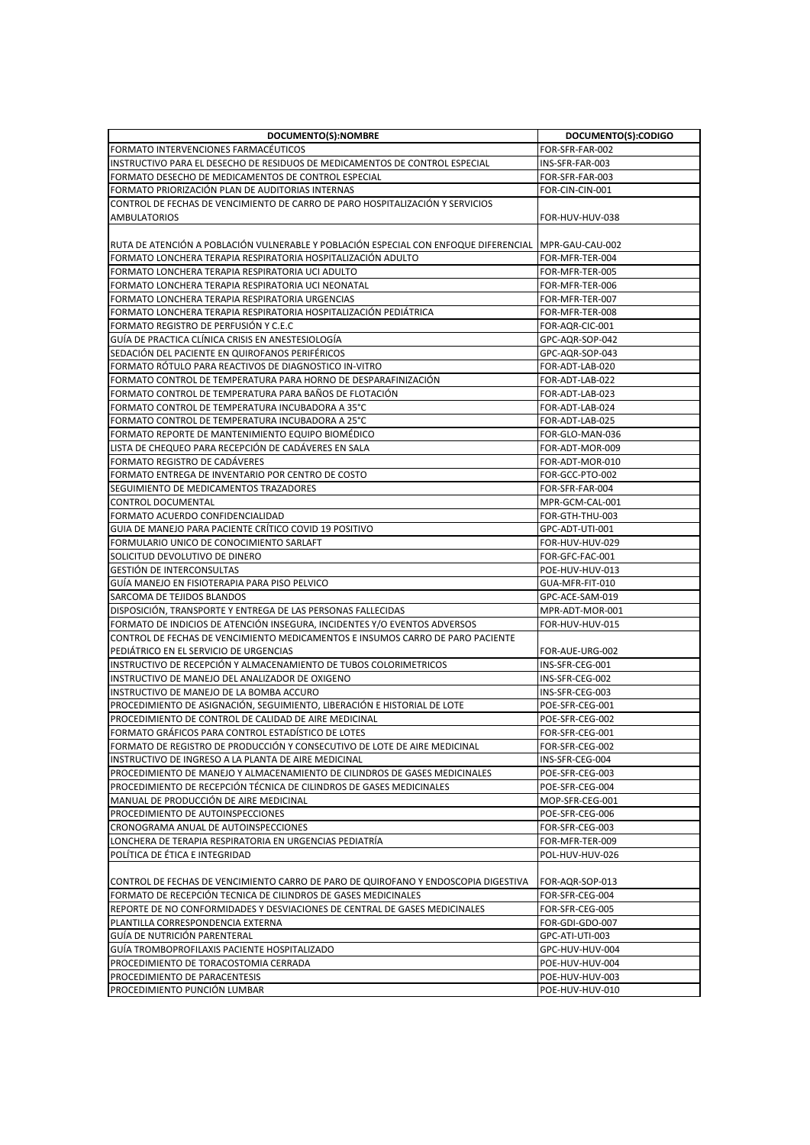| DOCUMENTO(S):NOMBRE                                                                                                                                  | DOCUMENTO(S):CODIGO                |
|------------------------------------------------------------------------------------------------------------------------------------------------------|------------------------------------|
| FORMATO INTERVENCIONES FARMACÉUTICOS                                                                                                                 | FOR-SFR-FAR-002                    |
| INSTRUCTIVO PARA EL DESECHO DE RESIDUOS DE MEDICAMENTOS DE CONTROL ESPECIAL                                                                          | INS-SFR-FAR-003                    |
| FORMATO DESECHO DE MEDICAMENTOS DE CONTROL ESPECIAL                                                                                                  | FOR-SFR-FAR-003                    |
| FORMATO PRIORIZACIÓN PLAN DE AUDITORIAS INTERNAS                                                                                                     | FOR-CIN-CIN-001                    |
| ICONTROL DE FECHAS DE VENCIMIENTO DE CARRO DE PARO HOSPITALIZACIÓN Y SERVICIOS                                                                       |                                    |
| <b>AMBULATORIOS</b>                                                                                                                                  | FOR-HUV-HUV-038                    |
|                                                                                                                                                      |                                    |
| RUTA DE ATENCIÓN A POBLACIÓN VULNERABLE Y POBLACIÓN ESPECIAL CON ENFOQUE DIFERENCIAL  MPR-GAU-CAU-002                                                |                                    |
| FORMATO LONCHERA TERAPIA RESPIRATORIA HOSPITALIZACIÓN ADULTO                                                                                         | FOR-MFR-TER-004                    |
| FORMATO LONCHERA TERAPIA RESPIRATORIA UCI ADULTO                                                                                                     | FOR-MFR-TER-005                    |
| FORMATO LONCHERA TERAPIA RESPIRATORIA UCI NEONATAL                                                                                                   | FOR-MFR-TER-006                    |
| FORMATO LONCHERA TERAPIA RESPIRATORIA URGENCIAS                                                                                                      | FOR-MFR-TER-007                    |
| FORMATO LONCHERA TERAPIA RESPIRATORIA HOSPITALIZACIÓN PEDIATRICA                                                                                     | FOR-MFR-TER-008                    |
| FORMATO REGISTRO DE PERFUSIÓN Y C.E.C                                                                                                                | FOR-AQR-CIC-001                    |
| GUIA DE PRACTICA CLINICA CRISIS EN ANESTESIOLOGIA                                                                                                    | GPC-AQR-SOP-042                    |
| SEDACIÓN DEL PACIENTE EN QUIROFANOS PERIFÉRICOS                                                                                                      | GPC-AQR-SOP-043                    |
| FORMATO RÓTULO PARA REACTIVOS DE DIAGNOSTICO IN-VITRO                                                                                                | FOR-ADT-LAB-020                    |
| FORMATO CONTROL DE TEMPERATURA PARA HORNO DE DESPARAFINIZACIÓN                                                                                       | FOR-ADT-LAB-022                    |
| FORMATO CONTROL DE TEMPERATURA PARA BAÑOS DE FLOTACIÓN                                                                                               | FOR-ADT-LAB-023                    |
| FORMATO CONTROL DE TEMPERATURA INCUBADORA A 35°C                                                                                                     | FOR-ADT-LAB-024                    |
| FORMATO CONTROL DE TEMPERATURA INCUBADORA A 25°C                                                                                                     | FOR-ADT-LAB-025                    |
| FORMATO REPORTE DE MANTENIMIENTO EQUIPO BIOMÉDICO                                                                                                    | FOR-GLO-MAN-036                    |
| LISTA DE CHEQUEO PARA RECEPCIÓN DE CADÁVERES EN SALA                                                                                                 | FOR-ADT-MOR-009                    |
| FORMATO REGISTRO DE CADAVERES                                                                                                                        | FOR-ADT-MOR-010                    |
| FORMATO ENTREGA DE INVENTARIO POR CENTRO DE COSTO                                                                                                    | FOR-GCC-PTO-002                    |
| SEGUIMIENTO DE MEDICAMENTOS TRAZADORES                                                                                                               | FOR-SFR-FAR-004                    |
| <b>CONTROL DOCUMENTAL</b>                                                                                                                            | MPR-GCM-CAL-001                    |
| FORMATO ACUERDO CONFIDENCIALIDAD                                                                                                                     | FOR-GTH-THU-003                    |
| GUIA DE MANEJO PARA PACIENTE CRÍTICO COVID 19 POSITIVO                                                                                               | GPC-ADT-UTI-001                    |
| FORMULARIO UNICO DE CONOCIMIENTO SARLAFT                                                                                                             | FOR-HUV-HUV-029                    |
| SOLICITUD DEVOLUTIVO DE DINERO                                                                                                                       | FOR-GFC-FAC-001                    |
| <b>GESTIÓN DE INTERCONSULTAS</b><br>GUÍA MANEJO EN FISIOTERAPIA PARA PISO PELVICO                                                                    | POE-HUV-HUV-013<br>GUA-MFR-FIT-010 |
| SARCOMA DE TEJIDOS BLANDOS                                                                                                                           | GPC-ACE-SAM-019                    |
| DISPOSICIÓN, TRANSPORTE Y ENTREGA DE LAS PERSONAS FALLECIDAS                                                                                         | MPR-ADT-MOR-001                    |
| FORMATO DE INDICIOS DE ATENCIÓN INSEGURA, INCIDENTES Y/O EVENTOS ADVERSOS                                                                            | FOR-HUV-HUV-015                    |
| CONTROL DE FECHAS DE VENCIMIENTO MEDICAMENTOS E INSUMOS CARRO DE PARO PACIENTE                                                                       |                                    |
| PEDIÁTRICO EN EL SERVICIO DE URGENCIAS                                                                                                               | FOR-AUE-URG-002                    |
| IINSTRUCTIVO DE RECEPCIÓN Y ALMACENAMIENTO DE TUBOS COLORIMETRICOS                                                                                   | INS-SFR-CEG-001                    |
| INSTRUCTIVO DE MANEJO DEL ANALIZADOR DE OXIGENO                                                                                                      | INS-SFR-CEG-002                    |
| INSTRUCTIVO DE MANEJO DE LA BOMBA ACCURO                                                                                                             | INS-SFR-CEG-003                    |
| PROCEDIMIENTO DE ASIGNACIÓN, SEGUIMIENTO, LIBERACIÓN E HISTORIAL DE LOTE                                                                             | POE-SFR-CEG-001                    |
| PROCEDIMIENTO DE CONTROL DE CALIDAD DE AIRE MEDICINAL                                                                                                | POE-SFR-CEG-002                    |
| FORMATO GRÁFICOS PARA CONTROL ESTADÍSTICO DE LOTES                                                                                                   | FOR-SFR-CEG-001                    |
| FORMATO DE REGISTRO DE PRODUCCIÓN Y CONSECUTIVO DE LOTE DE AIRE MEDICINAL                                                                            | FOR-SFR-CEG-002                    |
| INSTRUCTIVO DE INGRESO A LA PLANTA DE AIRE MEDICINAL                                                                                                 | INS-SFR-CEG-004                    |
| PROCEDIMIENTO DE MANEJO Y ALMACENAMIENTO DE CILINDROS DE GASES MEDICINALES                                                                           | POE-SFR-CEG-003                    |
| PROCEDIMIENTO DE RECEPCIÓN TÉCNICA DE CILINDROS DE GASES MEDICINALES                                                                                 | POE-SFR-CEG-004                    |
| MANUAL DE PRODUCCIÓN DE AIRE MEDICINAL                                                                                                               | MOP-SFR-CEG-001                    |
| PROCEDIMIENTO DE AUTOINSPECCIONES                                                                                                                    | POE-SFR-CEG-006                    |
| CRONOGRAMA ANUAL DE AUTOINSPECCIONES                                                                                                                 | FOR-SFR-CEG-003                    |
| LONCHERA DE TERAPIA RESPIRATORIA EN URGENCIAS PEDIATRÍA                                                                                              | FOR-MFR-TER-009                    |
| POLÍTICA DE ÉTICA E INTEGRIDAD                                                                                                                       | POL-HUV-HUV-026                    |
|                                                                                                                                                      | FOR-AQR-SOP-013                    |
| CONTROL DE FECHAS DE VENCIMIENTO CARRO DE PARO DE QUIROFANO Y ENDOSCOPIA DIGESTIVA<br>FORMATO DE RECEPCIÓN TECNICA DE CILINDROS DE GASES MEDICINALES | FOR-SFR-CEG-004                    |
| REPORTE DE NO CONFORMIDADES Y DESVIACIONES DE CENTRAL DE GASES MEDICINALES                                                                           | FOR-SFR-CEG-005                    |
| PLANTILLA CORRESPONDENCIA EXTERNA                                                                                                                    | FOR-GDI-GDO-007                    |
| GUÍA DE NUTRICIÓN PARENTERAL                                                                                                                         | GPC-ATI-UTI-003                    |
| GUÍA TROMBOPROFILAXIS PACIENTE HOSPITALIZADO                                                                                                         | GPC-HUV-HUV-004                    |
| PROCEDIMIENTO DE TORACOSTOMIA CERRADA                                                                                                                | POE-HUV-HUV-004                    |
| PROCEDIMIENTO DE PARACENTESIS                                                                                                                        | POE-HUV-HUV-003                    |
| PROCEDIMIENTO PUNCIÓN LUMBAR                                                                                                                         | POE-HUV-HUV-010                    |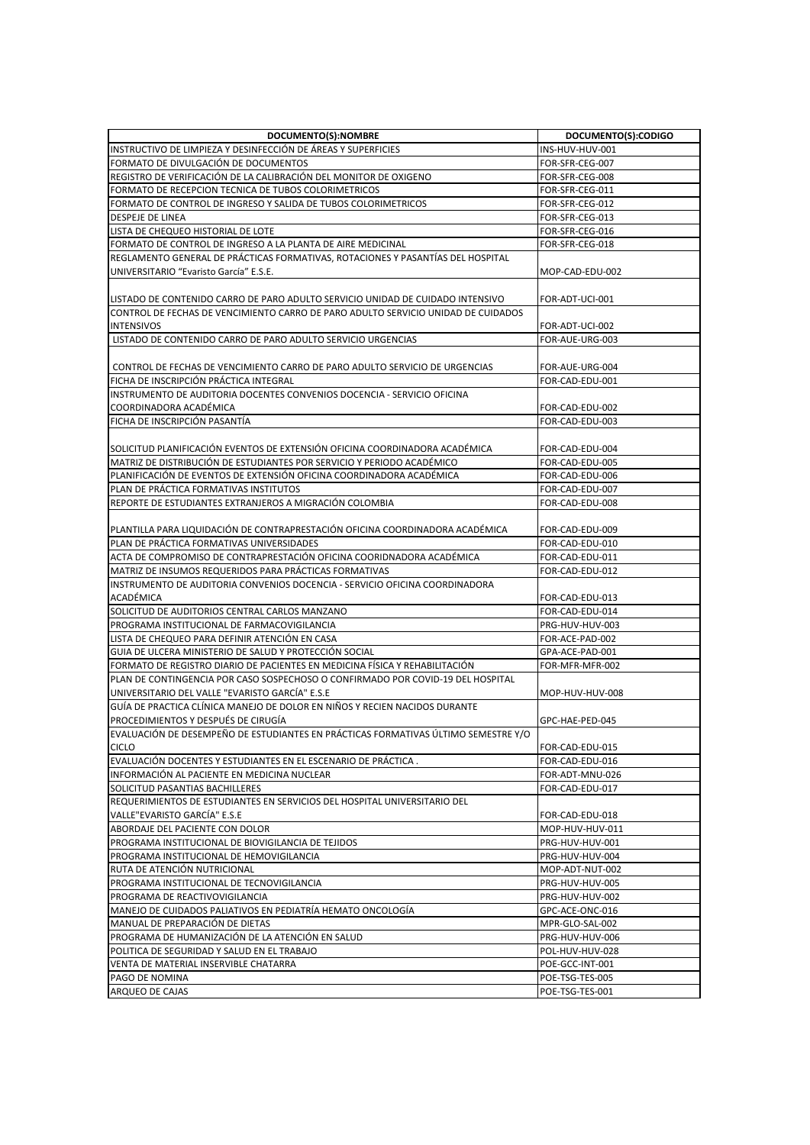| DOCUMENTO(S):NOMBRE                                                                                      | DOCUMENTO(S):CODIGO                |
|----------------------------------------------------------------------------------------------------------|------------------------------------|
| INSTRUCTIVO DE LIMPIEZA Y DESINFECCIÓN DE ÁREAS Y SUPERFICIES                                            | INS-HUV-HUV-001                    |
| FORMATO DE DIVULGACIÓN DE DOCUMENTOS                                                                     | FOR-SFR-CEG-007                    |
| REGISTRO DE VERIFICACIÓN DE LA CALIBRACIÓN DEL MONITOR DE OXIGENO                                        | FOR-SFR-CEG-008                    |
| FORMATO DE RECEPCION TECNICA DE TUBOS COLORIMETRICOS                                                     | FOR-SFR-CEG-011                    |
| FORMATO DE CONTROL DE INGRESO Y SALIDA DE TUBOS COLORIMETRICOS                                           | FOR-SFR-CEG-012                    |
| DESPEJE DE LINEA                                                                                         | FOR-SFR-CEG-013                    |
| LISTA DE CHEQUEO HISTORIAL DE LOTE                                                                       | FOR-SFR-CEG-016                    |
| FORMATO DE CONTROL DE INGRESO A LA PLANTA DE AIRE MEDICINAL                                              | FOR-SFR-CEG-018                    |
| REGLAMENTO GENERAL DE PRÁCTICAS FORMATIVAS, ROTACIONES Y PASANTÍAS DEL HOSPITAL                          |                                    |
| UNIVERSITARIO "Evaristo García" E.S.E.                                                                   | MOP-CAD-EDU-002                    |
|                                                                                                          |                                    |
| LISTADO DE CONTENIDO CARRO DE PARO ADULTO SERVICIO UNIDAD DE CUIDADO INTENSIVO                           | FOR-ADT-UCI-001                    |
| CONTROL DE FECHAS DE VENCIMIENTO CARRO DE PARO ADULTO SERVICIO UNIDAD DE CUIDADOS                        |                                    |
| <b>INTENSIVOS</b>                                                                                        | FOR-ADT-UCI-002                    |
| LISTADO DE CONTENIDO CARRO DE PARO ADULTO SERVICIO URGENCIAS                                             | FOR-AUE-URG-003                    |
|                                                                                                          |                                    |
| CONTROL DE FECHAS DE VENCIMIENTO CARRO DE PARO ADULTO SERVICIO DE URGENCIAS                              | FOR-AUE-URG-004                    |
| FICHA DE INSCRIPCIÓN PRÁCTICA INTEGRAL                                                                   | FOR-CAD-EDU-001                    |
| INSTRUMENTO DE AUDITORIA DOCENTES CONVENIOS DOCENCIA - SERVICIO OFICINA                                  |                                    |
| COORDINADORA ACADÉMICA                                                                                   | FOR-CAD-EDU-002                    |
| FICHA DE INSCRIPCIÓN PASANTÍA                                                                            | FOR-CAD-EDU-003                    |
|                                                                                                          |                                    |
| SOLICITUD PLANIFICACIÓN EVENTOS DE EXTENSIÓN OFICINA COORDINADORA ACADÉMICA                              | FOR-CAD-EDU-004                    |
| MATRIZ DE DISTRIBUCIÓN DE ESTUDIANTES POR SERVICIO Y PERIODO ACADÉMICO                                   | FOR-CAD-EDU-005                    |
| PLANIFICACIÓN DE EVENTOS DE EXTENSIÓN OFICINA COORDINADORA ACADÉMICA                                     | FOR-CAD-EDU-006                    |
| PLAN DE PRÁCTICA FORMATIVAS INSTITUTOS                                                                   | FOR-CAD-EDU-007                    |
| REPORTE DE ESTUDIANTES EXTRANJEROS A MIGRACIÓN COLOMBIA                                                  | FOR-CAD-EDU-008                    |
|                                                                                                          |                                    |
| PLANTILLA PARA LIQUIDACIÓN DE CONTRAPRESTACIÓN OFICINA COORDINADORA ACADÉMICA                            | FOR-CAD-EDU-009                    |
| PLAN DE PRÁCTICA FORMATIVAS UNIVERSIDADES                                                                | FOR-CAD-EDU-010                    |
| ACTA DE COMPROMISO DE CONTRAPRESTACIÓN OFICINA COORIDNADORA ACADÉMICA                                    | FOR-CAD-EDU-011                    |
| MATRIZ DE INSUMOS REQUERIDOS PARA PRÁCTICAS FORMATIVAS                                                   | FOR-CAD-EDU-012                    |
| INSTRUMENTO DE AUDITORIA CONVENIOS DOCENCIA - SERVICIO OFICINA COORDINADORA                              |                                    |
| ACADÉMICA                                                                                                | FOR-CAD-EDU-013                    |
| SOLICITUD DE AUDITORIOS CENTRAL CARLOS MANZANO                                                           | FOR-CAD-EDU-014                    |
| PROGRAMA INSTITUCIONAL DE FARMACOVIGILANCIA                                                              | PRG-HUV-HUV-003                    |
| LISTA DE CHEQUEO PARA DEFINIR ATENCIÓN EN CASA<br>GUIA DE ULCERA MINISTERIO DE SALUD Y PROTECCIÓN SOCIAL | FOR-ACE-PAD-002<br>GPA-ACE-PAD-001 |
| FORMATO DE REGISTRO DIARIO DE PACIENTES EN MEDICINA FÍSICA Y REHABILITACIÓN                              |                                    |
| PLAN DE CONTINGENCIA POR CASO SOSPECHOSO O CONFIRMADO POR COVID-19 DEL HOSPITAL                          | FOR-MFR-MFR-002                    |
| UNIVERSITARIO DEL VALLE "EVARISTO GARCÍA" E.S.E                                                          | MOP-HUV-HUV-008                    |
| GUÍA DE PRACTICA CLÍNICA MANEJO DE DOLOR EN NIÑOS Y RECIEN NACIDOS DURANTE                               |                                    |
| PROCEDIMIENTOS Y DESPUÉS DE CIRUGÍA                                                                      | GPC-HAE-PED-045                    |
| EVALUACIÓN DE DESEMPEÑO DE ESTUDIANTES EN PRÁCTICAS FORMATIVAS ÚLTIMO SEMESTRE Y/O                       |                                    |
| <b>CICLO</b>                                                                                             | FOR-CAD-EDU-015                    |
| EVALUACIÓN DOCENTES Y ESTUDIANTES EN EL ESCENARIO DE PRÁCTICA.                                           | FOR-CAD-EDU-016                    |
| INFORMACIÓN AL PACIENTE EN MEDICINA NUCLEAR                                                              | FOR-ADT-MNU-026                    |
| SOLICITUD PASANTIAS BACHILLERES                                                                          | FOR-CAD-EDU-017                    |
| REQUERIMIENTOS DE ESTUDIANTES EN SERVICIOS DEL HOSPITAL UNIVERSITARIO DEL                                |                                    |
| VALLE"EVARISTO GARCÍA" E.S.E                                                                             | FOR-CAD-EDU-018                    |
| ABORDAJE DEL PACIENTE CON DOLOR                                                                          | MOP-HUV-HUV-011                    |
| PROGRAMA INSTITUCIONAL DE BIOVIGILANCIA DE TEJIDOS                                                       | PRG-HUV-HUV-001                    |
| PROGRAMA INSTITUCIONAL DE HEMOVIGILANCIA                                                                 | PRG-HUV-HUV-004                    |
| RUTA DE ATENCIÓN NUTRICIONAL                                                                             | MOP-ADT-NUT-002                    |
| PROGRAMA INSTITUCIONAL DE TECNOVIGILANCIA                                                                | PRG-HUV-HUV-005                    |
| PROGRAMA DE REACTIVOVIGILANCIA                                                                           | PRG-HUV-HUV-002                    |
| MANEJO DE CUIDADOS PALIATIVOS EN PEDIATRÍA HEMATO ONCOLOGÍA                                              | GPC-ACE-ONC-016                    |
| MANUAL DE PREPARACIÓN DE DIETAS                                                                          | MPR-GLO-SAL-002                    |
| PROGRAMA DE HUMANIZACIÓN DE LA ATENCIÓN EN SALUD                                                         | PRG-HUV-HUV-006                    |
| POLITICA DE SEGURIDAD Y SALUD EN EL TRABAJO                                                              | POL-HUV-HUV-028                    |
| VENTA DE MATERIAL INSERVIBLE CHATARRA                                                                    | POE-GCC-INT-001                    |
| PAGO DE NOMINA                                                                                           | POE-TSG-TES-005                    |
| ARQUEO DE CAJAS                                                                                          | POE-TSG-TES-001                    |